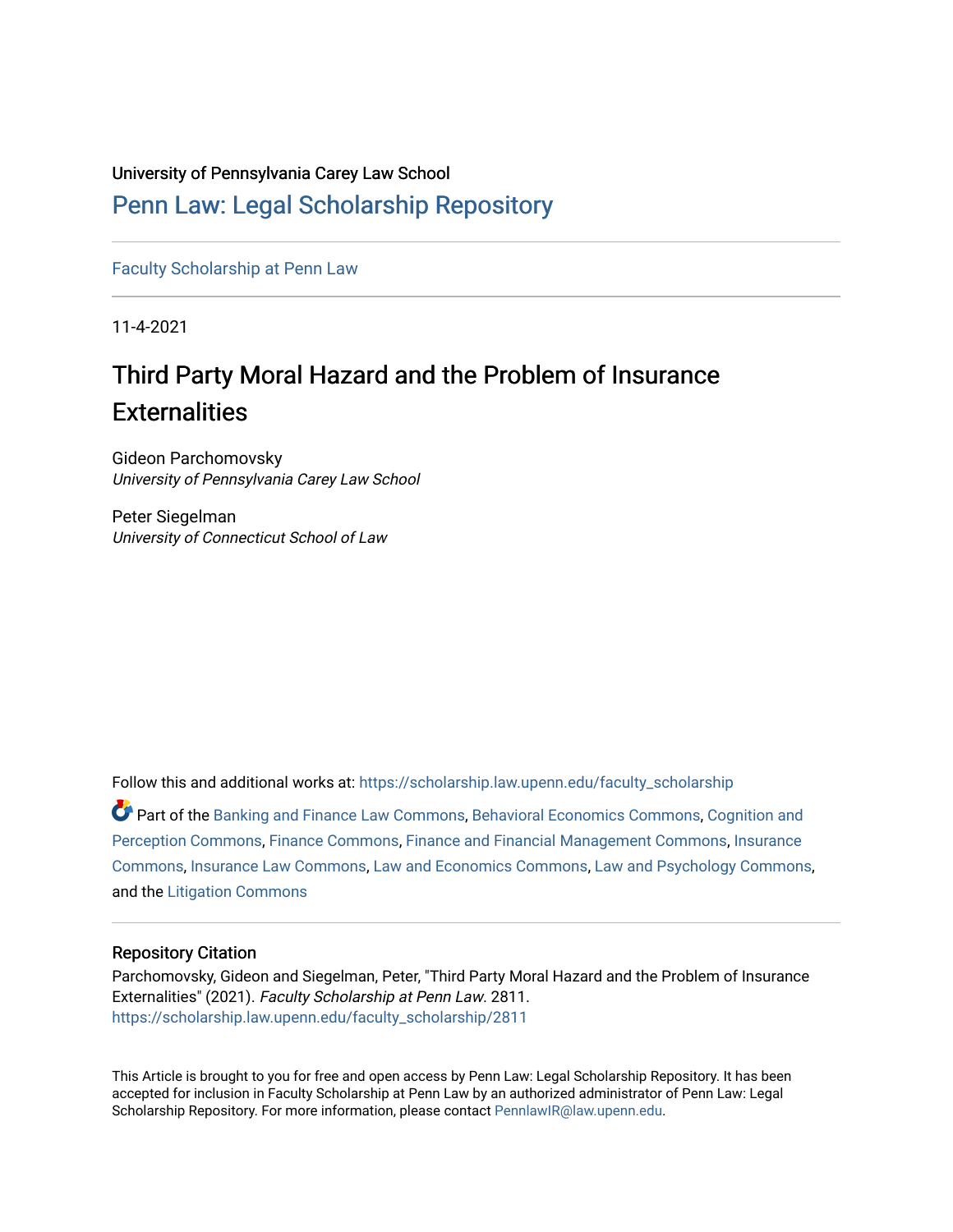#### University of Pennsylvania Carey Law School

## [Penn Law: Legal Scholarship Repository](https://scholarship.law.upenn.edu/)

[Faculty Scholarship at Penn Law](https://scholarship.law.upenn.edu/faculty_scholarship)

11-4-2021

# Third Party Moral Hazard and the Problem of Insurance **Externalities**

Gideon Parchomovsky University of Pennsylvania Carey Law School

Peter Siegelman University of Connecticut School of Law

Follow this and additional works at: [https://scholarship.law.upenn.edu/faculty\\_scholarship](https://scholarship.law.upenn.edu/faculty_scholarship?utm_source=scholarship.law.upenn.edu%2Ffaculty_scholarship%2F2811&utm_medium=PDF&utm_campaign=PDFCoverPages) 

Part of the [Banking and Finance Law Commons,](http://network.bepress.com/hgg/discipline/833?utm_source=scholarship.law.upenn.edu%2Ffaculty_scholarship%2F2811&utm_medium=PDF&utm_campaign=PDFCoverPages) [Behavioral Economics Commons](http://network.bepress.com/hgg/discipline/341?utm_source=scholarship.law.upenn.edu%2Ffaculty_scholarship%2F2811&utm_medium=PDF&utm_campaign=PDFCoverPages), [Cognition and](http://network.bepress.com/hgg/discipline/407?utm_source=scholarship.law.upenn.edu%2Ffaculty_scholarship%2F2811&utm_medium=PDF&utm_campaign=PDFCoverPages) [Perception Commons](http://network.bepress.com/hgg/discipline/407?utm_source=scholarship.law.upenn.edu%2Ffaculty_scholarship%2F2811&utm_medium=PDF&utm_campaign=PDFCoverPages), [Finance Commons](http://network.bepress.com/hgg/discipline/345?utm_source=scholarship.law.upenn.edu%2Ffaculty_scholarship%2F2811&utm_medium=PDF&utm_campaign=PDFCoverPages), [Finance and Financial Management Commons](http://network.bepress.com/hgg/discipline/631?utm_source=scholarship.law.upenn.edu%2Ffaculty_scholarship%2F2811&utm_medium=PDF&utm_campaign=PDFCoverPages), [Insurance](http://network.bepress.com/hgg/discipline/645?utm_source=scholarship.law.upenn.edu%2Ffaculty_scholarship%2F2811&utm_medium=PDF&utm_campaign=PDFCoverPages) [Commons](http://network.bepress.com/hgg/discipline/645?utm_source=scholarship.law.upenn.edu%2Ffaculty_scholarship%2F2811&utm_medium=PDF&utm_campaign=PDFCoverPages), [Insurance Law Commons,](http://network.bepress.com/hgg/discipline/607?utm_source=scholarship.law.upenn.edu%2Ffaculty_scholarship%2F2811&utm_medium=PDF&utm_campaign=PDFCoverPages) [Law and Economics Commons,](http://network.bepress.com/hgg/discipline/612?utm_source=scholarship.law.upenn.edu%2Ffaculty_scholarship%2F2811&utm_medium=PDF&utm_campaign=PDFCoverPages) [Law and Psychology Commons,](http://network.bepress.com/hgg/discipline/870?utm_source=scholarship.law.upenn.edu%2Ffaculty_scholarship%2F2811&utm_medium=PDF&utm_campaign=PDFCoverPages) and the [Litigation Commons](http://network.bepress.com/hgg/discipline/910?utm_source=scholarship.law.upenn.edu%2Ffaculty_scholarship%2F2811&utm_medium=PDF&utm_campaign=PDFCoverPages) 

#### Repository Citation

Parchomovsky, Gideon and Siegelman, Peter, "Third Party Moral Hazard and the Problem of Insurance Externalities" (2021). Faculty Scholarship at Penn Law. 2811. [https://scholarship.law.upenn.edu/faculty\\_scholarship/2811](https://scholarship.law.upenn.edu/faculty_scholarship/2811?utm_source=scholarship.law.upenn.edu%2Ffaculty_scholarship%2F2811&utm_medium=PDF&utm_campaign=PDFCoverPages)

This Article is brought to you for free and open access by Penn Law: Legal Scholarship Repository. It has been accepted for inclusion in Faculty Scholarship at Penn Law by an authorized administrator of Penn Law: Legal Scholarship Repository. For more information, please contact [PennlawIR@law.upenn.edu.](mailto:PennlawIR@law.upenn.edu)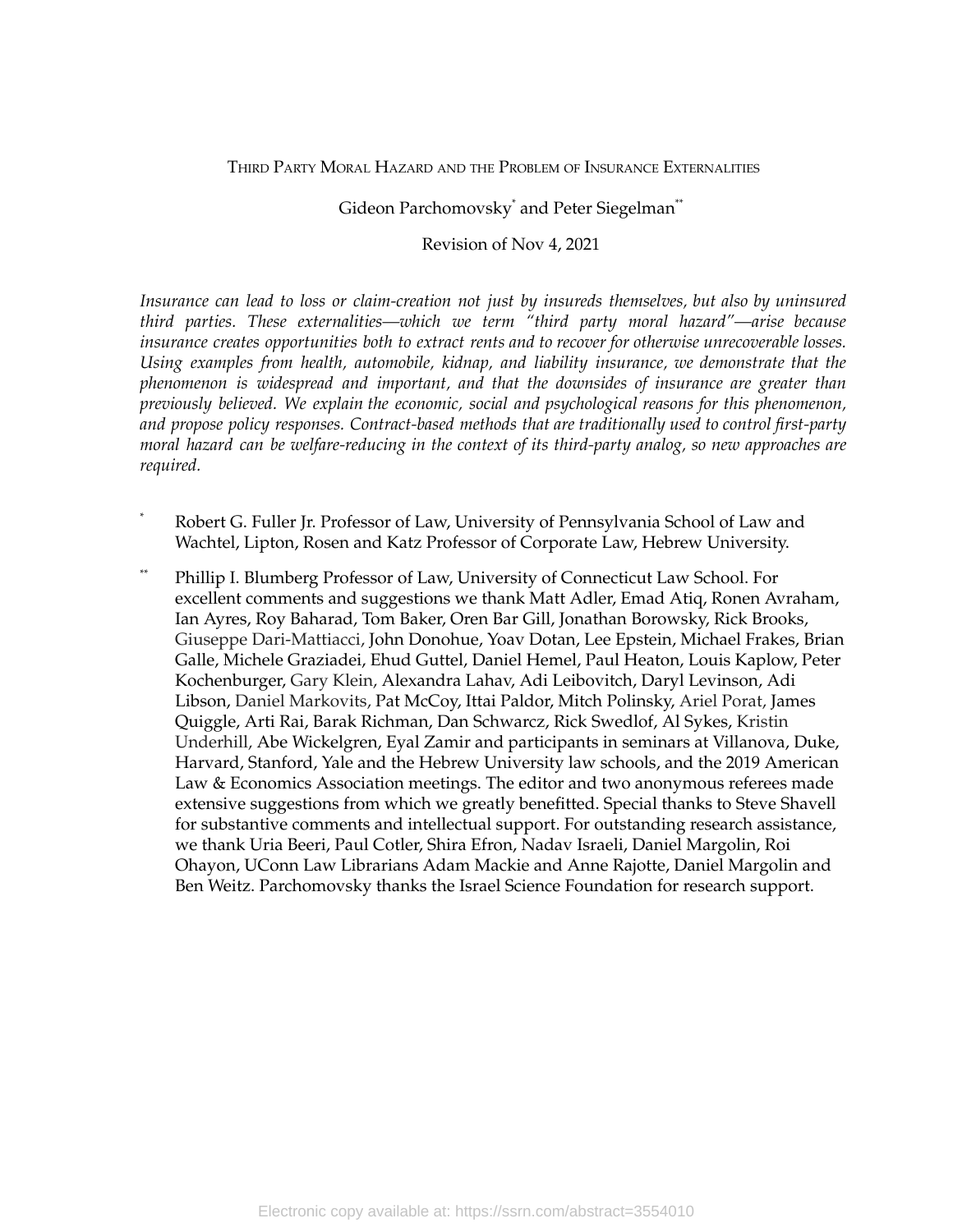THIRD PARTY MORAL HAZARD AND THE PROBLEM OF INSURANCE EXTERNALITIES

## Gideon Parchomovsky \* and Peter Siegelman \*\*

#### Revision of Nov 4, 2021

*Insurance can lead to loss or claim-creation not just by insureds themselves, but also by uninsured third parties. These externalities—which we term "third party moral hazard"—arise because insurance creates opportunities both to extract rents and to recover for otherwise unrecoverable losses. Using examples from health, automobile, kidnap, and liability insurance, we demonstrate that the phenomenon is widespread and important, and that the downsides of insurance are greater than previously believed. We explain the economic, social and psychological reasons for this phenomenon, and propose policy responses. Contract-based methods that are traditionally used to control first-party moral hazard can be welfare-reducing in the context of its third-party analog, so new approaches are required.*

- Robert G. Fuller Jr. Professor of Law, University of Pennsylvania School of Law and Wachtel, Lipton, Rosen and Katz Professor of Corporate Law, Hebrew University.
- \*\* Phillip I. Blumberg Professor of Law, University of Connecticut Law School. For excellent comments and suggestions we thank Matt Adler, Emad Atiq, Ronen Avraham, Ian Ayres, Roy Baharad, Tom Baker, Oren Bar Gill, Jonathan Borowsky, Rick Brooks, Giuseppe Dari-Mattiacci, John Donohue, Yoav Dotan, Lee Epstein, Michael Frakes, Brian Galle, Michele Graziadei, Ehud Guttel, Daniel Hemel, Paul Heaton, Louis Kaplow, Peter Kochenburger, Gary Klein, Alexandra Lahav, Adi Leibovitch, Daryl Levinson, Adi Libson, Daniel Markovits, Pat McCoy, Ittai Paldor, Mitch Polinsky, Ariel Porat, James Quiggle, Arti Rai, Barak Richman, Dan Schwarcz, Rick Swedlof, Al Sykes, Kristin Underhill, Abe Wickelgren, Eyal Zamir and participants in seminars at Villanova, Duke, Harvard, Stanford, Yale and the Hebrew University law schools, and the 2019 American Law & Economics Association meetings. The editor and two anonymous referees made extensive suggestions from which we greatly benefitted. Special thanks to Steve Shavell for substantive comments and intellectual support. For outstanding research assistance, we thank Uria Beeri, Paul Cotler, Shira Efron, Nadav Israeli, Daniel Margolin, Roi Ohayon, UConn Law Librarians Adam Mackie and Anne Rajotte, Daniel Margolin and Ben Weitz. Parchomovsky thanks the Israel Science Foundation for research support.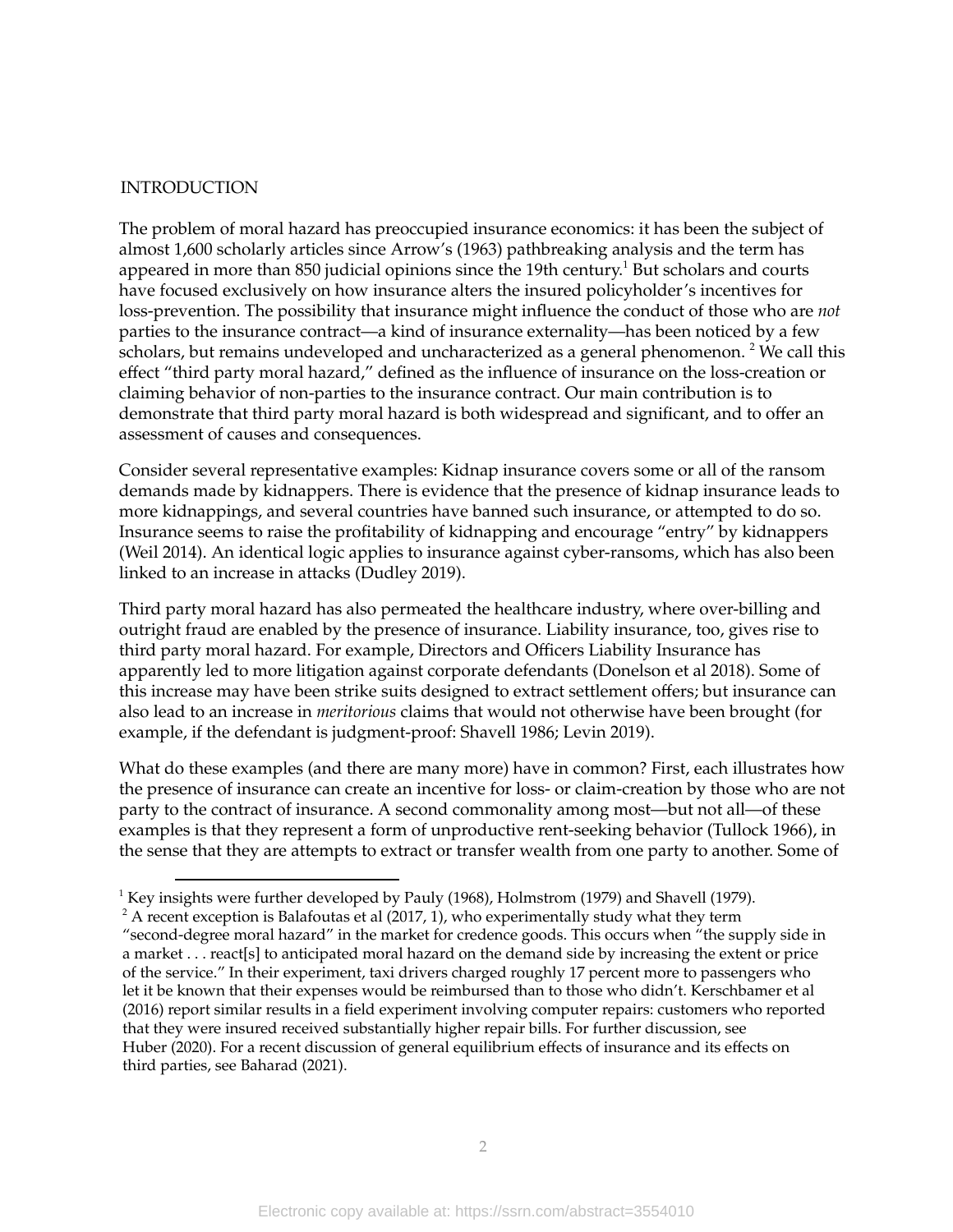#### INTRODUCTION

The problem of moral hazard has preoccupied insurance economics: it has been the subject of almost 1,600 scholarly articles since Arrow's (1963) pathbreaking analysis and the term has appeared in more than 850 judicial opinions since the 19th century. $^{\rm 1}$  But scholars and courts have focused exclusively on how insurance alters the insured policyholder's incentives for loss-prevention. The possibility that insurance might influence the conduct of those who are *not* parties to the insurance contract—a kind of insurance externality—has been noticed by a few scholars, but remains undeveloped and uncharacterized as a general phenomenon. <sup>2</sup> We call this effect "third party moral hazard," defined as the influence of insurance on the loss-creation or claiming behavior of non-parties to the insurance contract. Our main contribution is to demonstrate that third party moral hazard is both widespread and significant, and to offer an assessment of causes and consequences.

Consider several representative examples: Kidnap insurance covers some or all of the ransom demands made by kidnappers. There is evidence that the presence of kidnap insurance leads to more kidnappings, and several countries have banned such insurance, or attempted to do so. Insurance seems to raise the profitability of kidnapping and encourage "entry" by kidnappers (Weil 2014). An identical logic applies to insurance against cyber-ransoms, which has also been linked to an increase in attacks (Dudley 2019).

Third party moral hazard has also permeated the healthcare industry, where over-billing and outright fraud are enabled by the presence of insurance. Liability insurance, too, gives rise to third party moral hazard. For example, Directors and Officers Liability Insurance has apparently led to more litigation against corporate defendants (Donelson et al 2018). Some of this increase may have been strike suits designed to extract settlement offers; but insurance can also lead to an increase in *meritorious* claims that would not otherwise have been brought (for example, if the defendant is judgment-proof: Shavell 1986; Levin 2019).

What do these examples (and there are many more) have in common? First, each illustrates how the presence of insurance can create an incentive for loss- or claim-creation by those who are not party to the contract of insurance. A second commonality among most—but not all—of these examples is that they represent a form of unproductive rent-seeking behavior (Tullock 1966), in the sense that they are attempts to extract or transfer wealth from one party to another. Some of

<sup>&</sup>lt;sup>1</sup> Key insights were further developed by Pauly (1968), Holmstrom (1979) and Shavell (1979).

 $2^2$  A recent exception is Balafoutas et al (2017, 1), who experimentally study what they term

<sup>&</sup>quot;second-degree moral hazard" in the market for credence goods. This occurs when "the supply side in a market . . . react[s] to anticipated moral hazard on the demand side by increasing the extent or price of the service." In their experiment, taxi drivers charged roughly 17 percent more to passengers who let it be known that their expenses would be reimbursed than to those who didn't. Kerschbamer et al (2016) report similar results in a field experiment involving computer repairs: customers who reported that they were insured received substantially higher repair bills. For further discussion, see Huber (2020). For a recent discussion of general equilibrium effects of insurance and its effects on third parties, see Baharad (2021).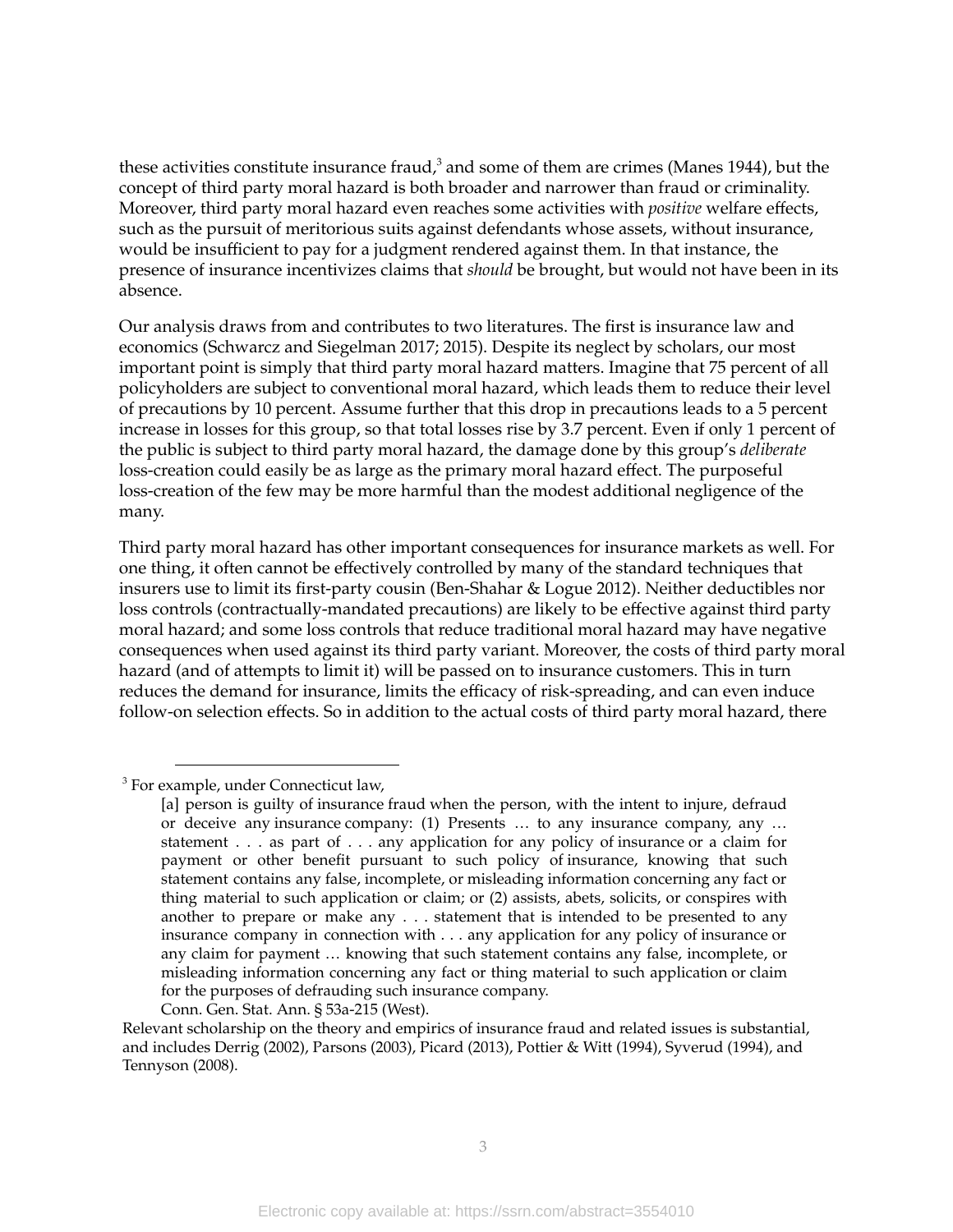these activities constitute insurance fraud, $^3$  and some of them are crimes (Manes 1944), but the concept of third party moral hazard is both broader and narrower than fraud or criminality. Moreover, third party moral hazard even reaches some activities with *positive* welfare effects, such as the pursuit of meritorious suits against defendants whose assets, without insurance, would be insufficient to pay for a judgment rendered against them. In that instance, the presence of insurance incentivizes claims that *should* be brought, but would not have been in its absence.

Our analysis draws from and contributes to two literatures. The first is insurance law and economics (Schwarcz and Siegelman 2017; 2015). Despite its neglect by scholars, our most important point is simply that third party moral hazard matters. Imagine that 75 percent of all policyholders are subject to conventional moral hazard, which leads them to reduce their level of precautions by 10 percent. Assume further that this drop in precautions leads to a 5 percent increase in losses for this group, so that total losses rise by 3.7 percent. Even if only 1 percent of the public is subject to third party moral hazard, the damage done by this group's *deliberate* loss-creation could easily be as large as the primary moral hazard effect. The purposeful loss-creation of the few may be more harmful than the modest additional negligence of the many.

Third party moral hazard has other important consequences for insurance markets as well. For one thing, it often cannot be effectively controlled by many of the standard techniques that insurers use to limit its first-party cousin (Ben-Shahar & Logue 2012). Neither deductibles nor loss controls (contractually-mandated precautions) are likely to be effective against third party moral hazard; and some loss controls that reduce traditional moral hazard may have negative consequences when used against its third party variant. Moreover, the costs of third party moral hazard (and of attempts to limit it) will be passed on to insurance customers. This in turn reduces the demand for insurance, limits the efficacy of risk-spreading, and can even induce follow-on selection effects. So in addition to the actual costs of third party moral hazard, there

<sup>3</sup> For example, under Connecticut law,

Conn. Gen. Stat. Ann. § 53a-215 (West).

<sup>[</sup>a] person is guilty of insurance fraud when the person, with the intent to injure, defraud or deceive any insurance company: (1) Presents … to any insurance company, any … statement . . . as part of . . . any application for any policy of insurance or a claim for payment or other benefit pursuant to such policy of insurance, knowing that such statement contains any false, incomplete, or misleading information concerning any fact or thing material to such application or claim; or (2) assists, abets, solicits, or conspires with another to prepare or make any . . . statement that is intended to be presented to any insurance company in connection with . . . any application for any policy of insurance or any claim for payment … knowing that such statement contains any false, incomplete, or misleading information concerning any fact or thing material to such application or claim for the purposes of defrauding such insurance company.

Relevant scholarship on the theory and empirics of insurance fraud and related issues is substantial, and includes Derrig (2002), Parsons (2003), Picard (2013), Pottier & Witt (1994), Syverud (1994), and Tennyson (2008).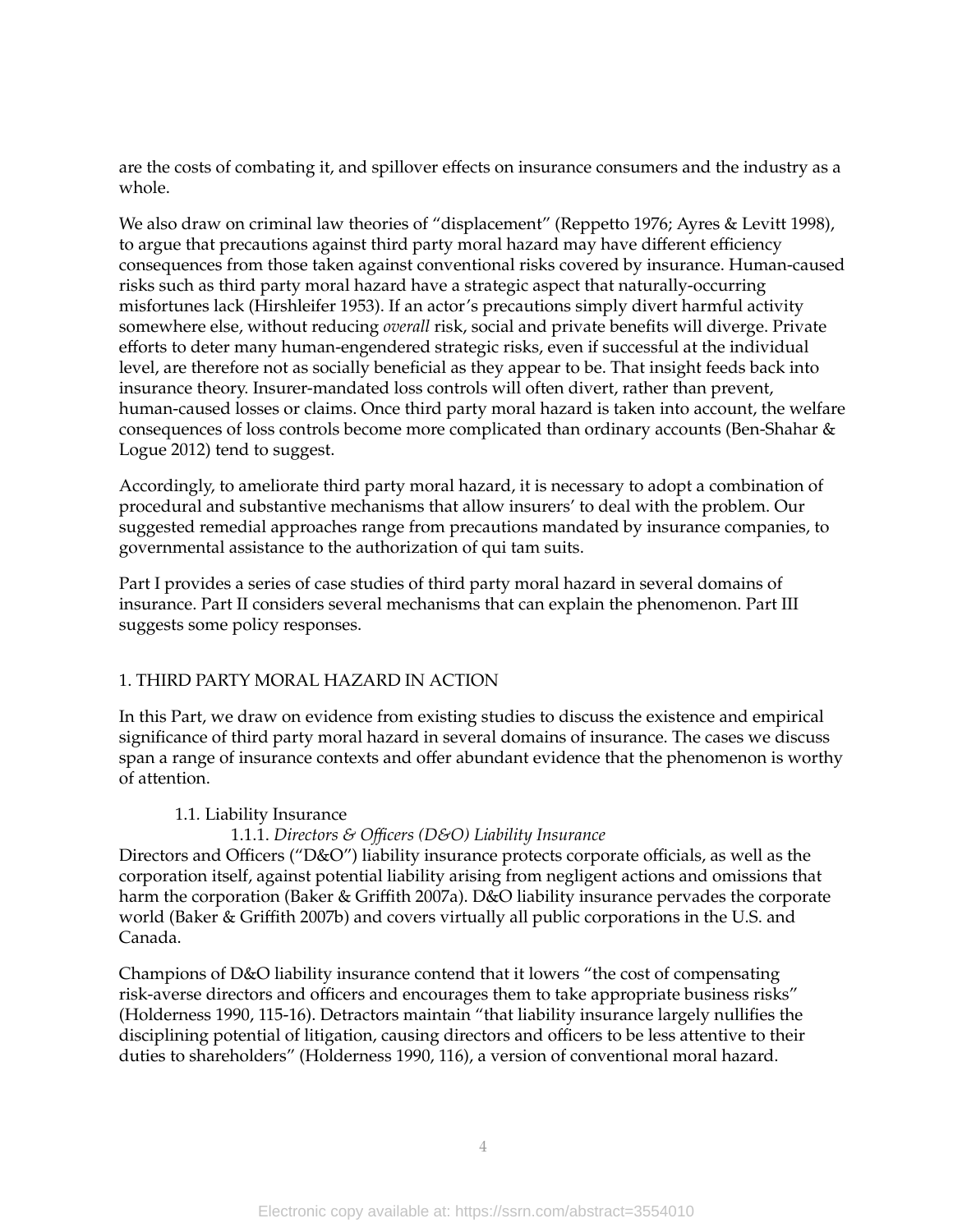are the costs of combating it, and spillover effects on insurance consumers and the industry as a whole.

We also draw on criminal law theories of "displacement" (Reppetto 1976; Ayres & Levitt 1998), to argue that precautions against third party moral hazard may have different efficiency consequences from those taken against conventional risks covered by insurance. Human-caused risks such as third party moral hazard have a strategic aspect that naturally-occurring misfortunes lack (Hirshleifer 1953). If an actor's precautions simply divert harmful activity somewhere else, without reducing *overall* risk, social and private benefits will diverge. Private efforts to deter many human-engendered strategic risks, even if successful at the individual level, are therefore not as socially beneficial as they appear to be. That insight feeds back into insurance theory. Insurer-mandated loss controls will often divert, rather than prevent, human-caused losses or claims. Once third party moral hazard is taken into account, the welfare consequences of loss controls become more complicated than ordinary accounts (Ben-Shahar & Logue 2012) tend to suggest.

Accordingly, to ameliorate third party moral hazard, it is necessary to adopt a combination of procedural and substantive mechanisms that allow insurers' to deal with the problem. Our suggested remedial approaches range from precautions mandated by insurance companies, to governmental assistance to the authorization of qui tam suits.

Part I provides a series of case studies of third party moral hazard in several domains of insurance. Part II considers several mechanisms that can explain the phenomenon. Part III suggests some policy responses.

#### 1. THIRD PARTY MORAL HAZARD IN ACTION

In this Part, we draw on evidence from existing studies to discuss the existence and empirical significance of third party moral hazard in several domains of insurance. The cases we discuss span a range of insurance contexts and offer abundant evidence that the phenomenon is worthy of attention.

#### 1.1*.* Liability Insurance

#### 1.1.1. *Directors & Officers (D&O) Liability Insurance*

Directors and Officers ("D&O") liability insurance protects corporate officials, as well as the corporation itself, against potential liability arising from negligent actions and omissions that harm the corporation (Baker & Griffith 2007a). D&O liability insurance pervades the corporate world (Baker & Griffith 2007b) and covers virtually all public corporations in the U.S. and Canada.

Champions of D&O liability insurance contend that it lowers "the cost of compensating risk-averse directors and officers and encourages them to take appropriate business risks" (Holderness 1990, 115-16). Detractors maintain "that liability insurance largely nullifies the disciplining potential of litigation, causing directors and officers to be less attentive to their duties to shareholders" (Holderness 1990, 116), a version of conventional moral hazard.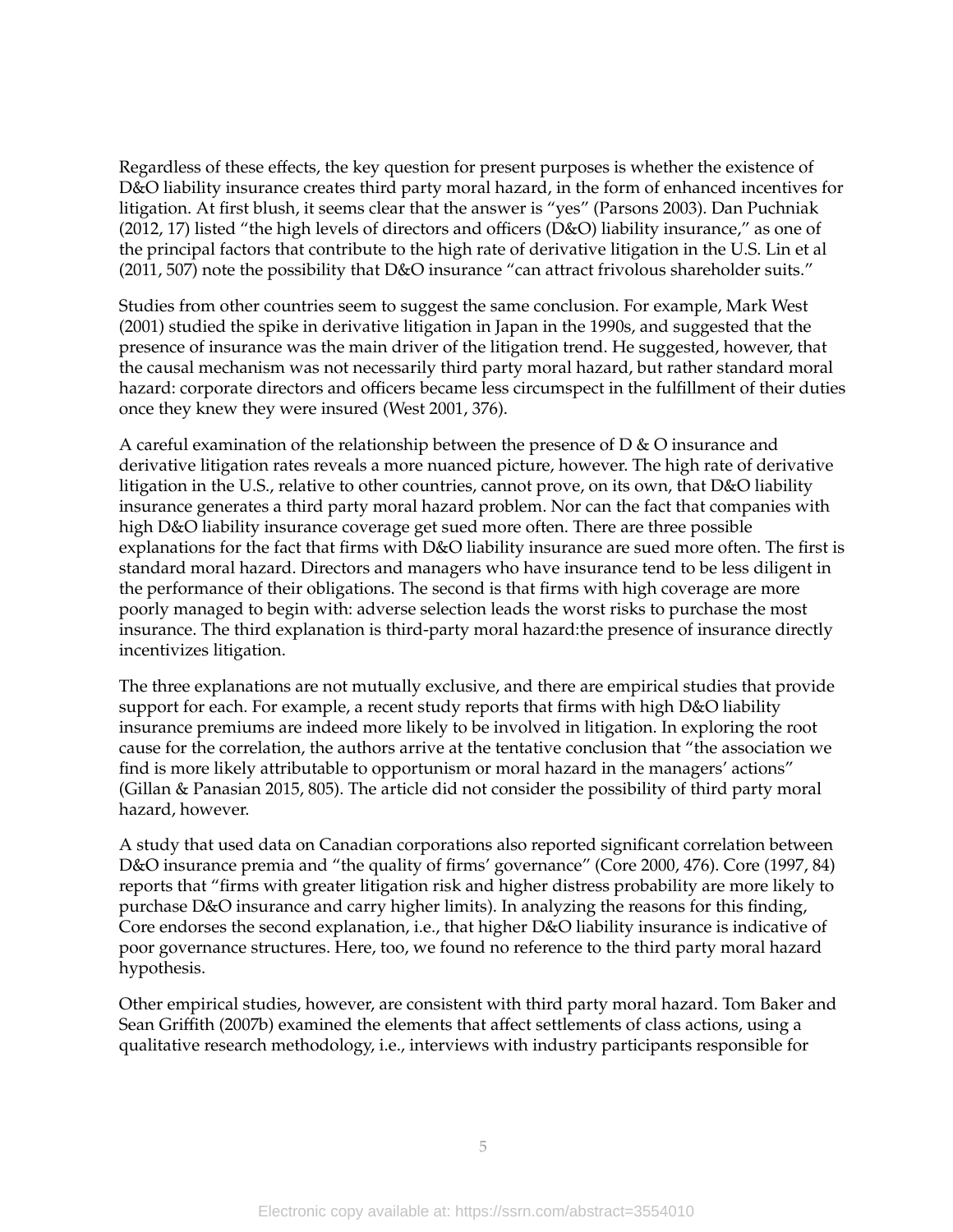Regardless of these effects, the key question for present purposes is whether the existence of D&O liability insurance creates third party moral hazard, in the form of enhanced incentives for litigation. At first blush, it seems clear that the answer is "yes" (Parsons 2003). Dan Puchniak (2012, 17) listed "the high levels of directors and officers (D&O) liability insurance," as one of the principal factors that contribute to the high rate of derivative litigation in the U.S. Lin et al (2011, 507) note the possibility that D&O insurance "can attract frivolous shareholder suits."

Studies from other countries seem to suggest the same conclusion. For example, Mark West (2001) studied the spike in derivative litigation in Japan in the 1990s, and suggested that the presence of insurance was the main driver of the litigation trend. He suggested, however, that the causal mechanism was not necessarily third party moral hazard, but rather standard moral hazard: corporate directors and officers became less circumspect in the fulfillment of their duties once they knew they were insured (West 2001, 376).

A careful examination of the relationship between the presence of  $D & O$  insurance and derivative litigation rates reveals a more nuanced picture, however. The high rate of derivative litigation in the U.S., relative to other countries, cannot prove, on its own, that D&O liability insurance generates a third party moral hazard problem. Nor can the fact that companies with high D&O liability insurance coverage get sued more often. There are three possible explanations for the fact that firms with D&O liability insurance are sued more often. The first is standard moral hazard. Directors and managers who have insurance tend to be less diligent in the performance of their obligations. The second is that firms with high coverage are more poorly managed to begin with: adverse selection leads the worst risks to purchase the most insurance. The third explanation is third-party moral hazard:the presence of insurance directly incentivizes litigation.

The three explanations are not mutually exclusive, and there are empirical studies that provide support for each. For example, a recent study reports that firms with high D&O liability insurance premiums are indeed more likely to be involved in litigation. In exploring the root cause for the correlation, the authors arrive at the tentative conclusion that "the association we find is more likely attributable to opportunism or moral hazard in the managers' actions" (Gillan & Panasian 2015, 805). The article did not consider the possibility of third party moral hazard, however.

A study that used data on Canadian corporations also reported significant correlation between D&O insurance premia and "the quality of firms' governance" (Core 2000, 476). Core (1997, 84) reports that "firms with greater litigation risk and higher distress probability are more likely to purchase D&O insurance and carry higher limits). In analyzing the reasons for this finding, Core endorses the second explanation, i.e., that higher D&O liability insurance is indicative of poor governance structures. Here, too, we found no reference to the third party moral hazard hypothesis.

Other empirical studies, however, are consistent with third party moral hazard. Tom Baker and Sean Griffith (2007b) examined the elements that affect settlements of class actions, using a qualitative research methodology, i.e., interviews with industry participants responsible for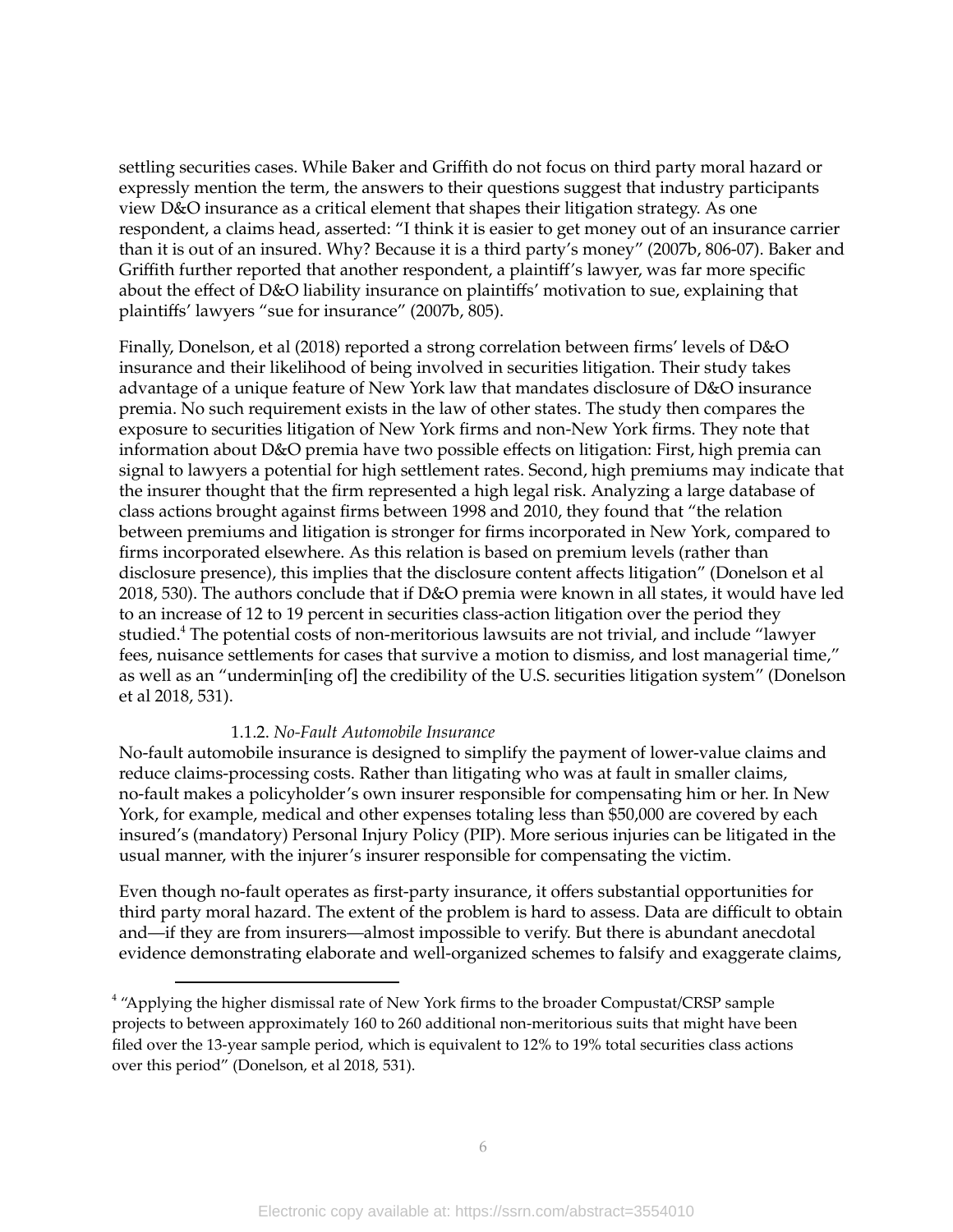settling securities cases. While Baker and Griffith do not focus on third party moral hazard or expressly mention the term, the answers to their questions suggest that industry participants view D&O insurance as a critical element that shapes their litigation strategy. As one respondent, a claims head, asserted: "I think it is easier to get money out of an insurance carrier than it is out of an insured. Why? Because it is a third party's money" (2007b, 806-07). Baker and Griffith further reported that another respondent, a plaintiff's lawyer, was far more specific about the effect of D&O liability insurance on plaintiffs' motivation to sue, explaining that plaintiffs' lawyers "sue for insurance" (2007b, 805).

Finally, Donelson, et al (2018) reported a strong correlation between firms' levels of D&O insurance and their likelihood of being involved in securities litigation. Their study takes advantage of a unique feature of New York law that mandates disclosure of D&O insurance premia. No such requirement exists in the law of other states. The study then compares the exposure to securities litigation of New York firms and non-New York firms. They note that information about D&O premia have two possible effects on litigation: First, high premia can signal to lawyers a potential for high settlement rates. Second, high premiums may indicate that the insurer thought that the firm represented a high legal risk. Analyzing a large database of class actions brought against firms between 1998 and 2010, they found that "the relation between premiums and litigation is stronger for firms incorporated in New York, compared to firms incorporated elsewhere. As this relation is based on premium levels (rather than disclosure presence), this implies that the disclosure content affects litigation" (Donelson et al 2018, 530). The authors conclude that if D&O premia were known in all states, it would have led to an increase of 12 to 19 percent in securities class-action litigation over the period they studied.<sup>4</sup> The potential costs of non-meritorious lawsuits are not trivial, and include "lawyer fees, nuisance settlements for cases that survive a motion to dismiss, and lost managerial time," as well as an "undermin[ing of] the credibility of the U.S. securities litigation system" (Donelson et al 2018, 531).

#### 1.1.2. *No-Fault Automobile Insurance*

No-fault automobile insurance is designed to simplify the payment of lower-value claims and reduce claims-processing costs. Rather than litigating who was at fault in smaller claims, no-fault makes a policyholder's own insurer responsible for compensating him or her. In New York, for example, medical and other expenses totaling less than \$50,000 are covered by each insured's (mandatory) Personal Injury Policy (PIP). More serious injuries can be litigated in the usual manner, with the injurer's insurer responsible for compensating the victim.

Even though no-fault operates as first-party insurance, it offers substantial opportunities for third party moral hazard. The extent of the problem is hard to assess. Data are difficult to obtain and—if they are from insurers—almost impossible to verify. But there is abundant anecdotal evidence demonstrating elaborate and well-organized schemes to falsify and exaggerate claims,

<sup>&</sup>lt;sup>4</sup> "Applying the higher dismissal rate of New York firms to the broader Compustat/CRSP sample projects to between approximately 160 to 260 additional non-meritorious suits that might have been filed over the 13-year sample period, which is equivalent to 12% to 19% total securities class actions over this period" (Donelson, et al 2018, 531).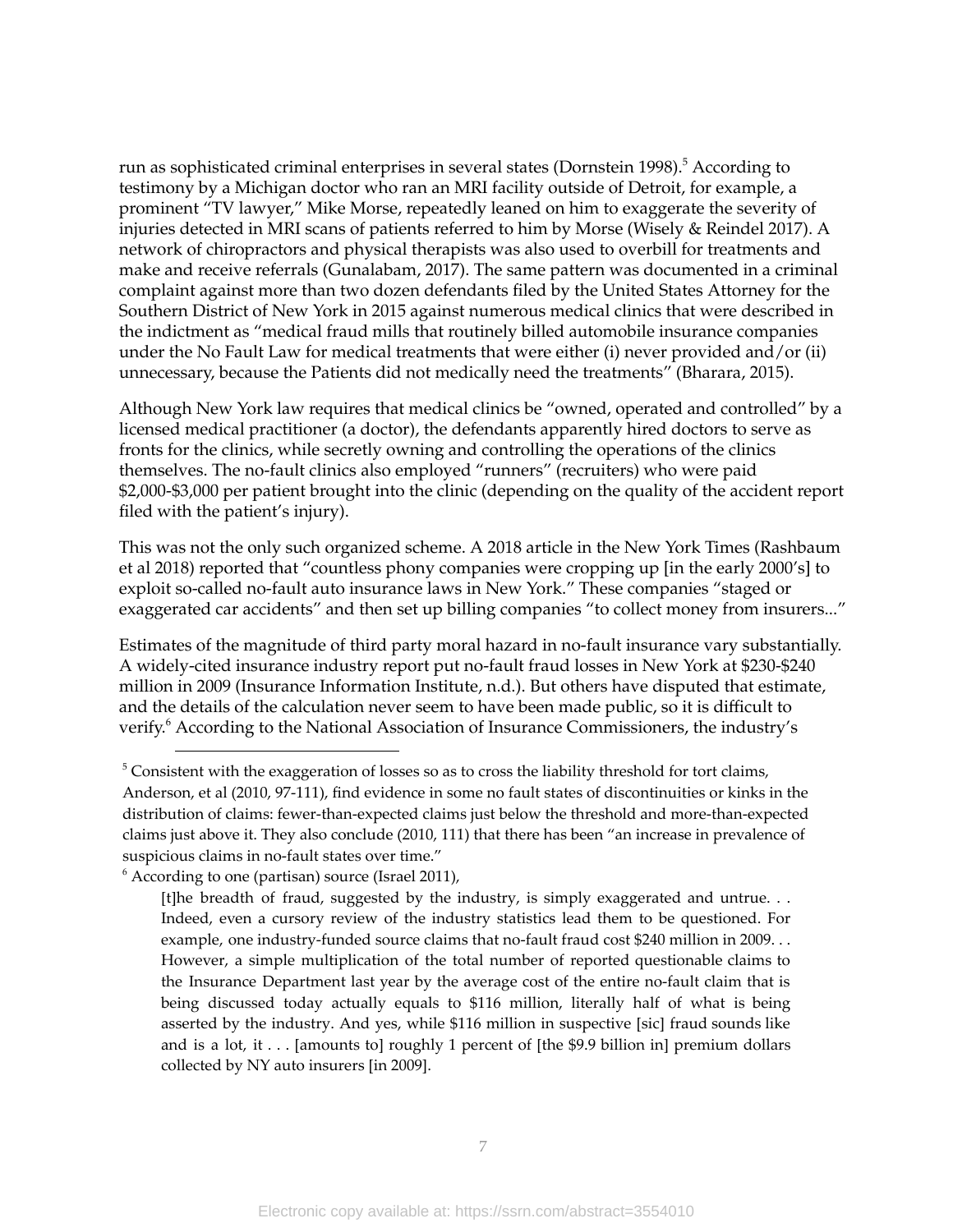run as sophisticated criminal enterprises in several states (Dornstein 1998). <sup>5</sup> According to testimony by a Michigan doctor who ran an MRI facility outside of Detroit, for example, a prominent "TV lawyer," Mike Morse, repeatedly leaned on him to exaggerate the severity of injuries detected in MRI scans of patients referred to him by Morse (Wisely & Reindel 2017). A network of chiropractors and physical therapists was also used to overbill for treatments and make and receive referrals (Gunalabam, 2017). The same pattern was documented in a criminal complaint against more than two dozen defendants filed by the United States Attorney for the Southern District of New York in 2015 against numerous medical clinics that were described in the indictment as "medical fraud mills that routinely billed automobile insurance companies under the No Fault Law for medical treatments that were either (i) never provided and/or (ii) unnecessary, because the Patients did not medically need the treatments" (Bharara, 2015).

Although New York law requires that medical clinics be "owned, operated and controlled" by a licensed medical practitioner (a doctor), the defendants apparently hired doctors to serve as fronts for the clinics, while secretly owning and controlling the operations of the clinics themselves. The no-fault clinics also employed "runners" (recruiters) who were paid \$2,000-\$3,000 per patient brought into the clinic (depending on the quality of the accident report filed with the patient's injury).

This was not the only such organized scheme. A 2018 article in the New York Times (Rashbaum et al 2018) reported that "countless phony companies were cropping up [in the early 2000's] to exploit so-called no-fault auto insurance laws in New York." These companies "staged or exaggerated car accidents" and then set up billing companies "to collect money from insurers..."

Estimates of the magnitude of third party moral hazard in no-fault insurance vary substantially. A widely-cited insurance industry report put no-fault fraud losses in New York at \$230-\$240 million in 2009 (Insurance Information Institute, n.d.). But others have disputed that estimate, and the details of the calculation never seem to have been made public, so it is difficult to verify. <sup>6</sup> According to the National Association of Insurance Commissioners, the industry's

 $6$  According to one (partisan) source (Israel 2011),

 $5$  Consistent with the exaggeration of losses so as to cross the liability threshold for tort claims, Anderson, et al (2010, 97-111), find evidence in some no fault states of discontinuities or kinks in the distribution of claims: fewer-than-expected claims just below the threshold and more-than-expected claims just above it. They also conclude (2010, 111) that there has been "an increase in prevalence of suspicious claims in no-fault states over time."

<sup>[</sup>t]he breadth of fraud, suggested by the industry, is simply exaggerated and untrue. . . Indeed, even a cursory review of the industry statistics lead them to be questioned. For example, one industry-funded source claims that no-fault fraud cost \$240 million in 2009. . . However, a simple multiplication of the total number of reported questionable claims to the Insurance Department last year by the average cost of the entire no-fault claim that is being discussed today actually equals to \$116 million, literally half of what is being asserted by the industry. And yes, while \$116 million in suspective [sic] fraud sounds like and is a lot, it . . . [amounts to] roughly 1 percent of [the \$9.9 billion in] premium dollars collected by NY auto insurers [in 2009].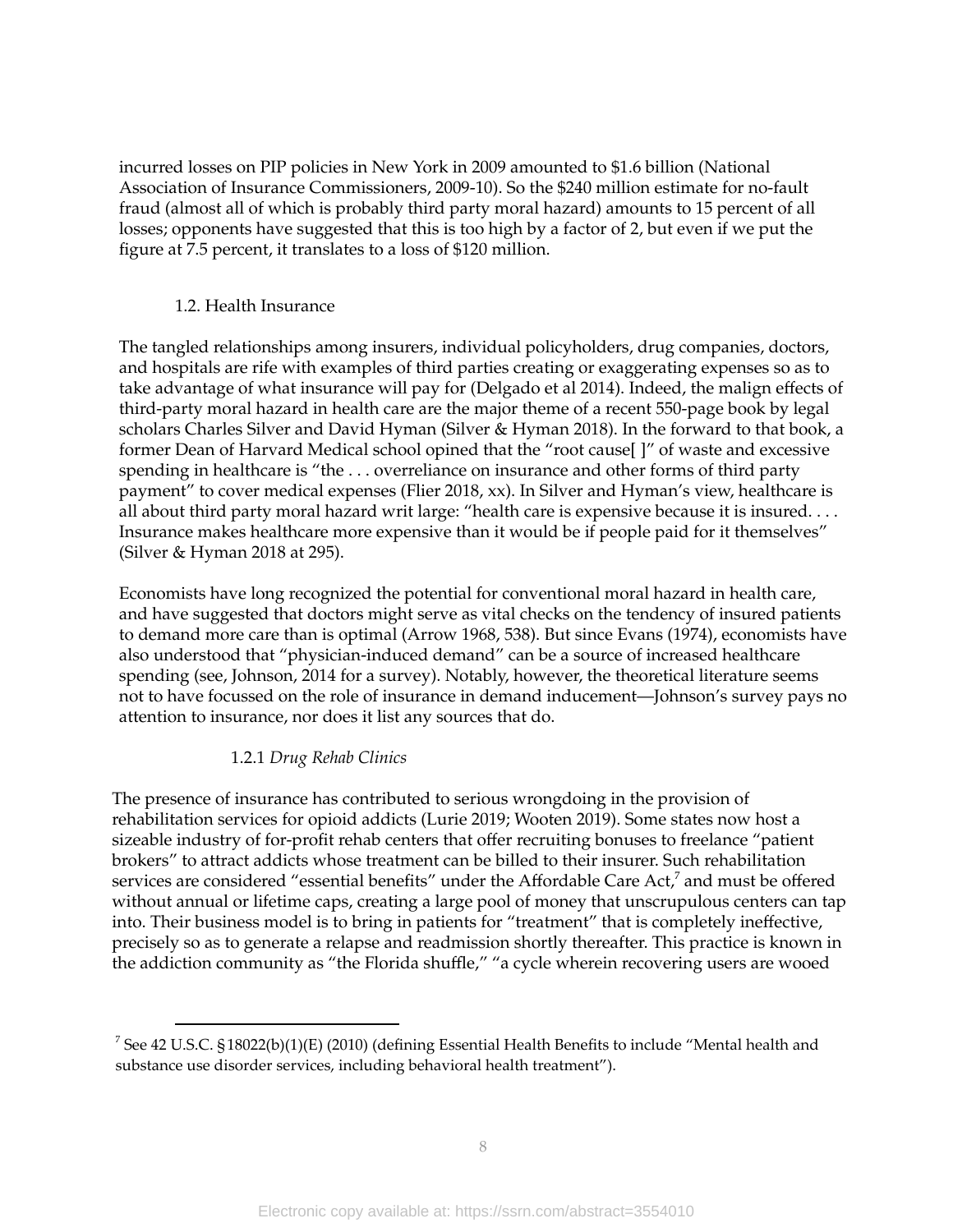incurred losses on PIP policies in New York in 2009 amounted to \$1.6 billion (National Association of Insurance Commissioners, 2009-10). So the \$240 million estimate for no-fault fraud (almost all of which is probably third party moral hazard) amounts to 15 percent of all losses; opponents have suggested that this is too high by a factor of 2, but even if we put the figure at 7.5 percent, it translates to a loss of \$120 million.

## 1.2. Health Insurance

The tangled relationships among insurers, individual policyholders, drug companies, doctors, and hospitals are rife with examples of third parties creating or exaggerating expenses so as to take advantage of what insurance will pay for (Delgado et al 2014). Indeed, the malign effects of third-party moral hazard in health care are the major theme of a recent 550-page book by legal scholars Charles Silver and David Hyman (Silver & Hyman 2018). In the forward to that book, a former Dean of Harvard Medical school opined that the "root cause[ ]" of waste and excessive spending in healthcare is "the . . . overreliance on insurance and other forms of third party payment" to cover medical expenses (Flier 2018, xx). In Silver and Hyman's view, healthcare is all about third party moral hazard writ large: "health care is expensive because it is insured. . . . Insurance makes healthcare more expensive than it would be if people paid for it themselves" (Silver & Hyman 2018 at 295).

Economists have long recognized the potential for conventional moral hazard in health care, and have suggested that doctors might serve as vital checks on the tendency of insured patients to demand more care than is optimal (Arrow 1968, 538). But since Evans (1974), economists have also understood that "physician-induced demand" can be a source of increased healthcare spending (see, Johnson, 2014 for a survey). Notably, however, the theoretical literature seems not to have focussed on the role of insurance in demand inducement—Johnson's survey pays no attention to insurance, nor does it list any sources that do.

## 1.2.1 *Drug Rehab Clinics*

The presence of insurance has contributed to serious wrongdoing in the provision of rehabilitation services for opioid addicts (Lurie 2019; Wooten 2019). Some states now host a sizeable industry of for-profit rehab centers that offer recruiting bonuses to freelance "patient brokers" to attract addicts whose treatment can be billed to their insurer. Such rehabilitation services are considered "essential benefits" under the Affordable Care Act,<sup>7</sup> and must be offered without annual or lifetime caps, creating a large pool of money that unscrupulous centers can tap into. Their business model is to bring in patients for "treatment" that is completely ineffective, precisely so as to generate a relapse and readmission shortly thereafter. This practice is known in the addiction community as "the Florida shuffle," "a cycle wherein recovering users are wooed

<sup>&</sup>lt;sup>7</sup> See 42 U.S.C. §18022(b)(1)(E) (2010) (defining Essential Health Benefits to include "Mental health and substance use disorder services, including behavioral health treatment").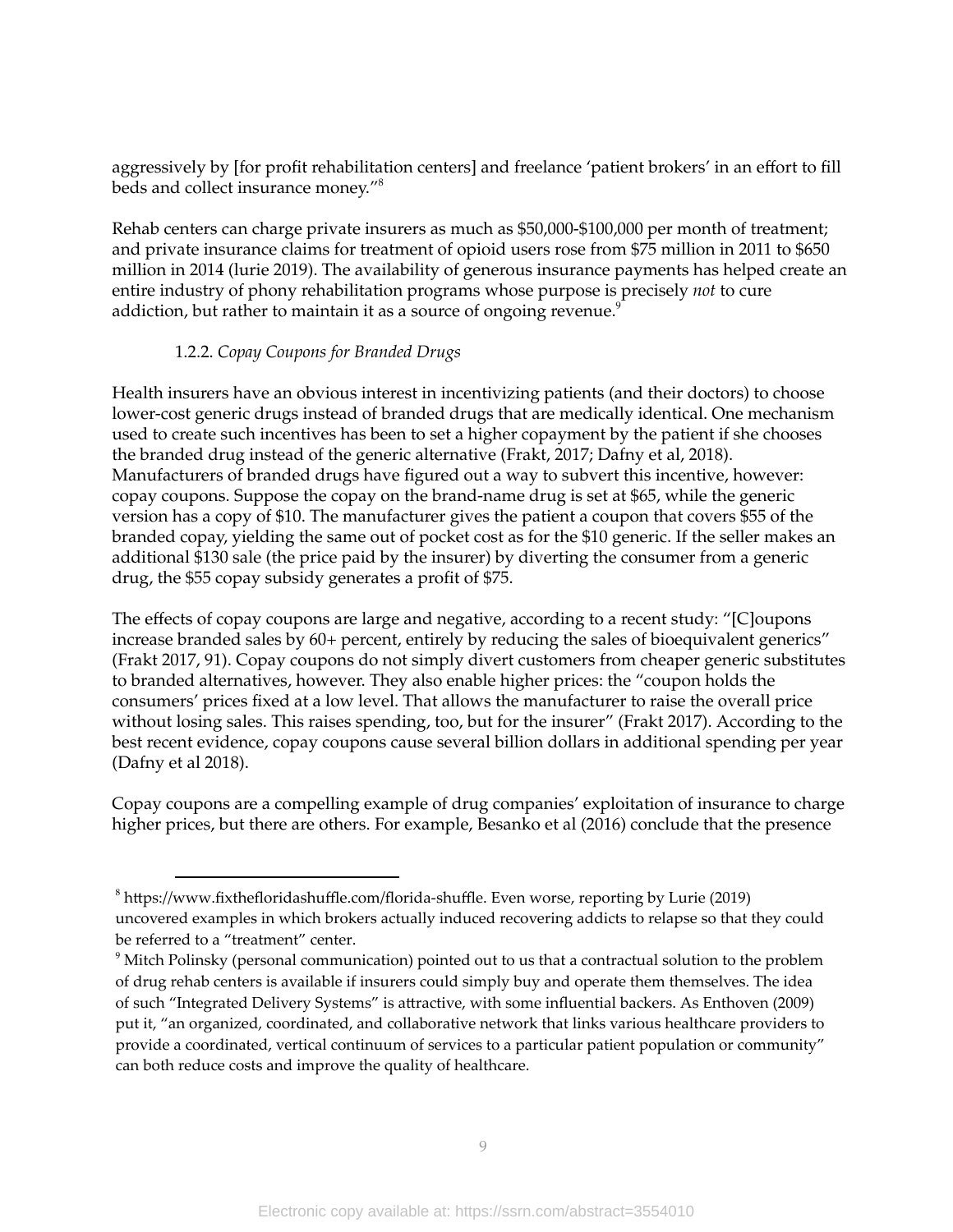aggressively by [for profit rehabilitation centers] and freelance 'patient brokers' in an effort to fill beds and collect insurance money." 8

Rehab centers can charge private insurers as much as \$50,000-\$100,000 per month of treatment; and private insurance claims for treatment of opioid users rose from \$75 million in 2011 to \$650 million in 2014 (lurie 2019). The availability of generous insurance payments has helped create an entire industry of phony rehabilitation programs whose purpose is precisely *not* to cure addiction, but rather to maintain it as a source of ongoing revenue. $^{\rm 9}$ 

## 1.2.2. *Copay Coupons for Branded Drugs*

Health insurers have an obvious interest in incentivizing patients (and their doctors) to choose lower-cost generic drugs instead of branded drugs that are medically identical. One mechanism used to create such incentives has been to set a higher copayment by the patient if she chooses the branded drug instead of the generic alternative (Frakt, 2017; Dafny et al, 2018). Manufacturers of branded drugs have figured out a way to subvert this incentive, however: copay coupons. Suppose the copay on the brand-name drug is set at \$65, while the generic version has a copy of \$10. The manufacturer gives the patient a coupon that covers \$55 of the branded copay, yielding the same out of pocket cost as for the \$10 generic. If the seller makes an additional \$130 sale (the price paid by the insurer) by diverting the consumer from a generic drug, the \$55 copay subsidy generates a profit of \$75.

The effects of copay coupons are large and negative, according to a recent study: "[C]oupons increase branded sales by 60+ percent, entirely by reducing the sales of bioequivalent generics" (Frakt 2017, 91). Copay coupons do not simply divert customers from cheaper generic substitutes to branded alternatives, however. They also enable higher prices: the "coupon holds the consumers' prices fixed at a low level. That allows the manufacturer to raise the overall price without losing sales. This raises spending, too, but for the insurer" (Frakt 2017). According to the best recent evidence, copay coupons cause several billion dollars in additional spending per year (Dafny et al 2018).

Copay coupons are a compelling example of drug companies' exploitation of insurance to charge higher prices, but there are others. For example, Besanko et al (2016) conclude that the presence

 $8$  https://www.fixthefloridashuffle.com/florida-shuffle. Even worse, reporting by Lurie (2019) uncovered examples in which brokers actually induced recovering addicts to relapse so that they could be referred to a "treatment" center.

<sup>&</sup>lt;sup>9</sup> Mitch Polinsky (personal communication) pointed out to us that a contractual solution to the problem of drug rehab centers is available if insurers could simply buy and operate them themselves. The idea of such "Integrated Delivery Systems" is attractive, with some influential backers. As Enthoven (2009) put it, "an organized, coordinated, and collaborative network that links various healthcare providers to provide a coordinated, vertical continuum of services to a particular patient population or community" can both reduce costs and improve the quality of healthcare.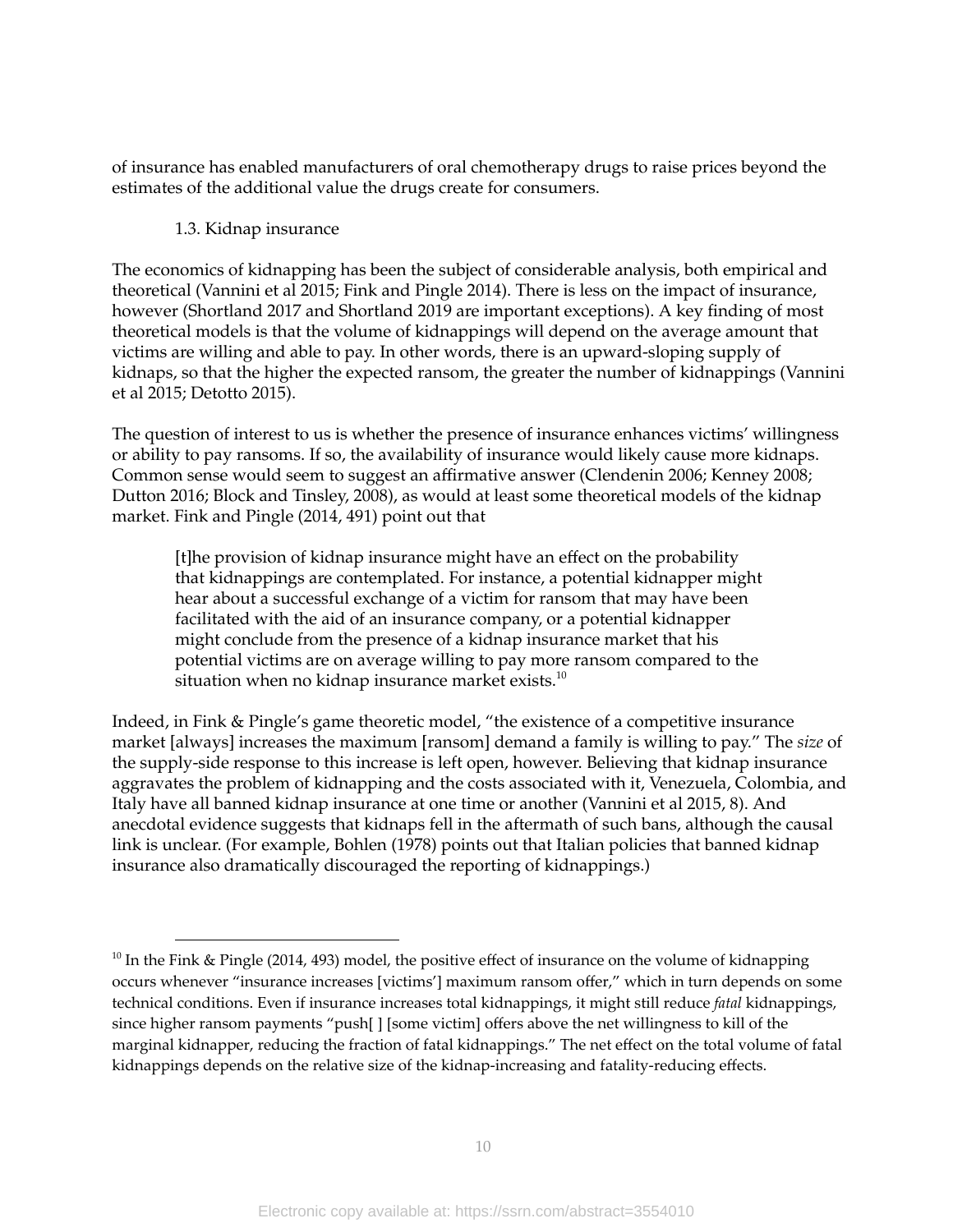of insurance has enabled manufacturers of oral chemotherapy drugs to raise prices beyond the estimates of the additional value the drugs create for consumers.

## 1.3. Kidnap insurance

The economics of kidnapping has been the subject of considerable analysis, both empirical and theoretical (Vannini et al 2015; Fink and Pingle 2014). There is less on the impact of insurance, however (Shortland 2017 and Shortland 2019 are important exceptions). A key finding of most theoretical models is that the volume of kidnappings will depend on the average amount that victims are willing and able to pay. In other words, there is an upward-sloping supply of kidnaps, so that the higher the expected ransom, the greater the number of kidnappings (Vannini et al 2015; Detotto 2015).

The question of interest to us is whether the presence of insurance enhances victims' willingness or ability to pay ransoms. If so, the availability of insurance would likely cause more kidnaps. Common sense would seem to suggest an affirmative answer (Clendenin 2006; Kenney 2008; Dutton 2016; Block and Tinsley, 2008), as would at least some theoretical models of the kidnap market. Fink and Pingle (2014, 491) point out that

[t]he provision of kidnap insurance might have an effect on the probability that kidnappings are contemplated. For instance, a potential kidnapper might hear about a successful exchange of a victim for ransom that may have been facilitated with the aid of an insurance company, or a potential kidnapper might conclude from the presence of a kidnap insurance market that his potential victims are on average willing to pay more ransom compared to the situation when no kidnap insurance market exists. $^{\rm 10}$ 

Indeed, in Fink & Pingle's game theoretic model, "the existence of a competitive insurance market [always] increases the maximum [ransom] demand a family is willing to pay." The *size* of the supply-side response to this increase is left open, however. Believing that kidnap insurance aggravates the problem of kidnapping and the costs associated with it, Venezuela, Colombia, and Italy have all banned kidnap insurance at one time or another (Vannini et al 2015, 8). And anecdotal evidence suggests that kidnaps fell in the aftermath of such bans, although the causal link is unclear. (For example, Bohlen (1978) points out that Italian policies that banned kidnap insurance also dramatically discouraged the reporting of kidnappings.)

 $10$  In the Fink & Pingle (2014, 493) model, the positive effect of insurance on the volume of kidnapping occurs whenever "insurance increases [victims'] maximum ransom offer," which in turn depends on some technical conditions. Even if insurance increases total kidnappings, it might still reduce *fatal* kidnappings, since higher ransom payments "push[ ] [some victim] offers above the net willingness to kill of the marginal kidnapper, reducing the fraction of fatal kidnappings." The net effect on the total volume of fatal kidnappings depends on the relative size of the kidnap-increasing and fatality-reducing effects.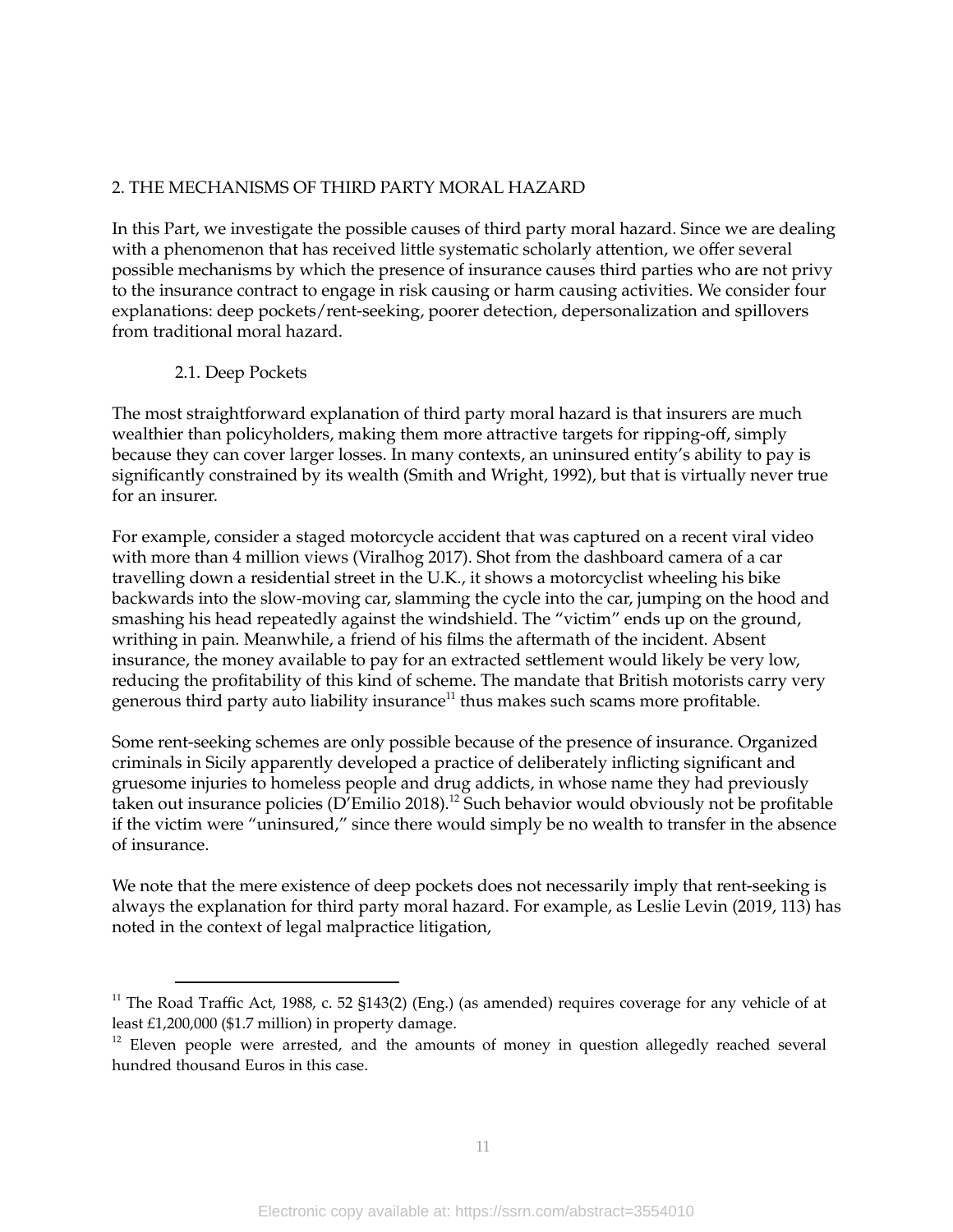## 2. THE MECHANISMS OF THIRD PARTY MORAL HAZARD

In this Part, we investigate the possible causes of third party moral hazard. Since we are dealing with a phenomenon that has received little systematic scholarly attention, we offer several possible mechanisms by which the presence of insurance causes third parties who are not privy to the insurance contract to engage in risk causing or harm causing activities. We consider four explanations: deep pockets/rent-seeking, poorer detection, depersonalization and spillovers from traditional moral hazard.

## 2.1. Deep Pockets

The most straightforward explanation of third party moral hazard is that insurers are much wealthier than policyholders, making them more attractive targets for ripping-off, simply because they can cover larger losses. In many contexts, an uninsured entity's ability to pay is significantly constrained by its wealth (Smith and Wright, 1992), but that is virtually never true for an insurer.

For example, consider a staged motorcycle accident that was captured on a recent viral video with more than 4 million views (Viralhog 2017). Shot from the dashboard camera of a car travelling down a residential street in the U.K., it shows a motorcyclist wheeling his bike backwards into the slow-moving car, slamming the cycle into the car, jumping on the hood and smashing his head repeatedly against the windshield. The "victim" ends up on the ground, writhing in pain. Meanwhile, a friend of his films the aftermath of the incident. Absent insurance, the money available to pay for an extracted settlement would likely be very low, reducing the profitability of this kind of scheme. The mandate that British motorists carry very generous third party auto liability insurance<sup>11</sup> thus makes such scams more profitable.

Some rent-seeking schemes are only possible because of the presence of insurance. Organized criminals in Sicily apparently developed a practice of deliberately inflicting significant and gruesome injuries to homeless people and drug addicts, in whose name they had previously taken out insurance policies (D'Emilio 2018).<sup>12</sup> Such behavior would obviously not be profitable if the victim were "uninsured," since there would simply be no wealth to transfer in the absence of insurance.

We note that the mere existence of deep pockets does not necessarily imply that rent-seeking is always the explanation for third party moral hazard. For example, as Leslie Levin (2019, 113) has noted in the context of legal malpractice litigation,

 $11$  The Road Traffic Act, 1988, c. 52 §143(2) (Eng.) (as amended) requires coverage for any vehicle of at least £1,200,000 (\$1.7 million) in property damage.

 $12$  Eleven people were arrested, and the amounts of money in question allegedly reached several hundred thousand Euros in this case.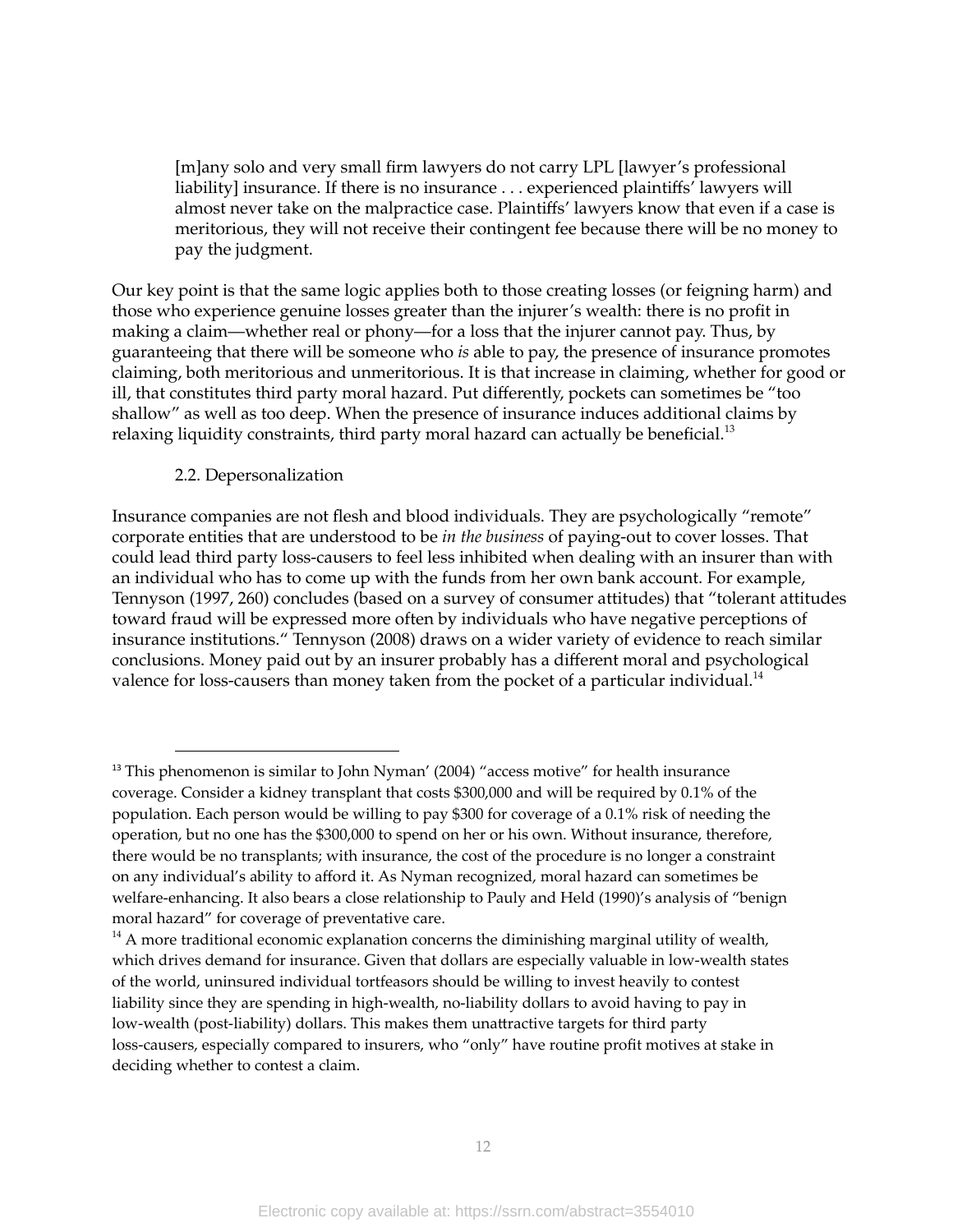[m]any solo and very small firm lawyers do not carry LPL [lawyer's professional liability] insurance. If there is no insurance . . . experienced plaintiffs' lawyers will almost never take on the malpractice case. Plaintiffs' lawyers know that even if a case is meritorious, they will not receive their contingent fee because there will be no money to pay the judgment.

Our key point is that the same logic applies both to those creating losses (or feigning harm) and those who experience genuine losses greater than the injurer's wealth: there is no profit in making a claim—whether real or phony—for a loss that the injurer cannot pay. Thus, by guaranteeing that there will be someone who *is* able to pay, the presence of insurance promotes claiming, both meritorious and unmeritorious. It is that increase in claiming, whether for good or ill, that constitutes third party moral hazard. Put differently, pockets can sometimes be "too shallow" as well as too deep. When the presence of insurance induces additional claims by relaxing liquidity constraints, third party moral hazard can actually be beneficial. $^{\rm 13}$ 

#### 2.2. Depersonalization

Insurance companies are not flesh and blood individuals. They are psychologically "remote" corporate entities that are understood to be *in the business* of paying-out to cover losses. That could lead third party loss-causers to feel less inhibited when dealing with an insurer than with an individual who has to come up with the funds from her own bank account. For example, Tennyson (1997, 260) concludes (based on a survey of consumer attitudes) that "tolerant attitudes toward fraud will be expressed more often by individuals who have negative perceptions of insurance institutions." Tennyson (2008) draws on a wider variety of evidence to reach similar conclusions. Money paid out by an insurer probably has a different moral and psychological valence for loss-causers than money taken from the pocket of a particular individual. $^{14}$ 

 $13$  This phenomenon is similar to John Nyman' (2004) "access motive" for health insurance coverage. Consider a kidney transplant that costs \$300,000 and will be required by 0.1% of the population. Each person would be willing to pay \$300 for coverage of a 0.1% risk of needing the operation, but no one has the \$300,000 to spend on her or his own. Without insurance, therefore, there would be no transplants; with insurance, the cost of the procedure is no longer a constraint on any individual's ability to afford it. As Nyman recognized, moral hazard can sometimes be welfare-enhancing. It also bears a close relationship to Pauly and Held (1990)'s analysis of "benign moral hazard" for coverage of preventative care.

 $14$  A more traditional economic explanation concerns the diminishing marginal utility of wealth, which drives demand for insurance. Given that dollars are especially valuable in low-wealth states of the world, uninsured individual tortfeasors should be willing to invest heavily to contest liability since they are spending in high-wealth, no-liability dollars to avoid having to pay in low-wealth (post-liability) dollars. This makes them unattractive targets for third party loss-causers, especially compared to insurers, who "only" have routine profit motives at stake in deciding whether to contest a claim.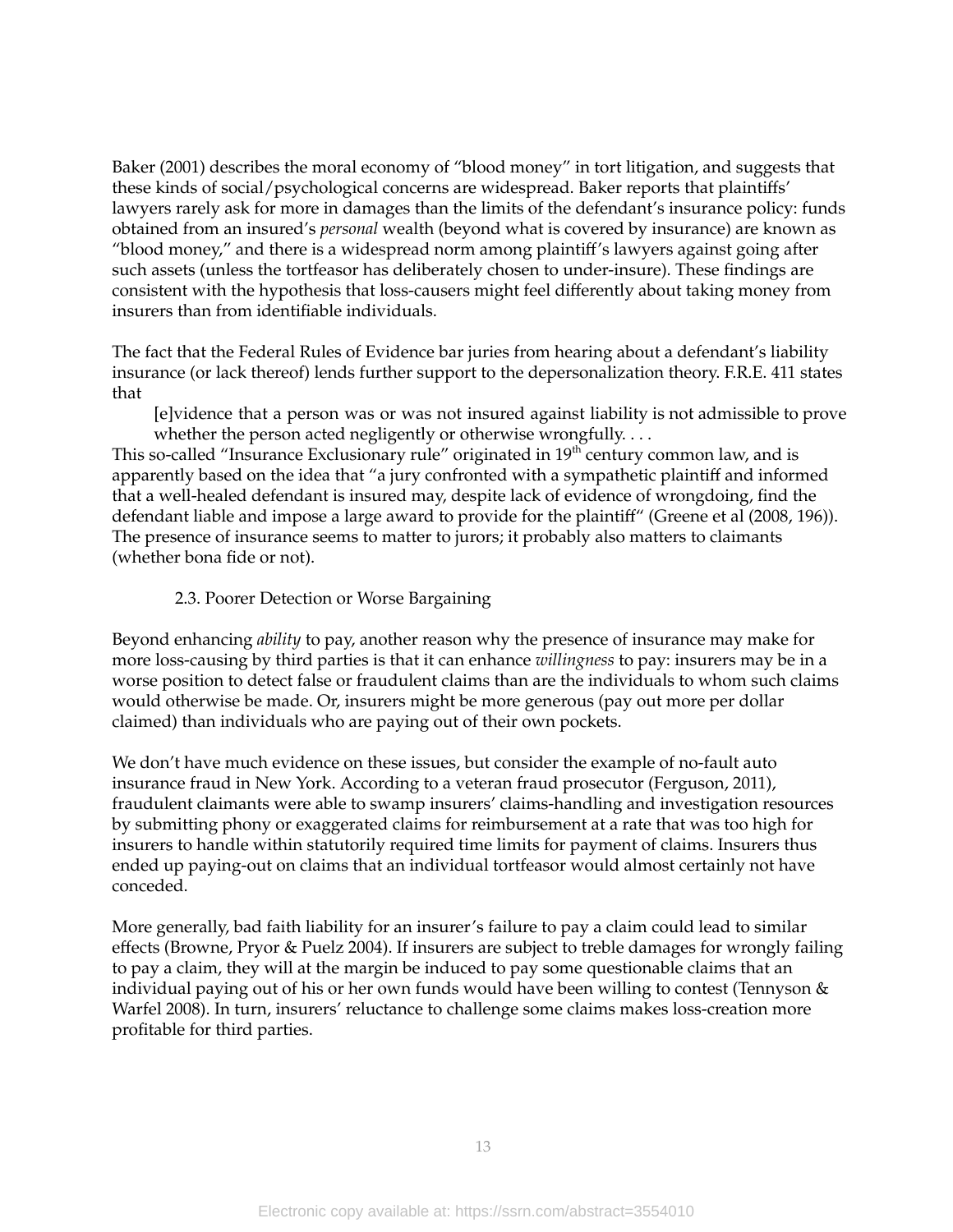Baker (2001) describes the moral economy of "blood money" in tort litigation, and suggests that these kinds of social/psychological concerns are widespread. Baker reports that plaintiffs' lawyers rarely ask for more in damages than the limits of the defendant's insurance policy: funds obtained from an insured's *personal* wealth (beyond what is covered by insurance) are known as "blood money," and there is a widespread norm among plaintiff's lawyers against going after such assets (unless the tortfeasor has deliberately chosen to under-insure). These findings are consistent with the hypothesis that loss-causers might feel differently about taking money from insurers than from identifiable individuals.

The fact that the Federal Rules of Evidence bar juries from hearing about a defendant's liability insurance (or lack thereof) lends further support to the depersonalization theory. F.R.E. 411 states that

[e]vidence that a person was or was not insured against liability is not admissible to prove whether the person acted negligently or otherwise wrongfully....

This so-called "Insurance Exclusionary rule" originated in  $19^{\rm th}$  century common law, and is apparently based on the idea that "a jury confronted with a sympathetic plaintiff and informed that a well-healed defendant is insured may, despite lack of evidence of wrongdoing, find the defendant liable and impose a large award to provide for the plaintiff" (Greene et al (2008, 196)). The presence of insurance seems to matter to jurors; it probably also matters to claimants (whether bona fide or not).

## 2.3. Poorer Detection or Worse Bargaining

Beyond enhancing *ability* to pay, another reason why the presence of insurance may make for more loss-causing by third parties is that it can enhance *willingness* to pay: insurers may be in a worse position to detect false or fraudulent claims than are the individuals to whom such claims would otherwise be made. Or, insurers might be more generous (pay out more per dollar claimed) than individuals who are paying out of their own pockets.

We don't have much evidence on these issues, but consider the example of no-fault auto insurance fraud in New York. According to a veteran fraud prosecutor (Ferguson, 2011), fraudulent claimants were able to swamp insurers' claims-handling and investigation resources by submitting phony or exaggerated claims for reimbursement at a rate that was too high for insurers to handle within statutorily required time limits for payment of claims. Insurers thus ended up paying-out on claims that an individual tortfeasor would almost certainly not have conceded.

More generally, bad faith liability for an insurer's failure to pay a claim could lead to similar effects (Browne, Pryor & Puelz 2004). If insurers are subject to treble damages for wrongly failing to pay a claim, they will at the margin be induced to pay some questionable claims that an individual paying out of his or her own funds would have been willing to contest (Tennyson & Warfel 2008). In turn, insurers' reluctance to challenge some claims makes loss-creation more profitable for third parties.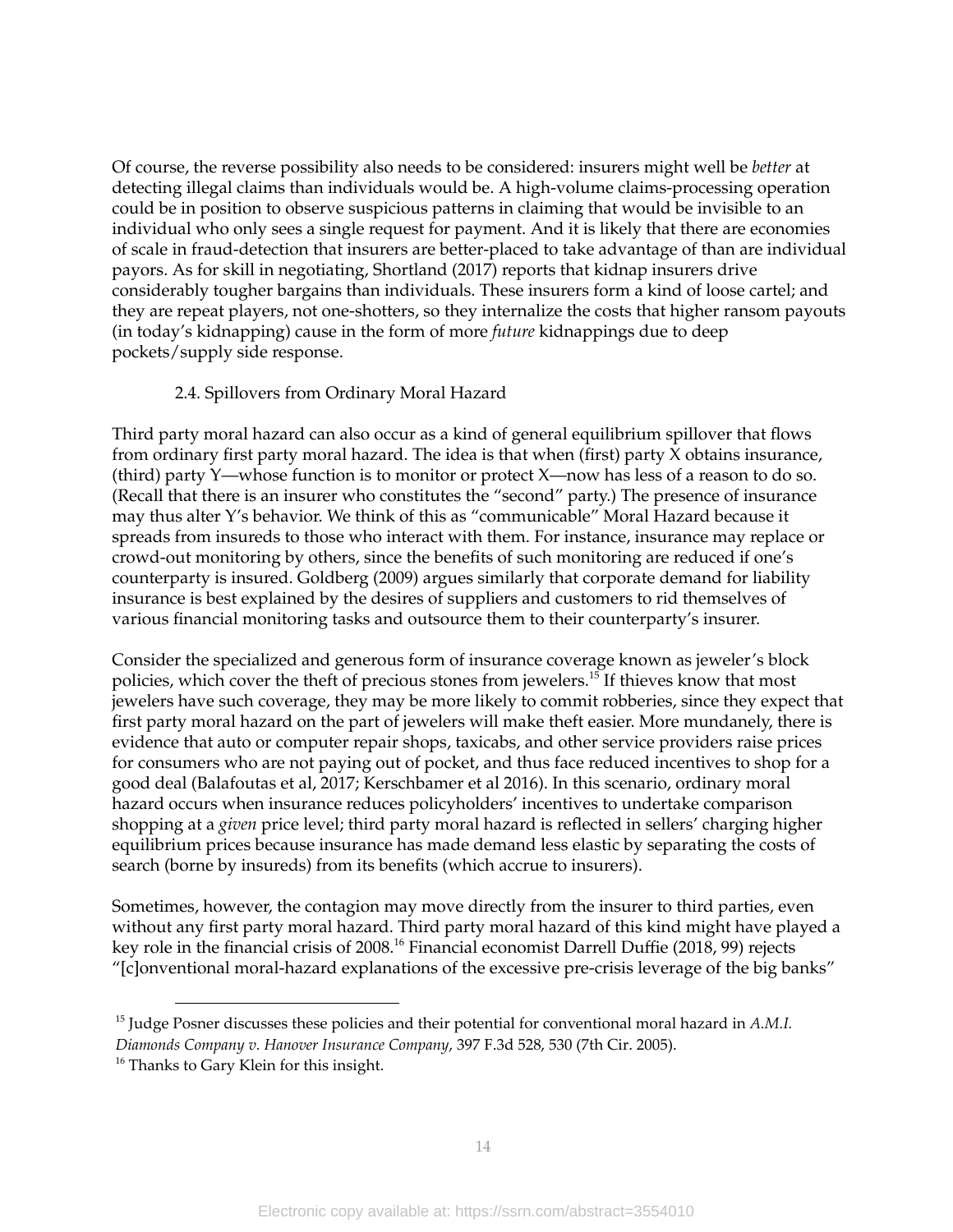Of course, the reverse possibility also needs to be considered: insurers might well be *better* at detecting illegal claims than individuals would be. A high-volume claims-processing operation could be in position to observe suspicious patterns in claiming that would be invisible to an individual who only sees a single request for payment. And it is likely that there are economies of scale in fraud-detection that insurers are better-placed to take advantage of than are individual payors. As for skill in negotiating, Shortland (2017) reports that kidnap insurers drive considerably tougher bargains than individuals. These insurers form a kind of loose cartel; and they are repeat players, not one-shotters, so they internalize the costs that higher ransom payouts (in today's kidnapping) cause in the form of more *future* kidnappings due to deep pockets/supply side response.

## 2.4. Spillovers from Ordinary Moral Hazard

Third party moral hazard can also occur as a kind of general equilibrium spillover that flows from ordinary first party moral hazard. The idea is that when (first) party X obtains insurance, (third) party Y—whose function is to monitor or protect X—now has less of a reason to do so. (Recall that there is an insurer who constitutes the "second" party.) The presence of insurance may thus alter Y's behavior. We think of this as "communicable" Moral Hazard because it spreads from insureds to those who interact with them. For instance, insurance may replace or crowd-out monitoring by others, since the benefits of such monitoring are reduced if one's counterparty is insured. Goldberg (2009) argues similarly that corporate demand for liability insurance is best explained by the desires of suppliers and customers to rid themselves of various financial monitoring tasks and outsource them to their counterparty's insurer.

Consider the specialized and generous form of insurance coverage known as jeweler's block policies, which cover the theft of precious stones from jewelers. 15 If thieves know that most jewelers have such coverage, they may be more likely to commit robberies, since they expect that first party moral hazard on the part of jewelers will make theft easier. More mundanely, there is evidence that auto or computer repair shops, taxicabs, and other service providers raise prices for consumers who are not paying out of pocket, and thus face reduced incentives to shop for a good deal (Balafoutas et al, 2017; Kerschbamer et al 2016). In this scenario, ordinary moral hazard occurs when insurance reduces policyholders' incentives to undertake comparison shopping at a *given* price level; third party moral hazard is reflected in sellers' charging higher equilibrium prices because insurance has made demand less elastic by separating the costs of search (borne by insureds) from its benefits (which accrue to insurers).

Sometimes, however, the contagion may move directly from the insurer to third parties, even without any first party moral hazard. Third party moral hazard of this kind might have played a key role in the financial crisis of 2008. <sup>16</sup> Financial economist Darrell Duffie (2018, 99) rejects "[c]onventional moral-hazard explanations of the excessive pre-crisis leverage of the big banks"

<sup>15</sup> Judge Posner discusses these policies and their potential for conventional moral hazard in *A.M.I. Diamonds Company v. Hanover Insurance Company*, 397 F.3d 528, 530 (7th Cir. 2005).

<sup>&</sup>lt;sup>16</sup> Thanks to Gary Klein for this insight.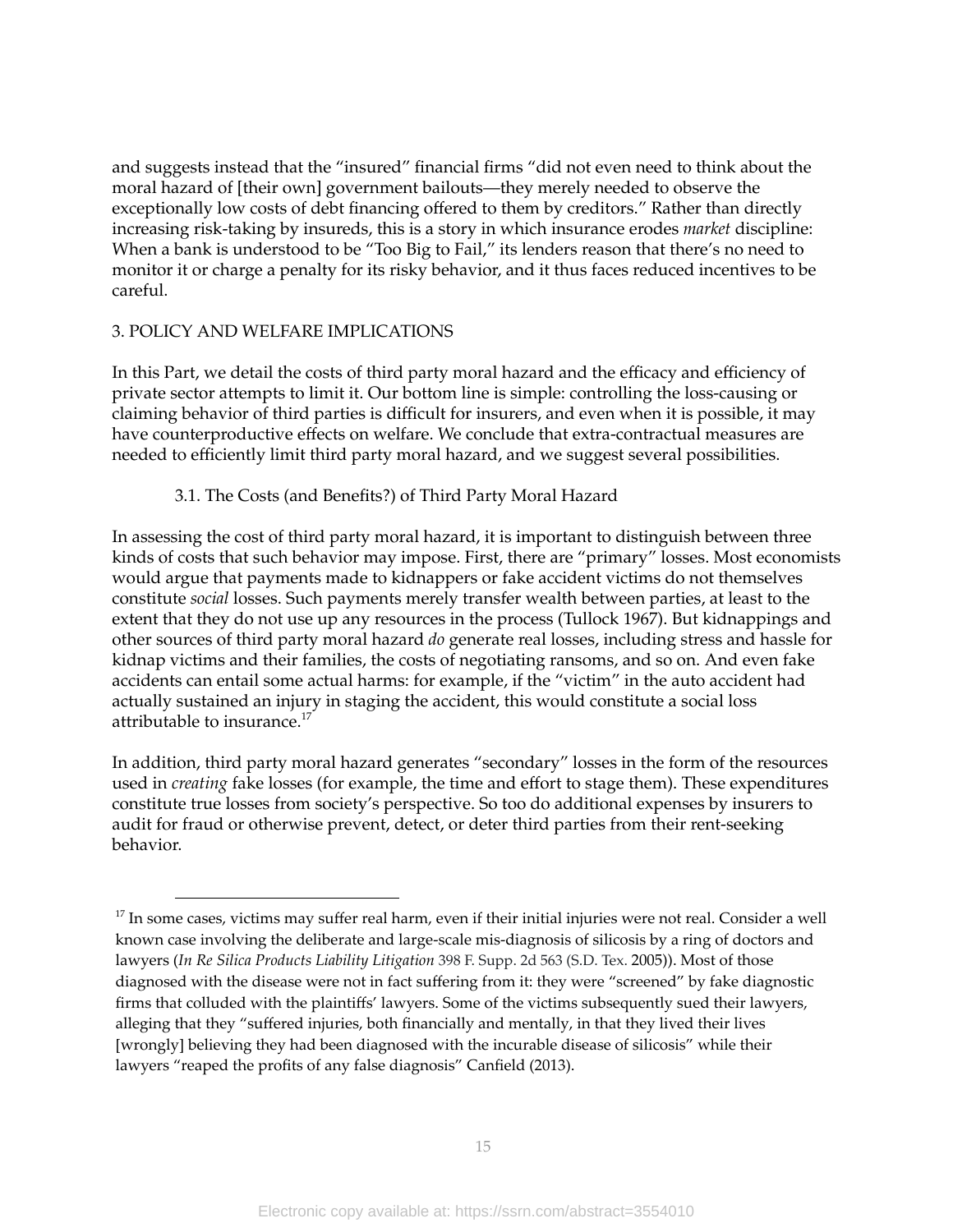and suggests instead that the "insured" financial firms "did not even need to think about the moral hazard of [their own] government bailouts—they merely needed to observe the exceptionally low costs of debt financing offered to them by creditors." Rather than directly increasing risk-taking by insureds, this is a story in which insurance erodes *market* discipline: When a bank is understood to be "Too Big to Fail," its lenders reason that there's no need to monitor it or charge a penalty for its risky behavior, and it thus faces reduced incentives to be careful.

#### 3. POLICY AND WELFARE IMPLICATIONS

In this Part, we detail the costs of third party moral hazard and the efficacy and efficiency of private sector attempts to limit it. Our bottom line is simple: controlling the loss-causing or claiming behavior of third parties is difficult for insurers, and even when it is possible, it may have counterproductive effects on welfare. We conclude that extra-contractual measures are needed to efficiently limit third party moral hazard, and we suggest several possibilities.

#### 3.1. The Costs (and Benefits?) of Third Party Moral Hazard

In assessing the cost of third party moral hazard, it is important to distinguish between three kinds of costs that such behavior may impose. First, there are "primary" losses. Most economists would argue that payments made to kidnappers or fake accident victims do not themselves constitute *social* losses. Such payments merely transfer wealth between parties, at least to the extent that they do not use up any resources in the process (Tullock 1967). But kidnappings and other sources of third party moral hazard *do* generate real losses, including stress and hassle for kidnap victims and their families, the costs of negotiating ransoms, and so on. And even fake accidents can entail some actual harms: for example, if the "victim" in the auto accident had actually sustained an injury in staging the accident, this would constitute a social loss attributable to insurance. 17

In addition, third party moral hazard generates "secondary" losses in the form of the resources used in *creating* fake losses (for example, the time and effort to stage them). These expenditures constitute true losses from society's perspective. So too do additional expenses by insurers to audit for fraud or otherwise prevent, detect, or deter third parties from their rent-seeking behavior.

<sup>&</sup>lt;sup>17</sup> In some cases, victims may suffer real harm, even if their initial injuries were not real. Consider a well known case involving the deliberate and large-scale mis-diagnosis of silicosis by a ring of doctors and lawyers (*In Re Silica Products Liability Litigation* 398 F. Supp. 2d 563 (S.D. Tex. 2005)). Most of those diagnosed with the disease were not in fact suffering from it: they were "screened" by fake diagnostic firms that colluded with the plaintiffs' lawyers. Some of the victims subsequently sued their lawyers, alleging that they "suffered injuries, both financially and mentally, in that they lived their lives [wrongly] believing they had been diagnosed with the incurable disease of silicosis" while their lawyers "reaped the profits of any false diagnosis" Canfield (2013).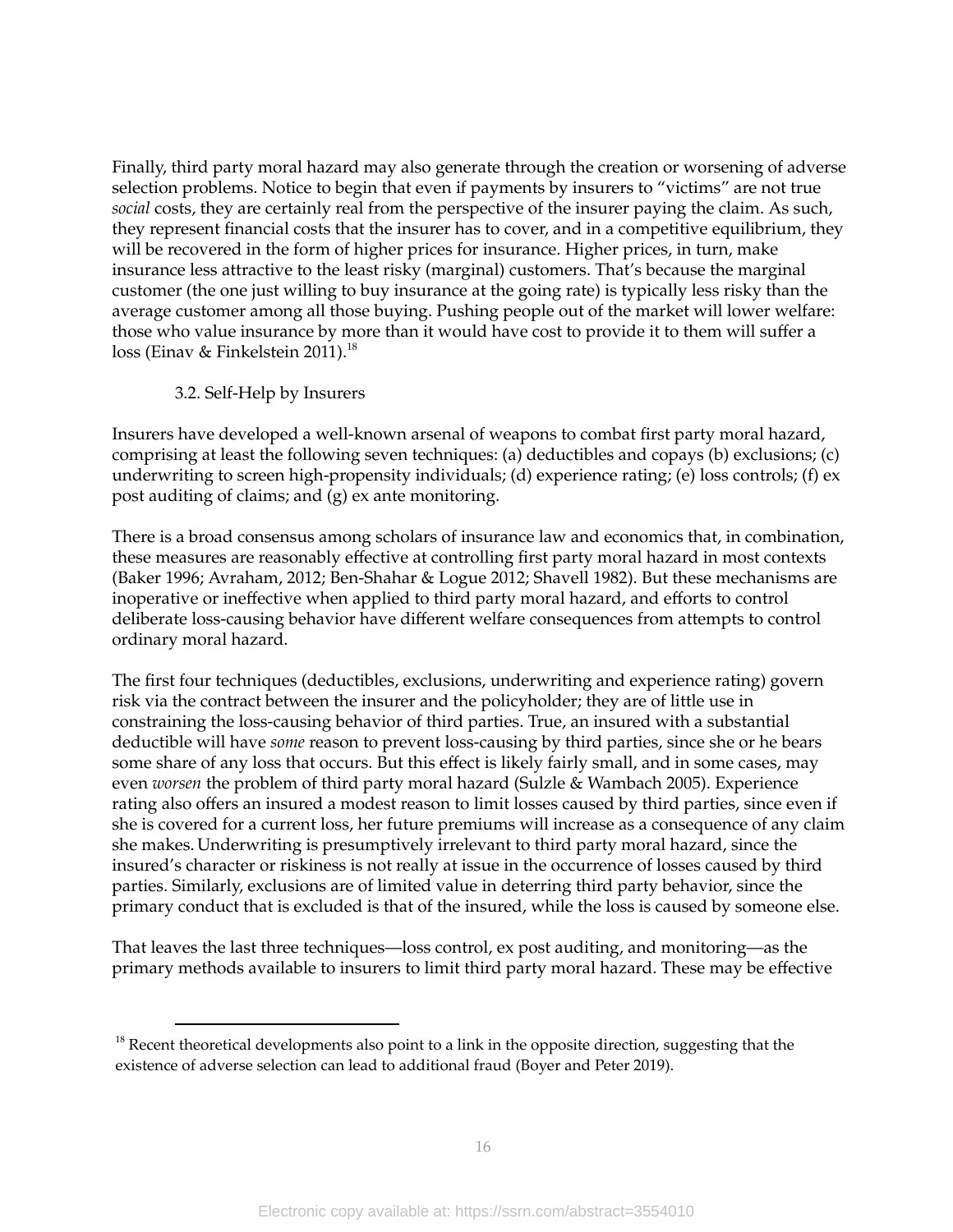Finally, third party moral hazard may also generate through the creation or worsening of adverse selection problems. Notice to begin that even if payments by insurers to "victims" are not true *social* costs, they are certainly real from the perspective of the insurer paying the claim. As such, they represent financial costs that the insurer has to cover, and in a competitive equilibrium, they will be recovered in the form of higher prices for insurance. Higher prices, in turn, make insurance less attractive to the least risky (marginal) customers. That's because the marginal customer (the one just willing to buy insurance at the going rate) is typically less risky than the average customer among all those buying. Pushing people out of the market will lower welfare: those who value insurance by more than it would have cost to provide it to them will suffer a loss (Einav & Finkelstein 2011). 18

## 3.2. Self-Help by Insurers

Insurers have developed a well-known arsenal of weapons to combat first party moral hazard, comprising at least the following seven techniques: (a) deductibles and copays (b) exclusions; (c) underwriting to screen high-propensity individuals; (d) experience rating; (e) loss controls; (f) ex post auditing of claims; and (g) ex ante monitoring.

There is a broad consensus among scholars of insurance law and economics that, in combination, these measures are reasonably effective at controlling first party moral hazard in most contexts (Baker 1996; Avraham, 2012; Ben-Shahar & Logue 2012; Shavell 1982). But these mechanisms are inoperative or ineffective when applied to third party moral hazard, and efforts to control deliberate loss-causing behavior have different welfare consequences from attempts to control ordinary moral hazard.

The first four techniques (deductibles, exclusions, underwriting and experience rating) govern risk via the contract between the insurer and the policyholder; they are of little use in constraining the loss-causing behavior of third parties. True, an insured with a substantial deductible will have *some* reason to prevent loss-causing by third parties, since she or he bears some share of any loss that occurs. But this effect is likely fairly small, and in some cases, may even *worsen* the problem of third party moral hazard (Sulzle & Wambach 2005). Experience rating also offers an insured a modest reason to limit losses caused by third parties, since even if she is covered for a current loss, her future premiums will increase as a consequence of any claim she makes.Underwriting is presumptively irrelevant to third party moral hazard, since the insured's character or riskiness is not really at issue in the occurrence of losses caused by third parties. Similarly, exclusions are of limited value in deterring third party behavior, since the primary conduct that is excluded is that of the insured, while the loss is caused by someone else.

That leaves the last three techniques—loss control, ex post auditing, and monitoring—as the primary methods available to insurers to limit third party moral hazard. These may be effective

 $18$  Recent theoretical developments also point to a link in the opposite direction, suggesting that the existence of adverse selection can lead to additional fraud (Boyer and Peter 2019).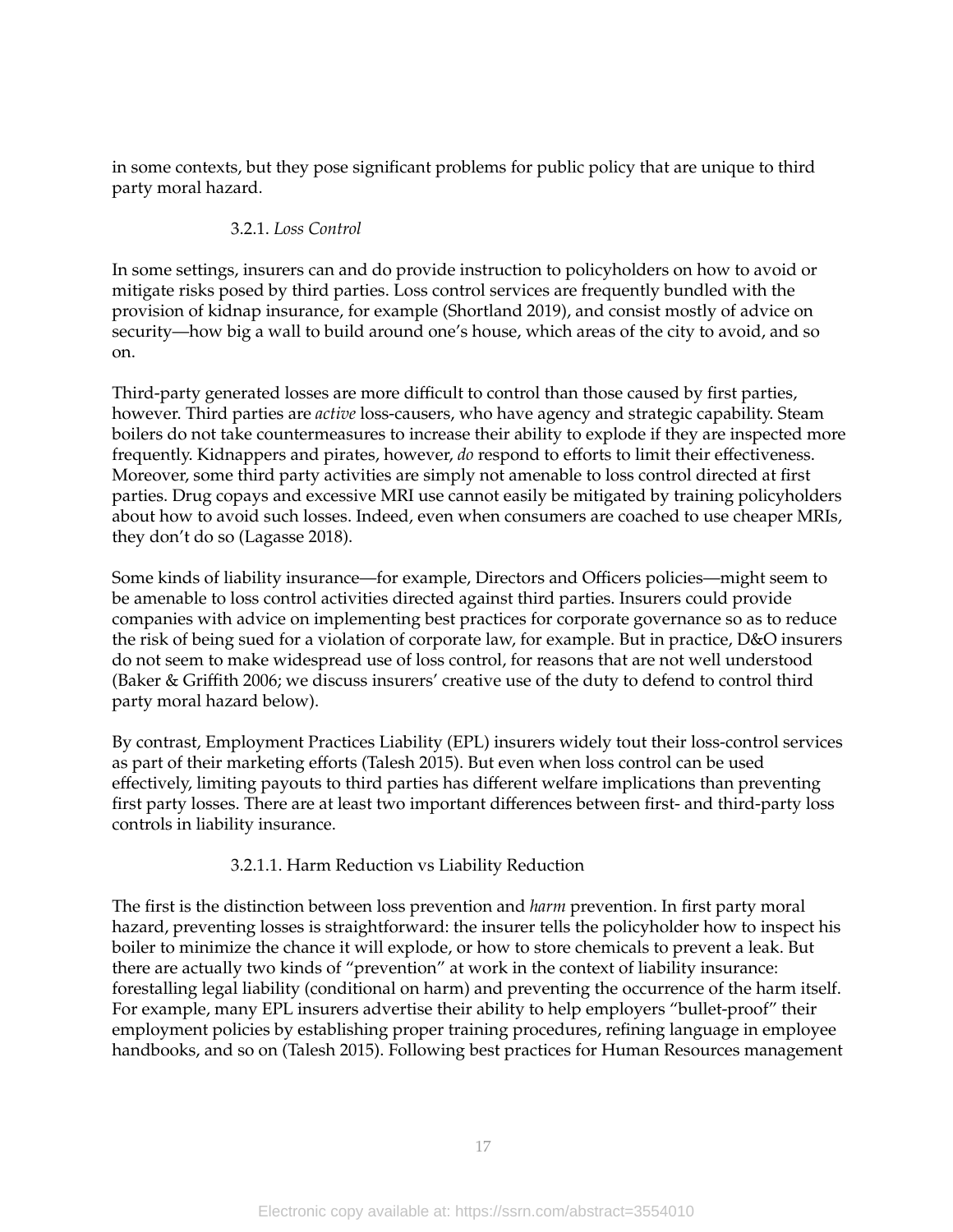in some contexts, but they pose significant problems for public policy that are unique to third party moral hazard.

## 3.2.1. *Loss Control*

In some settings, insurers can and do provide instruction to policyholders on how to avoid or mitigate risks posed by third parties. Loss control services are frequently bundled with the provision of kidnap insurance, for example (Shortland 2019), and consist mostly of advice on security—how big a wall to build around one's house, which areas of the city to avoid, and so on.

Third-party generated losses are more difficult to control than those caused by first parties, however. Third parties are *active* loss-causers, who have agency and strategic capability. Steam boilers do not take countermeasures to increase their ability to explode if they are inspected more frequently. Kidnappers and pirates, however, *do* respond to efforts to limit their effectiveness. Moreover, some third party activities are simply not amenable to loss control directed at first parties. Drug copays and excessive MRI use cannot easily be mitigated by training policyholders about how to avoid such losses. Indeed, even when consumers are coached to use cheaper MRIs, they don't do so (Lagasse 2018).

Some kinds of liability insurance—for example, Directors and Officers policies—might seem to be amenable to loss control activities directed against third parties. Insurers could provide companies with advice on implementing best practices for corporate governance so as to reduce the risk of being sued for a violation of corporate law, for example. But in practice, D&O insurers do not seem to make widespread use of loss control, for reasons that are not well understood (Baker & Griffith 2006; we discuss insurers' creative use of the duty to defend to control third party moral hazard below).

By contrast, Employment Practices Liability (EPL) insurers widely tout their loss-control services as part of their marketing efforts (Talesh 2015). But even when loss control can be used effectively, limiting payouts to third parties has different welfare implications than preventing first party losses. There are at least two important differences between first- and third-party loss controls in liability insurance.

## 3.2.1.1. Harm Reduction vs Liability Reduction

The first is the distinction between loss prevention and *harm* prevention. In first party moral hazard, preventing losses is straightforward: the insurer tells the policyholder how to inspect his boiler to minimize the chance it will explode, or how to store chemicals to prevent a leak. But there are actually two kinds of "prevention" at work in the context of liability insurance: forestalling legal liability (conditional on harm) and preventing the occurrence of the harm itself. For example, many EPL insurers advertise their ability to help employers "bullet-proof" their employment policies by establishing proper training procedures, refining language in employee handbooks, and so on (Talesh 2015). Following best practices for Human Resources management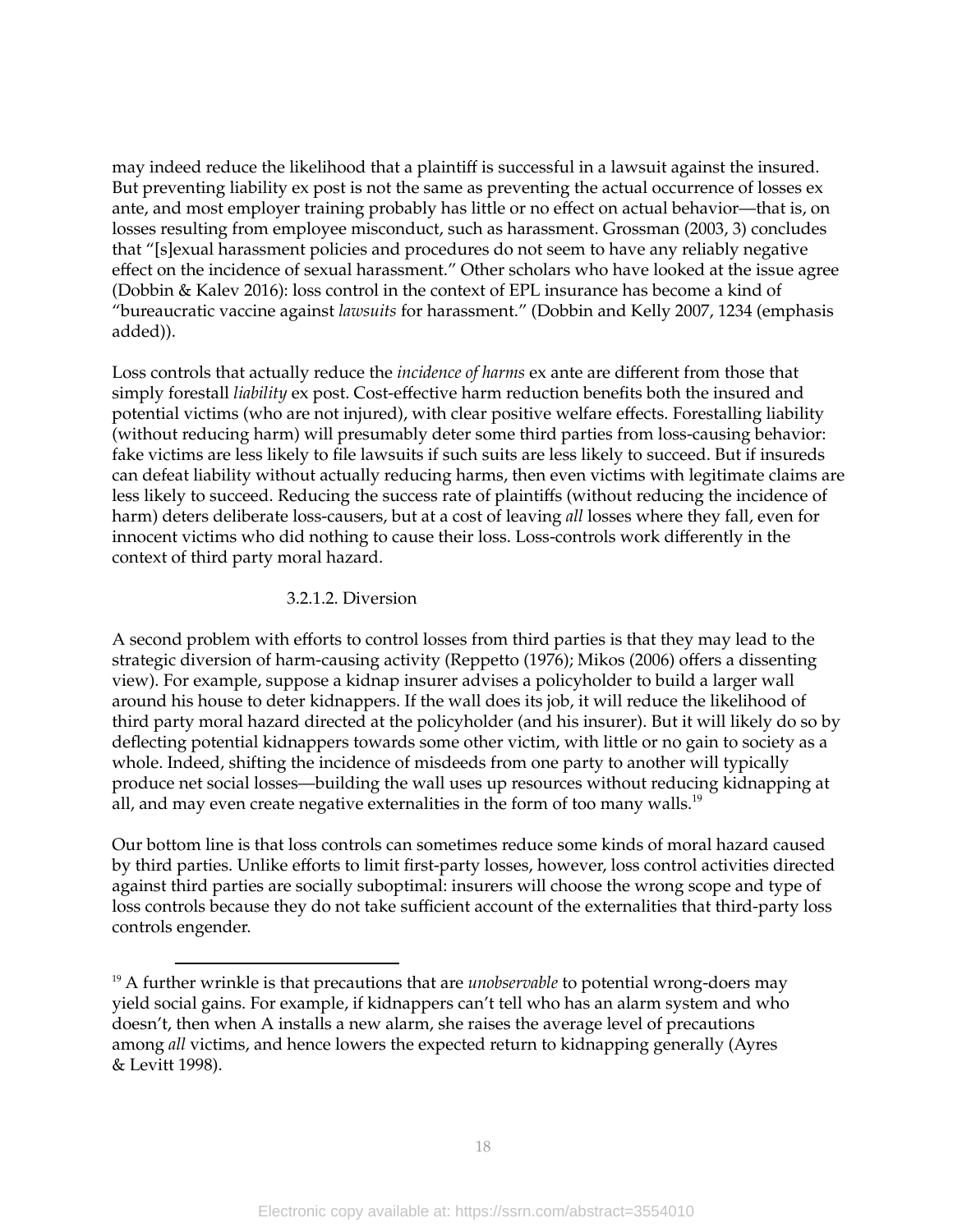may indeed reduce the likelihood that a plaintiff is successful in a lawsuit against the insured. But preventing liability ex post is not the same as preventing the actual occurrence of losses ex ante, and most employer training probably has little or no effect on actual behavior—that is, on losses resulting from employee misconduct, such as harassment. Grossman (2003, 3) concludes that "[s]exual harassment policies and procedures do not seem to have any reliably negative effect on the incidence of sexual harassment." Other scholars who have looked at the issue agree (Dobbin & Kalev 2016): loss control in the context of EPL insurance has become a kind of "bureaucratic vaccine against *lawsuits* for harassment." (Dobbin and Kelly 2007, 1234 (emphasis added)).

Loss controls that actually reduce the *incidence of harms* ex ante are different from those that simply forestall *liability* ex post. Cost-effective harm reduction benefits both the insured and potential victims (who are not injured), with clear positive welfare effects. Forestalling liability (without reducing harm) will presumably deter some third parties from loss-causing behavior: fake victims are less likely to file lawsuits if such suits are less likely to succeed. But if insureds can defeat liability without actually reducing harms, then even victims with legitimate claims are less likely to succeed. Reducing the success rate of plaintiffs (without reducing the incidence of harm) deters deliberate loss-causers, but at a cost of leaving *all* losses where they fall, even for innocent victims who did nothing to cause their loss. Loss-controls work differently in the context of third party moral hazard.

## 3.2.1.2. Diversion

A second problem with efforts to control losses from third parties is that they may lead to the strategic diversion of harm-causing activity (Reppetto (1976); Mikos (2006) offers a dissenting view). For example, suppose a kidnap insurer advises a policyholder to build a larger wall around his house to deter kidnappers. If the wall does its job, it will reduce the likelihood of third party moral hazard directed at the policyholder (and his insurer). But it will likely do so by deflecting potential kidnappers towards some other victim, with little or no gain to society as a whole. Indeed, shifting the incidence of misdeeds from one party to another will typically produce net social losses—building the wall uses up resources without reducing kidnapping at all, and may even create negative externalities in the form of too many walls. $^{19}$ 

Our bottom line is that loss controls can sometimes reduce some kinds of moral hazard caused by third parties. Unlike efforts to limit first-party losses, however, loss control activities directed against third parties are socially suboptimal: insurers will choose the wrong scope and type of loss controls because they do not take sufficient account of the externalities that third-party loss controls engender.

<sup>&</sup>lt;sup>19</sup> A further wrinkle is that precautions that are *unobservable* to potential wrong-doers may yield social gains. For example, if kidnappers can't tell who has an alarm system and who doesn't, then when A installs a new alarm, she raises the average level of precautions among *all* victims, and hence lowers the expected return to kidnapping generally (Ayres & Levitt 1998).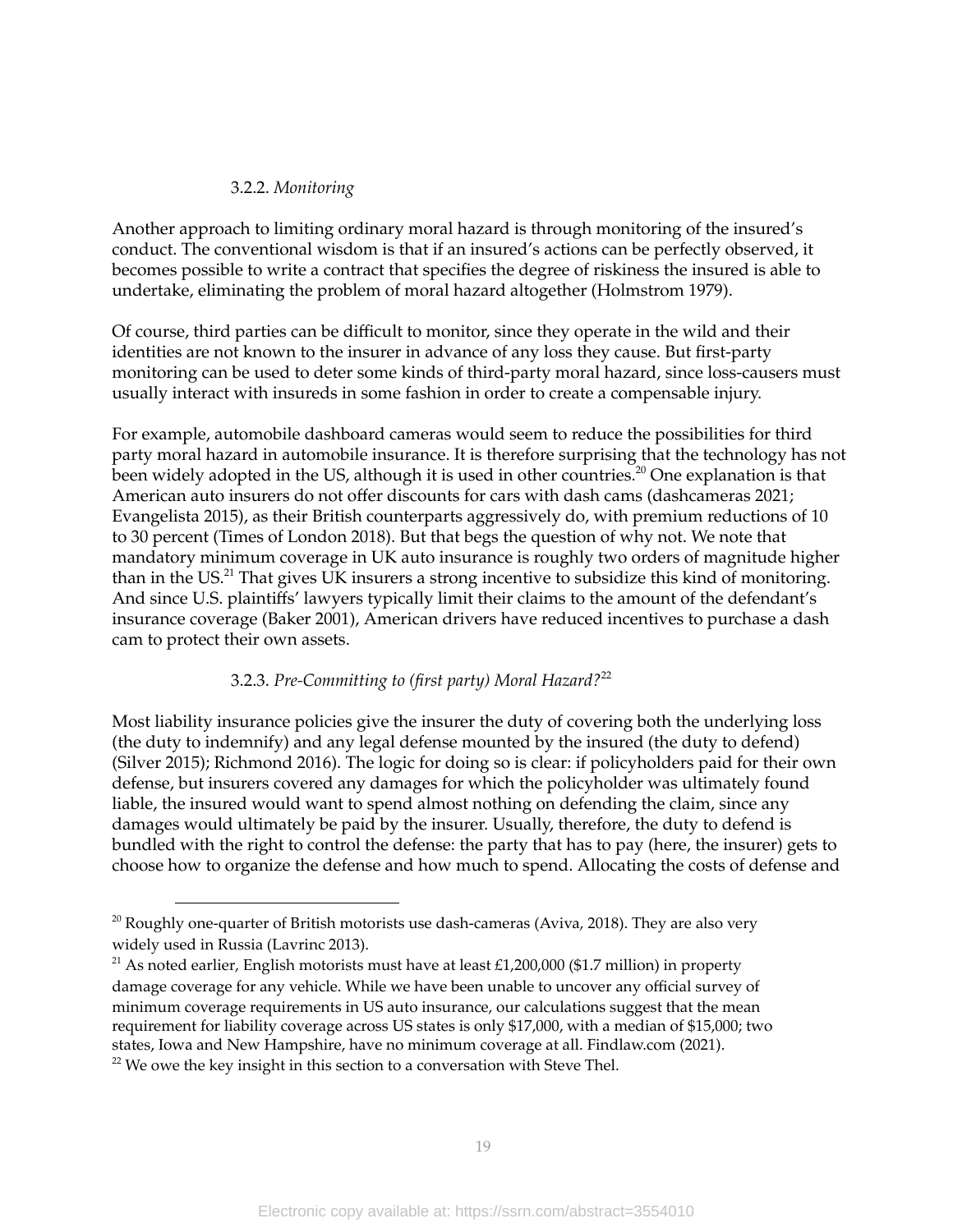## 3.2.2. *Monitoring*

Another approach to limiting ordinary moral hazard is through monitoring of the insured's conduct. The conventional wisdom is that if an insured's actions can be perfectly observed, it becomes possible to write a contract that specifies the degree of riskiness the insured is able to undertake, eliminating the problem of moral hazard altogether (Holmstrom 1979).

Of course, third parties can be difficult to monitor, since they operate in the wild and their identities are not known to the insurer in advance of any loss they cause. But first-party monitoring can be used to deter some kinds of third-party moral hazard, since loss-causers must usually interact with insureds in some fashion in order to create a compensable injury.

For example, automobile dashboard cameras would seem to reduce the possibilities for third party moral hazard in automobile insurance. It is therefore surprising that the technology has not been widely adopted in the US, although it is used in other countries.<sup>20</sup> One explanation is that American auto insurers do not offer discounts for cars with dash cams (dashcameras 2021; Evangelista 2015), as their British counterparts aggressively do, with premium reductions of 10 to 30 percent (Times of London 2018). But that begs the question of why not. We note that mandatory minimum coverage in UK auto insurance is roughly two orders of magnitude higher than in the US.<sup>21</sup> That gives UK insurers a strong incentive to subsidize this kind of monitoring. And since U.S. plaintiffs' lawyers typically limit their claims to the amount of the defendant's insurance coverage (Baker 2001), American drivers have reduced incentives to purchase a dash cam to protect their own assets.

## 3.2.3. *Pre-Committing to (first party) Moral Hazard?* 22

Most liability insurance policies give the insurer the duty of covering both the underlying loss (the duty to indemnify) and any legal defense mounted by the insured (the duty to defend) (Silver 2015); Richmond 2016). The logic for doing so is clear: if policyholders paid for their own defense, but insurers covered any damages for which the policyholder was ultimately found liable, the insured would want to spend almost nothing on defending the claim, since any damages would ultimately be paid by the insurer. Usually, therefore, the duty to defend is bundled with the right to control the defense: the party that has to pay (here, the insurer) gets to choose how to organize the defense and how much to spend. Allocating the costs of defense and

 $20$  Roughly one-quarter of British motorists use dash-cameras (Aviva, 2018). They are also very widely used in Russia (Lavrinc 2013).

 $22$  We owe the key insight in this section to a conversation with Steve Thel. <sup>21</sup> As noted earlier, English motorists must have at least £1,200,000 (\$1.7 million) in property damage coverage for any vehicle. While we have been unable to uncover any official survey of minimum coverage requirements in US auto insurance, our calculations suggest that the mean requirement for liability coverage across US states is only \$17,000, with a median of \$15,000; two states, Iowa and New Hampshire, have no minimum coverage at all. Findlaw.com (2021).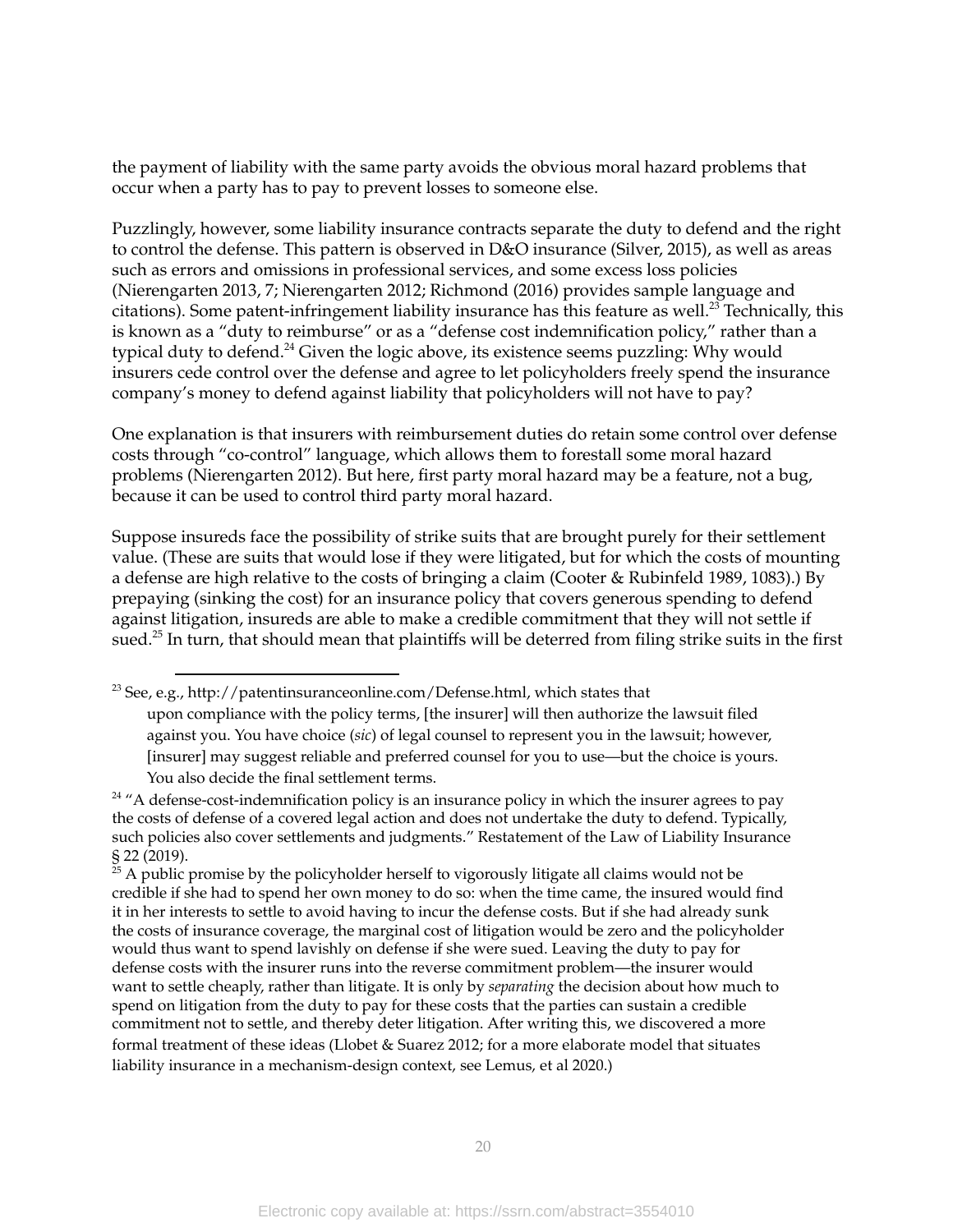the payment of liability with the same party avoids the obvious moral hazard problems that occur when a party has to pay to prevent losses to someone else.

Puzzlingly, however, some liability insurance contracts separate the duty to defend and the right to control the defense. This pattern is observed in D&O insurance (Silver, 2015), as well as areas such as errors and omissions in professional services, and some excess loss policies (Nierengarten 2013, 7; Nierengarten 2012; Richmond (2016) provides sample language and citations). Some patent-infringement liability insurance has this feature as well. $^{23}$  Technically, this is known as a "duty to reimburse" or as a "defense cost indemnification policy," rather than a typical duty to defend.<sup>24</sup> Given the logic above, its existence seems puzzling: Why would insurers cede control over the defense and agree to let policyholders freely spend the insurance company's money to defend against liability that policyholders will not have to pay?

One explanation is that insurers with reimbursement duties do retain some control over defense costs through "co-control" language, which allows them to forestall some moral hazard problems (Nierengarten 2012). But here, first party moral hazard may be a feature, not a bug, because it can be used to control third party moral hazard.

Suppose insureds face the possibility of strike suits that are brought purely for their settlement value. (These are suits that would lose if they were litigated, but for which the costs of mounting a defense are high relative to the costs of bringing a claim (Cooter & Rubinfeld 1989, 1083).) By prepaying (sinking the cost) for an insurance policy that covers generous spending to defend against litigation, insureds are able to make a credible commitment that they will not settle if sued. $^{25}$  In turn, that should mean that plaintiffs will be deterred from filing strike suits in the first

<sup>&</sup>lt;sup>23</sup> See, e.g., http://patentinsuranceonline.com/Defense.html, which states that upon compliance with the policy terms, [the insurer] will then authorize the lawsuit filed against you. You have choice (*sic*) of legal counsel to represent you in the lawsuit; however, [insurer] may suggest reliable and preferred counsel for you to use—but the choice is yours. You also decide the final settlement terms.

 $24$  "A defense-cost-indemnification policy is an insurance policy in which the insurer agrees to pay the costs of defense of a covered legal action and does not undertake the duty to defend. Typically, such policies also cover settlements and judgments." Restatement of the Law of Liability Insurance § 22 (2019).

 $25$  A public promise by the policyholder herself to vigorously litigate all claims would not be credible if she had to spend her own money to do so: when the time came, the insured would find it in her interests to settle to avoid having to incur the defense costs. But if she had already sunk the costs of insurance coverage, the marginal cost of litigation would be zero and the policyholder would thus want to spend lavishly on defense if she were sued. Leaving the duty to pay for defense costs with the insurer runs into the reverse commitment problem—the insurer would want to settle cheaply, rather than litigate. It is only by *separating* the decision about how much to spend on litigation from the duty to pay for these costs that the parties can sustain a credible commitment not to settle, and thereby deter litigation. After writing this, we discovered a more formal treatment of these ideas (Llobet & Suarez 2012; for a more elaborate model that situates liability insurance in a mechanism-design context, see Lemus, et al 2020.)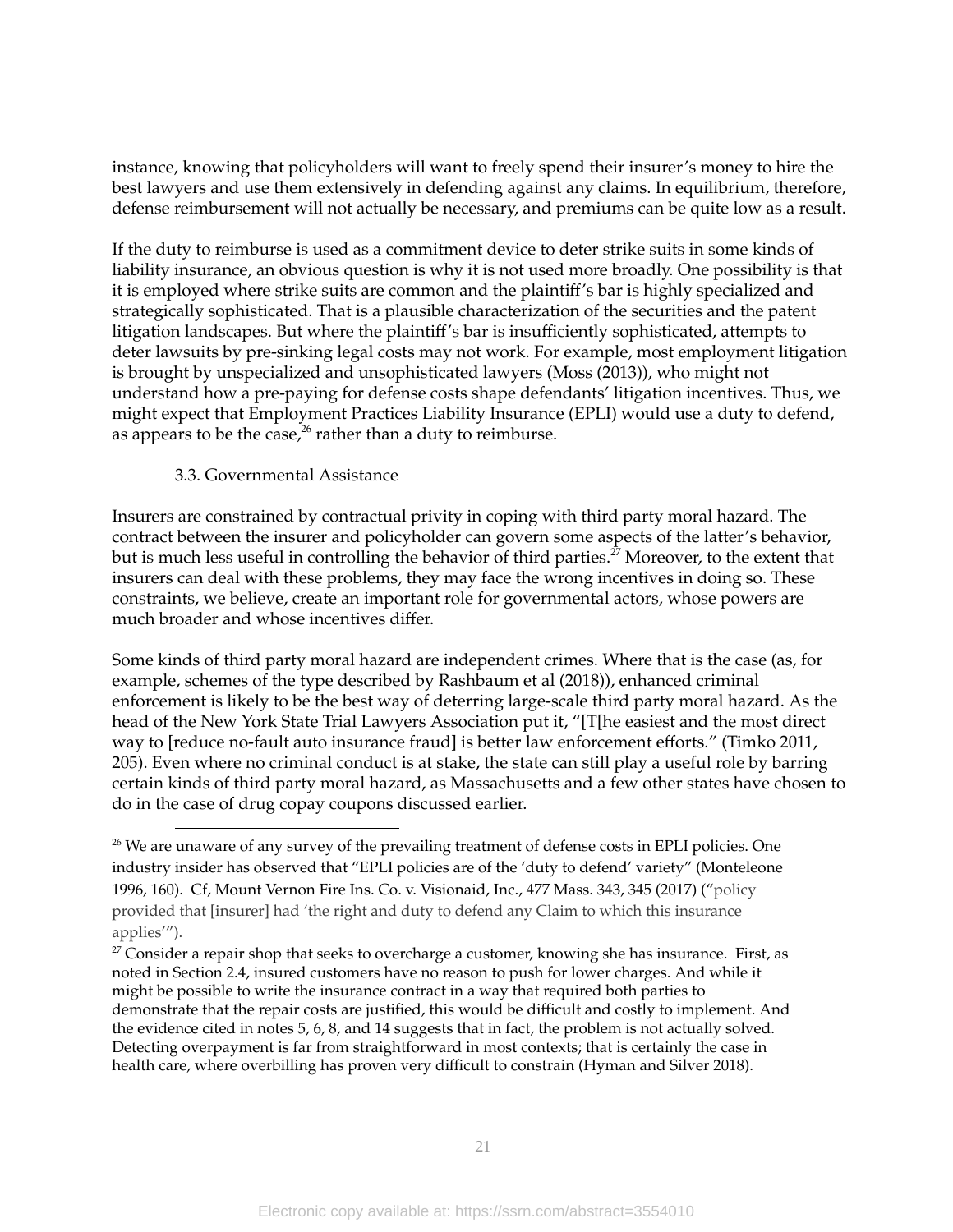instance, knowing that policyholders will want to freely spend their insurer's money to hire the best lawyers and use them extensively in defending against any claims. In equilibrium, therefore, defense reimbursement will not actually be necessary, and premiums can be quite low as a result.

If the duty to reimburse is used as a commitment device to deter strike suits in some kinds of liability insurance, an obvious question is why it is not used more broadly. One possibility is that it is employed where strike suits are common and the plaintiff's bar is highly specialized and strategically sophisticated. That is a plausible characterization of the securities and the patent litigation landscapes. But where the plaintiff's bar is insufficiently sophisticated, attempts to deter lawsuits by pre-sinking legal costs may not work. For example, most employment litigation is brought by unspecialized and unsophisticated lawyers (Moss (2013)), who might not understand how a pre-paying for defense costs shape defendants' litigation incentives. Thus, we might expect that Employment Practices Liability Insurance (EPLI) would use a duty to defend, as appears to be the case, $^{26}$  rather than a duty to reimburse.

## 3.3. Governmental Assistance

Insurers are constrained by contractual privity in coping with third party moral hazard. The contract between the insurer and policyholder can govern some aspects of the latter's behavior, but is much less useful in controlling the behavior of third parties.<sup>27</sup> Moreover, to the extent that insurers can deal with these problems, they may face the wrong incentives in doing so. These constraints, we believe, create an important role for governmental actors, whose powers are much broader and whose incentives differ.

Some kinds of third party moral hazard are independent crimes. Where that is the case (as, for example, schemes of the type described by Rashbaum et al (2018)), enhanced criminal enforcement is likely to be the best way of deterring large-scale third party moral hazard. As the head of the New York State Trial Lawyers Association put it, "[T[he easiest and the most direct way to [reduce no-fault auto insurance fraud] is better law enforcement efforts." (Timko 2011, 205). Even where no criminal conduct is at stake, the state can still play a useful role by barring certain kinds of third party moral hazard, as Massachusetts and a few other states have chosen to do in the case of drug copay coupons discussed earlier.

<sup>&</sup>lt;sup>26</sup> We are unaware of any survey of the prevailing treatment of defense costs in EPLI policies. One industry insider has observed that "EPLI policies are of the 'duty to defend' variety" (Monteleone 1996, 160). Cf, Mount Vernon Fire Ins. Co. v. Visionaid, Inc., 477 Mass. 343, 345 (2017) ("policy provided that [insurer] had 'the right and duty to defend any Claim to which this insurance applies'").

 $27$  Consider a repair shop that seeks to overcharge a customer, knowing she has insurance. First, as noted in Section 2.4, insured customers have no reason to push for lower charges. And while it might be possible to write the insurance contract in a way that required both parties to demonstrate that the repair costs are justified, this would be difficult and costly to implement. And the evidence cited in notes 5, 6, 8, and 14 suggests that in fact, the problem is not actually solved. Detecting overpayment is far from straightforward in most contexts; that is certainly the case in health care, where overbilling has proven very difficult to constrain (Hyman and Silver 2018).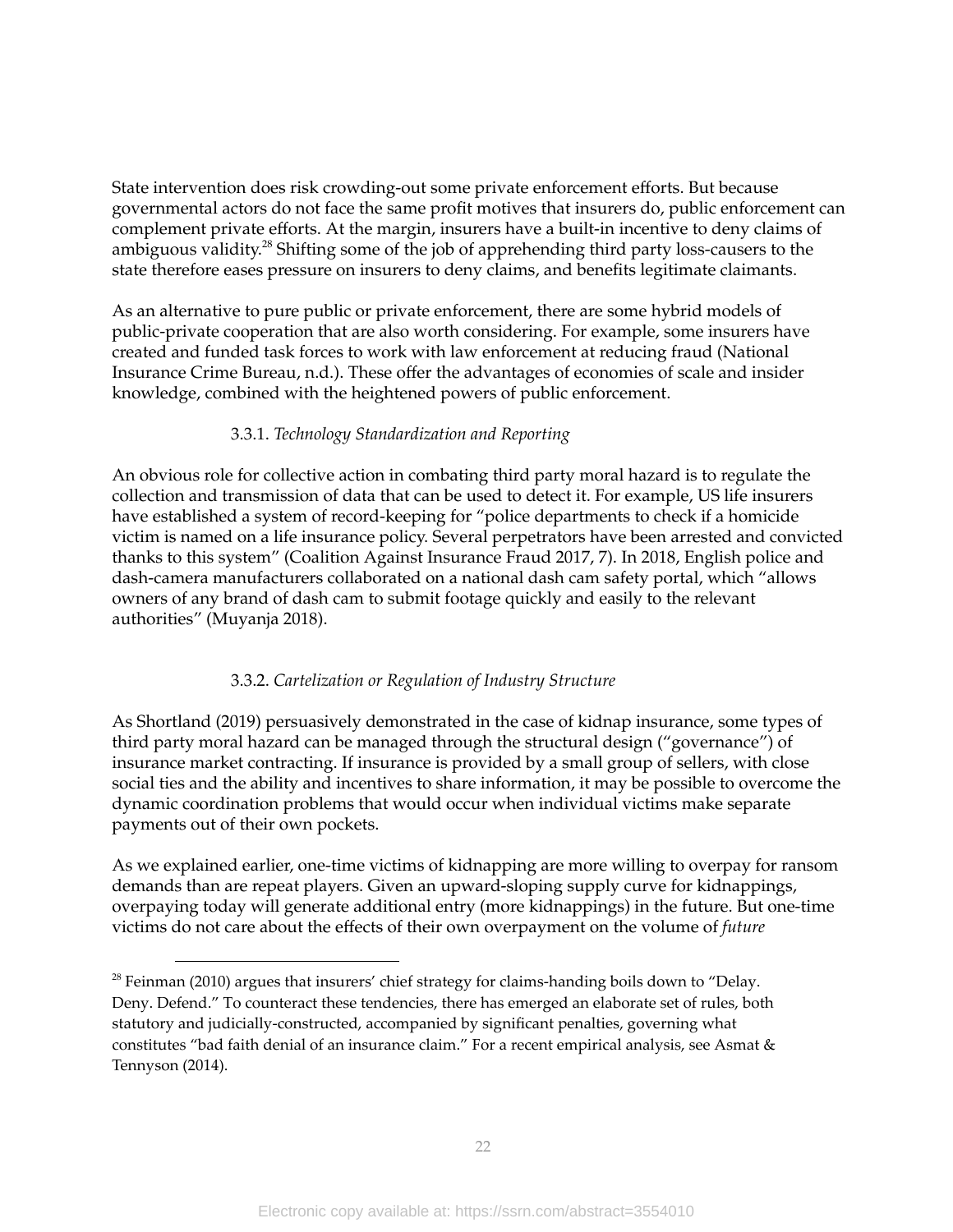State intervention does risk crowding-out some private enforcement efforts. But because governmental actors do not face the same profit motives that insurers do, public enforcement can complement private efforts. At the margin, insurers have a built-in incentive to deny claims of ambiguous validity.<sup>28</sup> Shifting some of the job of apprehending third party loss-causers to the state therefore eases pressure on insurers to deny claims, and benefits legitimate claimants.

As an alternative to pure public or private enforcement, there are some hybrid models of public-private cooperation that are also worth considering. For example, some insurers have created and funded task forces to work with law enforcement at reducing fraud (National Insurance Crime Bureau, n.d.). These offer the advantages of economies of scale and insider knowledge, combined with the heightened powers of public enforcement.

## 3.3.1. *Technology Standardization and Reporting*

An obvious role for collective action in combating third party moral hazard is to regulate the collection and transmission of data that can be used to detect it. For example, US life insurers have established a system of record-keeping for "police departments to check if a homicide victim is named on a life insurance policy. Several perpetrators have been arrested and convicted thanks to this system" (Coalition Against Insurance Fraud 2017, 7). In 2018, English police and dash-camera manufacturers collaborated on a national dash cam safety portal, which "allows owners of any brand of dash cam to submit footage quickly and easily to the relevant authorities" (Muyanja 2018).

## 3.3.2. *Cartelization or Regulation of Industry Structure*

As Shortland (2019) persuasively demonstrated in the case of kidnap insurance, some types of third party moral hazard can be managed through the structural design ("governance") of insurance market contracting. If insurance is provided by a small group of sellers, with close social ties and the ability and incentives to share information, it may be possible to overcome the dynamic coordination problems that would occur when individual victims make separate payments out of their own pockets.

As we explained earlier, one-time victims of kidnapping are more willing to overpay for ransom demands than are repeat players. Given an upward-sloping supply curve for kidnappings, overpaying today will generate additional entry (more kidnappings) in the future. But one-time victims do not care about the effects of their own overpayment on the volume of *future*

 $28$  Feinman (2010) argues that insurers' chief strategy for claims-handing boils down to "Delay. Deny. Defend." To counteract these tendencies, there has emerged an elaborate set of rules, both statutory and judicially-constructed, accompanied by significant penalties, governing what constitutes "bad faith denial of an insurance claim." For a recent empirical analysis, see Asmat & Tennyson (2014).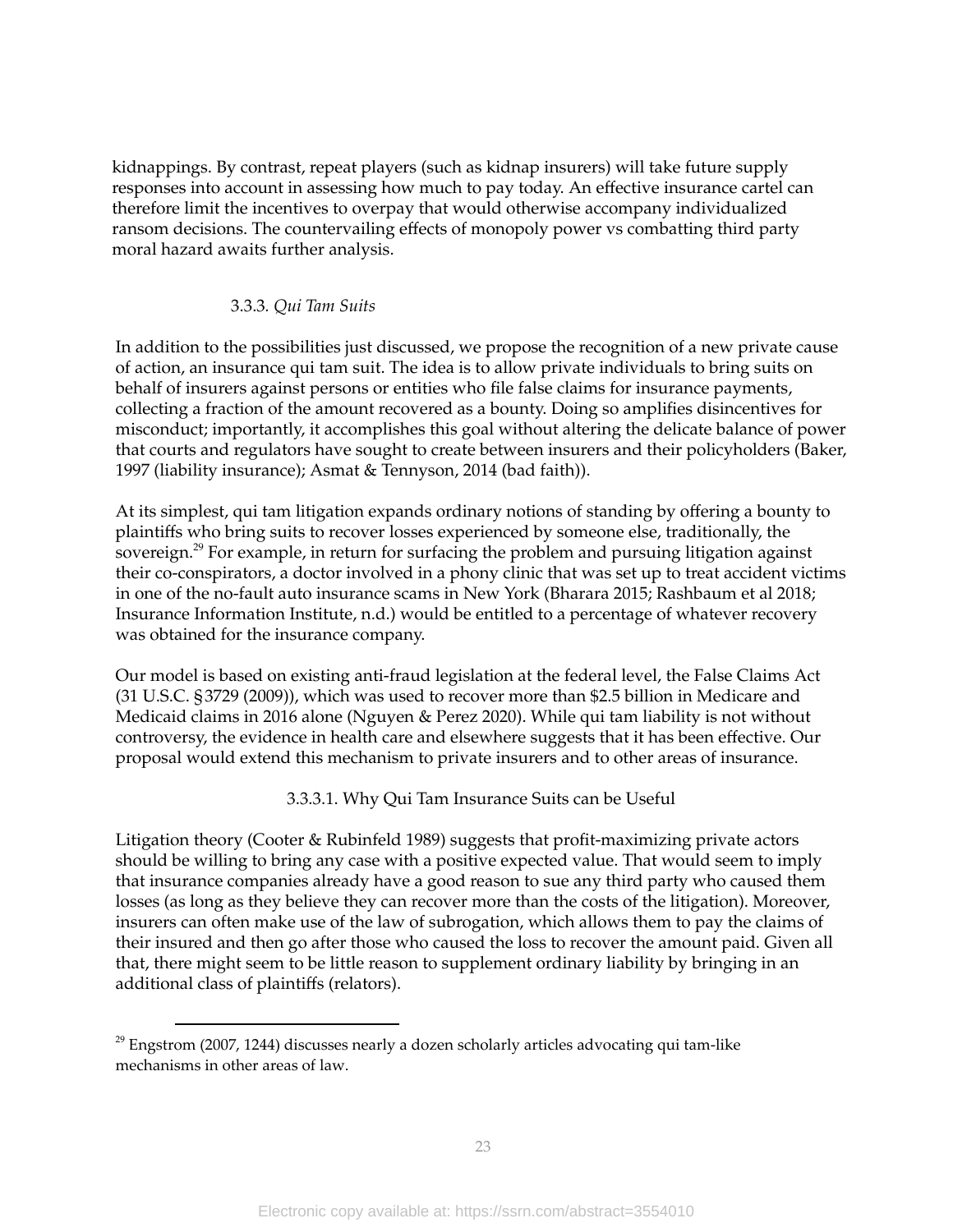kidnappings. By contrast, repeat players (such as kidnap insurers) will take future supply responses into account in assessing how much to pay today. An effective insurance cartel can therefore limit the incentives to overpay that would otherwise accompany individualized ransom decisions. The countervailing effects of monopoly power vs combatting third party moral hazard awaits further analysis.

#### 3.3.3*. Qui Tam Suits*

In addition to the possibilities just discussed, we propose the recognition of a new private cause of action, an insurance qui tam suit. The idea is to allow private individuals to bring suits on behalf of insurers against persons or entities who file false claims for insurance payments, collecting a fraction of the amount recovered as a bounty. Doing so amplifies disincentives for misconduct; importantly, it accomplishes this goal without altering the delicate balance of power that courts and regulators have sought to create between insurers and their policyholders (Baker, 1997 (liability insurance); Asmat & Tennyson, 2014 (bad faith)).

At its simplest, qui tam litigation expands ordinary notions of standing by offering a bounty to plaintiffs who bring suits to recover losses experienced by someone else, traditionally, the sovereign.<sup>29</sup> For example, in return for surfacing the problem and pursuing litigation against their co-conspirators, a doctor involved in a phony clinic that was set up to treat accident victims in one of the no-fault auto insurance scams in New York (Bharara 2015; Rashbaum et al 2018; Insurance Information Institute, n.d.) would be entitled to a percentage of whatever recovery was obtained for the insurance company.

Our model is based on existing anti-fraud legislation at the federal level, the False Claims Act (31 U.S.C. §3729 (2009)), which was used to recover more than \$2.5 billion in Medicare and Medicaid claims in 2016 alone (Nguyen & Perez 2020). While qui tam liability is not without controversy, the evidence in health care and elsewhere suggests that it has been effective. Our proposal would extend this mechanism to private insurers and to other areas of insurance.

3.3.3.1. Why Qui Tam Insurance Suits can be Useful

Litigation theory (Cooter & Rubinfeld 1989) suggests that profit-maximizing private actors should be willing to bring any case with a positive expected value. That would seem to imply that insurance companies already have a good reason to sue any third party who caused them losses (as long as they believe they can recover more than the costs of the litigation). Moreover, insurers can often make use of the law of subrogation, which allows them to pay the claims of their insured and then go after those who caused the loss to recover the amount paid. Given all that, there might seem to be little reason to supplement ordinary liability by bringing in an additional class of plaintiffs (relators).

 $29$  Engstrom (2007, 1244) discusses nearly a dozen scholarly articles advocating qui tam-like mechanisms in other areas of law.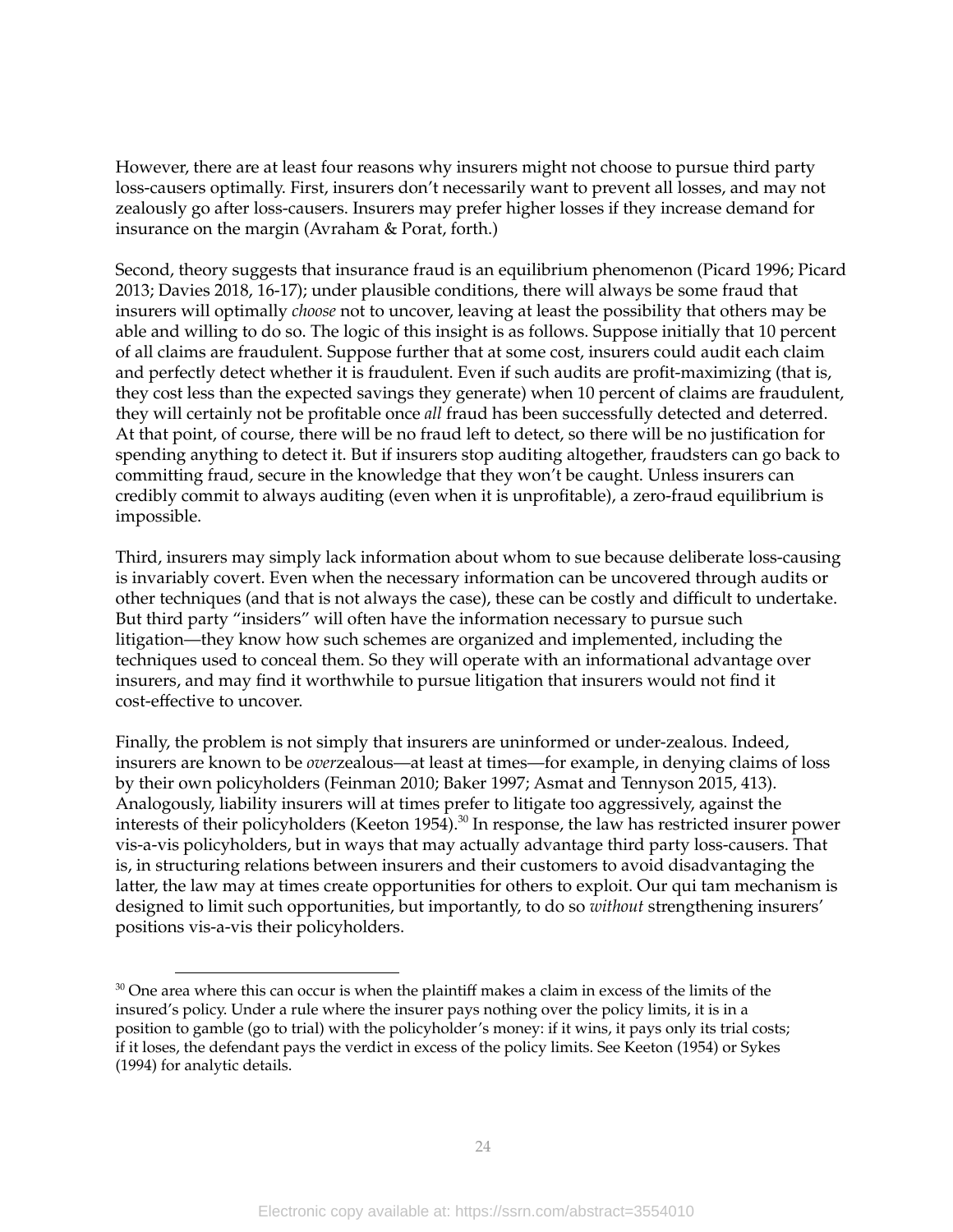However, there are at least four reasons why insurers might not choose to pursue third party loss-causers optimally. First, insurers don't necessarily want to prevent all losses, and may not zealously go after loss-causers. Insurers may prefer higher losses if they increase demand for insurance on the margin (Avraham & Porat, forth.)

Second, theory suggests that insurance fraud is an equilibrium phenomenon (Picard 1996; Picard 2013; Davies 2018, 16-17); under plausible conditions, there will always be some fraud that insurers will optimally *choose* not to uncover, leaving at least the possibility that others may be able and willing to do so. The logic of this insight is as follows. Suppose initially that 10 percent of all claims are fraudulent. Suppose further that at some cost, insurers could audit each claim and perfectly detect whether it is fraudulent. Even if such audits are profit-maximizing (that is, they cost less than the expected savings they generate) when 10 percent of claims are fraudulent, they will certainly not be profitable once *all* fraud has been successfully detected and deterred. At that point, of course, there will be no fraud left to detect, so there will be no justification for spending anything to detect it. But if insurers stop auditing altogether, fraudsters can go back to committing fraud, secure in the knowledge that they won't be caught. Unless insurers can credibly commit to always auditing (even when it is unprofitable), a zero-fraud equilibrium is impossible.

Third, insurers may simply lack information about whom to sue because deliberate loss-causing is invariably covert. Even when the necessary information can be uncovered through audits or other techniques (and that is not always the case), these can be costly and difficult to undertake. But third party "insiders" will often have the information necessary to pursue such litigation—they know how such schemes are organized and implemented, including the techniques used to conceal them. So they will operate with an informational advantage over insurers, and may find it worthwhile to pursue litigation that insurers would not find it cost-effective to uncover.

Finally, the problem is not simply that insurers are uninformed or under-zealous. Indeed, insurers are known to be *over*zealous—at least at times—for example, in denying claims of loss by their own policyholders (Feinman 2010; Baker 1997; Asmat and Tennyson 2015, 413). Analogously, liability insurers will at times prefer to litigate too aggressively, against the interests of their policyholders (Keeton 1954). $^{\text{30}}$  In response, the law has restricted insurer power vis-a-vis policyholders, but in ways that may actually advantage third party loss-causers. That is, in structuring relations between insurers and their customers to avoid disadvantaging the latter, the law may at times create opportunities for others to exploit. Our qui tam mechanism is designed to limit such opportunities, but importantly, to do so *without* strengthening insurers' positions vis-a-vis their policyholders.

 $30$  One area where this can occur is when the plaintiff makes a claim in excess of the limits of the insured's policy. Under a rule where the insurer pays nothing over the policy limits, it is in a position to gamble (go to trial) with the policyholder's money: if it wins, it pays only its trial costs; if it loses, the defendant pays the verdict in excess of the policy limits. See Keeton (1954) or Sykes (1994) for analytic details.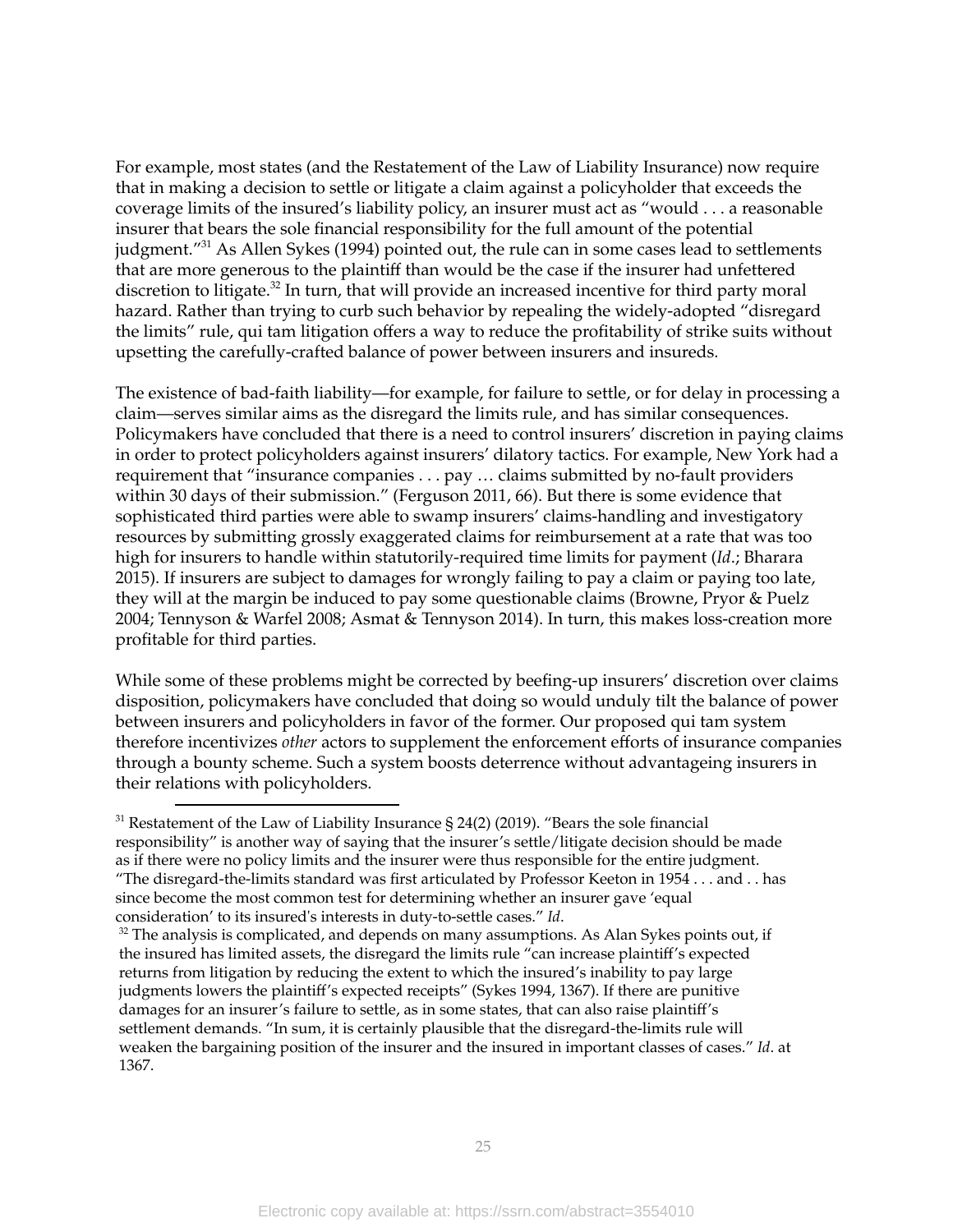For example, most states (and the Restatement of the Law of Liability Insurance) now require that in making a decision to settle or litigate a claim against a policyholder that exceeds the coverage limits of the insured's liability policy, an insurer must act as "would . . . a reasonable insurer that bears the sole financial responsibility for the full amount of the potential judgment."<sup>31</sup> As Allen Sykes (1994) pointed out, the rule can in some cases lead to settlements that are more generous to the plaintiff than would be the case if the insurer had unfettered discretion to litigate.<sup>32</sup> In turn, that will provide an increased incentive for third party moral hazard. Rather than trying to curb such behavior by repealing the widely-adopted "disregard the limits" rule, qui tam litigation offers a way to reduce the profitability of strike suits without upsetting the carefully-crafted balance of power between insurers and insureds.

The existence of bad-faith liability—for example, for failure to settle, or for delay in processing a claim—serves similar aims as the disregard the limits rule, and has similar consequences. Policymakers have concluded that there is a need to control insurers' discretion in paying claims in order to protect policyholders against insurers' dilatory tactics. For example, New York had a requirement that "insurance companies . . . pay … claims submitted by no-fault providers within 30 days of their submission." (Ferguson 2011, 66). But there is some evidence that sophisticated third parties were able to swamp insurers' claims-handling and investigatory resources by submitting grossly exaggerated claims for reimbursement at a rate that was too high for insurers to handle within statutorily-required time limits for payment (*Id*.; Bharara 2015). If insurers are subject to damages for wrongly failing to pay a claim or paying too late, they will at the margin be induced to pay some questionable claims (Browne, Pryor & Puelz 2004; Tennyson & Warfel 2008; Asmat & Tennyson 2014). In turn, this makes loss-creation more profitable for third parties.

While some of these problems might be corrected by beefing-up insurers' discretion over claims disposition, policymakers have concluded that doing so would unduly tilt the balance of power between insurers and policyholders in favor of the former. Our proposed qui tam system therefore incentivizes *other* actors to supplement the enforcement efforts of insurance companies through a bounty scheme. Such a system boosts deterrence without advantageing insurers in their relations with policyholders.

<sup>&</sup>lt;sup>31</sup> Restatement of the Law of Liability Insurance § 24(2) (2019). "Bears the sole financial responsibility" is another way of saying that the insurer's settle/litigate decision should be made as if there were no policy limits and the insurer were thus responsible for the entire judgment. "The disregard-the-limits standard was first articulated by Professor Keeton in 1954 . . . and . . has since become the most common test for determining whether an insurer gave 'equal consideration' to its insured's interests in duty-to-settle cases." *Id*.

 $32$  The analysis is complicated, and depends on many assumptions. As Alan Sykes points out, if the insured has limited assets, the disregard the limits rule "can increase plaintiff's expected returns from litigation by reducing the extent to which the insured's inability to pay large judgments lowers the plaintiff's expected receipts" (Sykes 1994, 1367). If there are punitive damages for an insurer's failure to settle, as in some states, that can also raise plaintiff's settlement demands. "In sum, it is certainly plausible that the disregard-the-limits rule will weaken the bargaining position of the insurer and the insured in important classes of cases." *Id*. at 1367.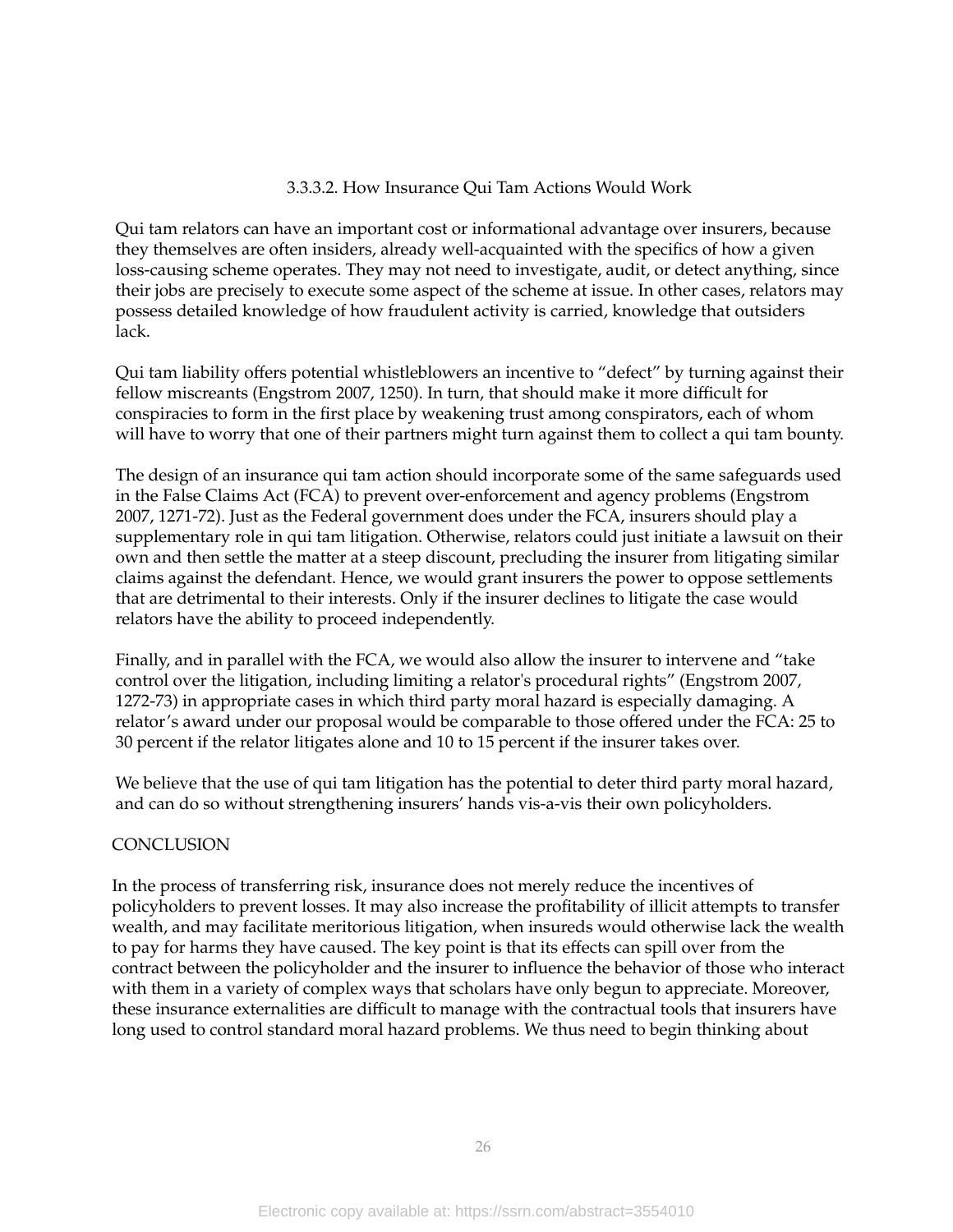## 3.3.3.2. How Insurance Qui Tam Actions Would Work

Qui tam relators can have an important cost or informational advantage over insurers, because they themselves are often insiders, already well-acquainted with the specifics of how a given loss-causing scheme operates. They may not need to investigate, audit, or detect anything, since their jobs are precisely to execute some aspect of the scheme at issue. In other cases, relators may possess detailed knowledge of how fraudulent activity is carried, knowledge that outsiders lack.

Qui tam liability offers potential whistleblowers an incentive to "defect" by turning against their fellow miscreants (Engstrom 2007, 1250). In turn, that should make it more difficult for conspiracies to form in the first place by weakening trust among conspirators, each of whom will have to worry that one of their partners might turn against them to collect a qui tam bounty.

The design of an insurance qui tam action should incorporate some of the same safeguards used in the False Claims Act (FCA) to prevent over-enforcement and agency problems (Engstrom 2007, 1271-72). Just as the Federal government does under the FCA, insurers should play a supplementary role in qui tam litigation. Otherwise, relators could just initiate a lawsuit on their own and then settle the matter at a steep discount, precluding the insurer from litigating similar claims against the defendant. Hence, we would grant insurers the power to oppose settlements that are detrimental to their interests. Only if the insurer declines to litigate the case would relators have the ability to proceed independently.

Finally, and in parallel with the FCA, we would also allow the insurer to intervene and "take control over the litigation, including limiting a relator's procedural rights" (Engstrom 2007, 1272-73) in appropriate cases in which third party moral hazard is especially damaging. A relator's award under our proposal would be comparable to those offered under the FCA: 25 to 30 percent if the relator litigates alone and 10 to 15 percent if the insurer takes over.

We believe that the use of qui tam litigation has the potential to deter third party moral hazard, and can do so without strengthening insurers' hands vis-a-vis their own policyholders.

## **CONCLUSION**

In the process of transferring risk, insurance does not merely reduce the incentives of policyholders to prevent losses. It may also increase the profitability of illicit attempts to transfer wealth, and may facilitate meritorious litigation, when insureds would otherwise lack the wealth to pay for harms they have caused. The key point is that its effects can spill over from the contract between the policyholder and the insurer to influence the behavior of those who interact with them in a variety of complex ways that scholars have only begun to appreciate. Moreover, these insurance externalities are difficult to manage with the contractual tools that insurers have long used to control standard moral hazard problems. We thus need to begin thinking about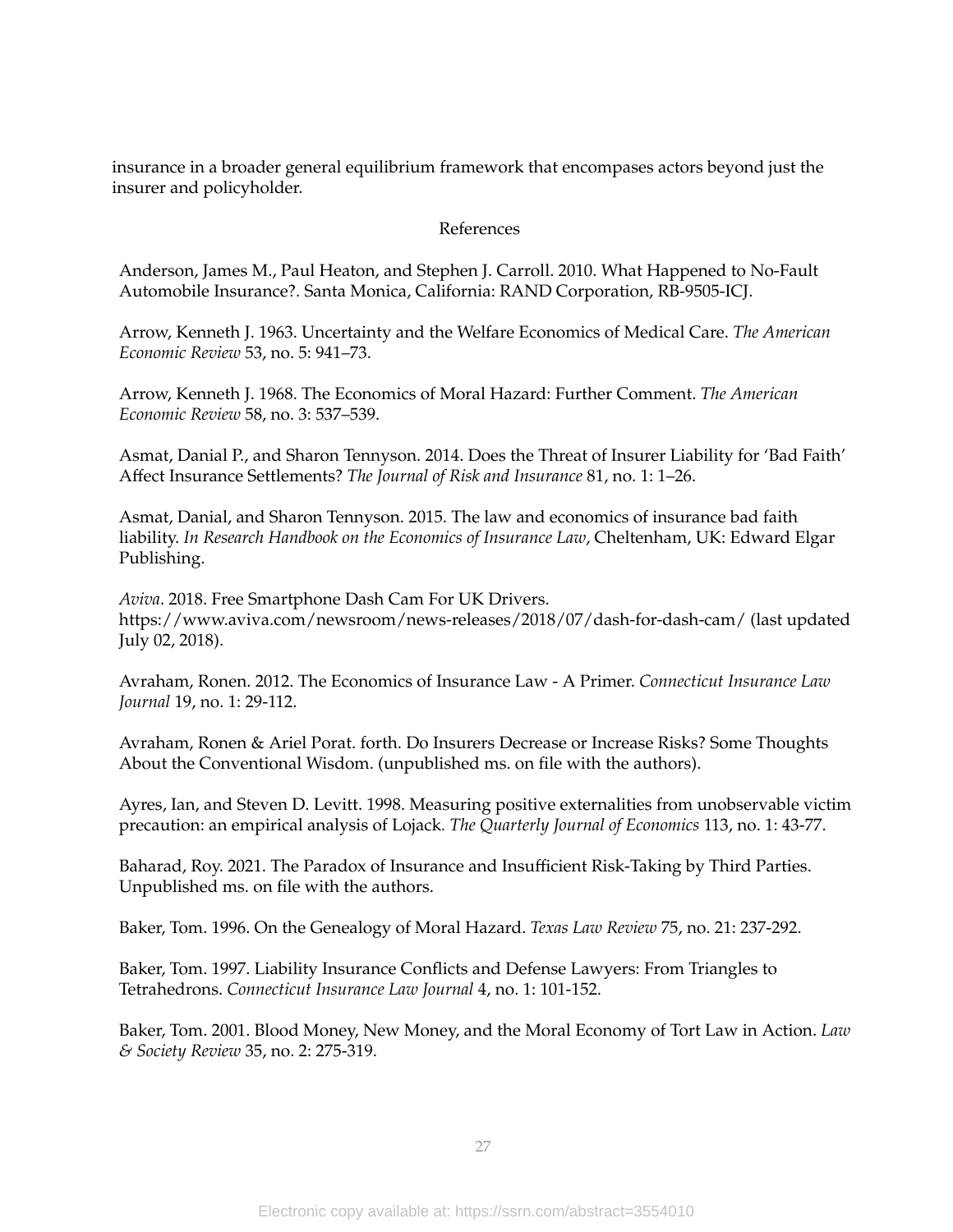insurance in a broader general equilibrium framework that encompases actors beyond just the insurer and policyholder.

#### References

Anderson, James M., Paul Heaton, and Stephen J. Carroll. 2010. What Happened to No-Fault Automobile Insurance?. Santa Monica, California: RAND Corporation, RB-9505-ICJ.

Arrow, Kenneth J. 1963. Uncertainty and the Welfare Economics of Medical Care. *The American Economic Review* 53, no. 5: 941–73.

Arrow, Kenneth J. 1968. The Economics of Moral Hazard: Further Comment. *The American Economic Review* 58, no. 3: 537–539.

Asmat, Danial P., and Sharon Tennyson. 2014. Does the Threat of Insurer Liability for 'Bad Faith' Affect Insurance Settlements? *The Journal of Risk and Insurance* 81, no. 1: 1–26.

Asmat, Danial, and Sharon Tennyson. 2015. The law and economics of insurance bad faith liability. *In Research Handbook on the Economics of Insurance Law*, Cheltenham, UK: Edward Elgar Publishing.

*Aviva*. 2018. Free Smartphone Dash Cam For UK Drivers. https://www.aviva.com/newsroom/news-releases/2018/07/dash-for-dash-cam/ (last updated July 02, 2018).

Avraham, Ronen. 2012. The Economics of Insurance Law - A Primer. *Connecticut Insurance Law Journal* 19, no. 1: 29-112.

Avraham, Ronen & Ariel Porat. forth. Do Insurers Decrease or Increase Risks? Some Thoughts About the Conventional Wisdom. (unpublished ms. on file with the authors).

Ayres, Ian, and Steven D. Levitt. 1998. Measuring positive externalities from unobservable victim precaution: an empirical analysis of Lojack*. The Quarterly Journal of Economics* 113, no. 1: 43-77.

Baharad, Roy. 2021. The Paradox of Insurance and Insufficient Risk-Taking by Third Parties. Unpublished ms. on file with the authors.

Baker, Tom. 1996. On the Genealogy of Moral Hazard. *Texas Law Review* 75, no. 21: 237-292.

Baker, Tom. 1997. Liability Insurance Conflicts and Defense Lawyers: From Triangles to Tetrahedrons. *Connecticut Insurance Law Journal* 4, no. 1: 101-152.

Baker, Tom. 2001. Blood Money, New Money, and the Moral Economy of Tort Law in Action. *Law & Society Review* 35, no. 2: 275-319.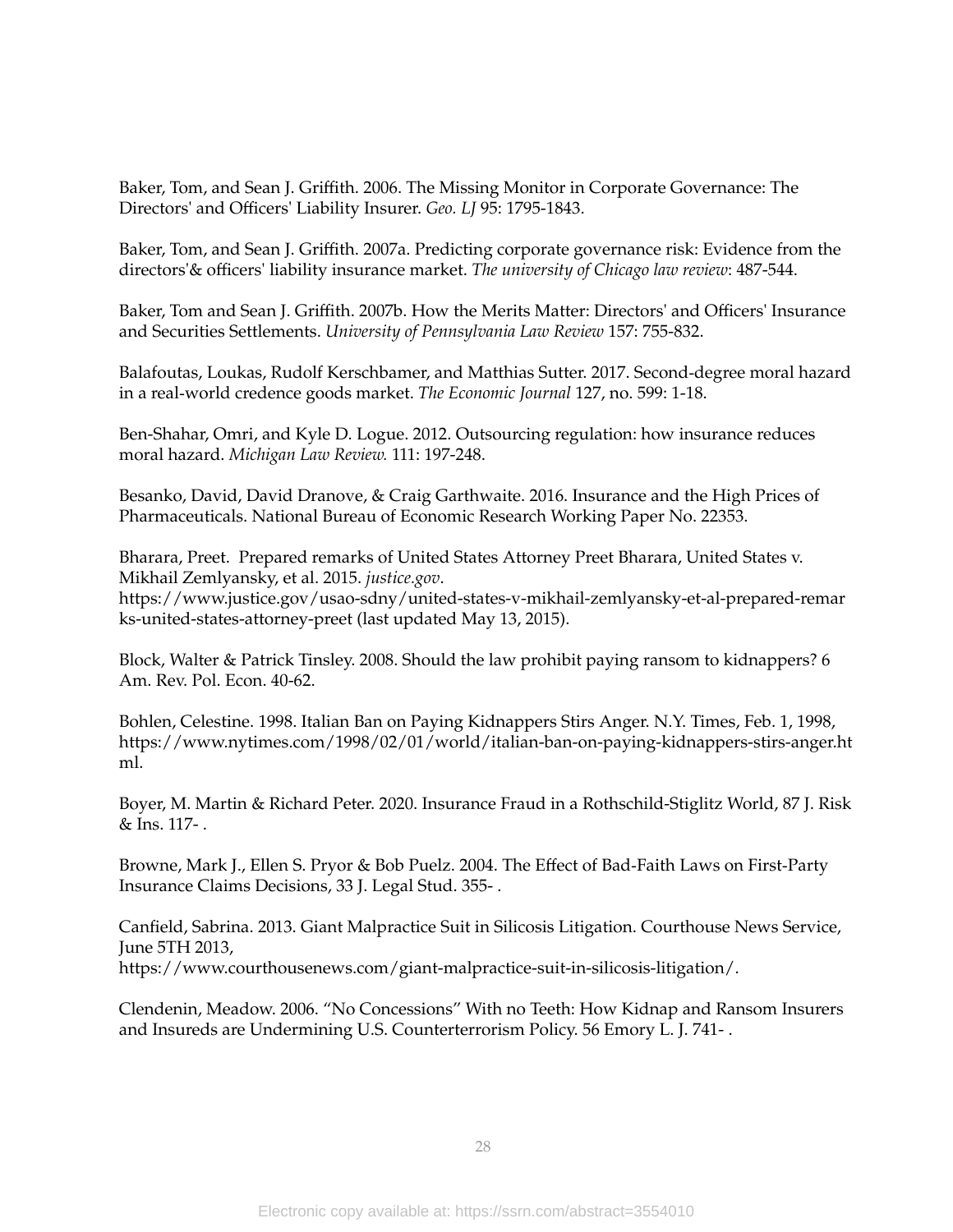Baker, Tom, and Sean J. Griffith. 2006. The Missing Monitor in Corporate Governance: The Directors' and Officers' Liability Insurer. *Geo. LJ* 95: 1795-1843.

Baker, Tom, and Sean J. Griffith. 2007a. Predicting corporate governance risk: Evidence from the directors'& officers' liability insurance market. *The university of Chicago law review*: 487-544.

Baker, Tom and Sean J. Griffith. 2007b. How the Merits Matter: Directors' and Officers' Insurance and Securities Settlements. *University of Pennsylvania Law Review* 157: 755-832.

Balafoutas, Loukas, Rudolf Kerschbamer, and Matthias Sutter. 2017. Second‐degree moral hazard in a real‐world credence goods market. *The Economic Journal* 127, no. 599: 1-18.

Ben-Shahar, Omri, and Kyle D. Logue. 2012. Outsourcing regulation: how insurance reduces moral hazard. *Michigan Law Review.* 111: 197-248.

Besanko, David, David Dranove, & Craig Garthwaite. 2016. Insurance and the High Prices of Pharmaceuticals. National Bureau of Economic Research Working Paper No. 22353.

Bharara, Preet. Prepared remarks of United States Attorney Preet Bharara, United States v. Mikhail Zemlyansky, et al. 2015. *justice.gov*.

https://www.justice.gov/usao-sdny/united-states-v-mikhail-zemlyansky-et-al-prepared-remar ks-united-states-attorney-preet (last updated May 13, 2015).

Block, Walter & Patrick Tinsley. 2008. Should the law prohibit paying ransom to kidnappers? 6 Am. Rev. Pol. Econ. 40-62.

Bohlen, Celestine. 1998. Italian Ban on Paying Kidnappers Stirs Anger. N.Y. Times, Feb. 1, 1998, https://www.nytimes.com/1998/02/01/world/italian-ban-on-paying-kidnappers-stirs-anger.ht ml.

Boyer, M. Martin & Richard Peter. 2020. Insurance Fraud in a Rothschild-Stiglitz World, 87 J. Risk & Ins. 117- .

Browne, Mark J., Ellen S. Pryor & Bob Puelz. 2004. The Effect of Bad‐Faith Laws on First‐Party Insurance Claims Decisions, 33 J. Legal Stud. 355- .

Canfield, Sabrina. 2013. Giant Malpractice Suit in Silicosis Litigation. Courthouse News Service, June 5TH 2013, https://www.courthousenews.com/giant-malpractice-suit-in-silicosis-litigation/.

Clendenin, Meadow. 2006. "No Concessions" With no Teeth: How Kidnap and Ransom Insurers and Insureds are Undermining U.S. Counterterrorism Policy. 56 Emory L. J. 741- .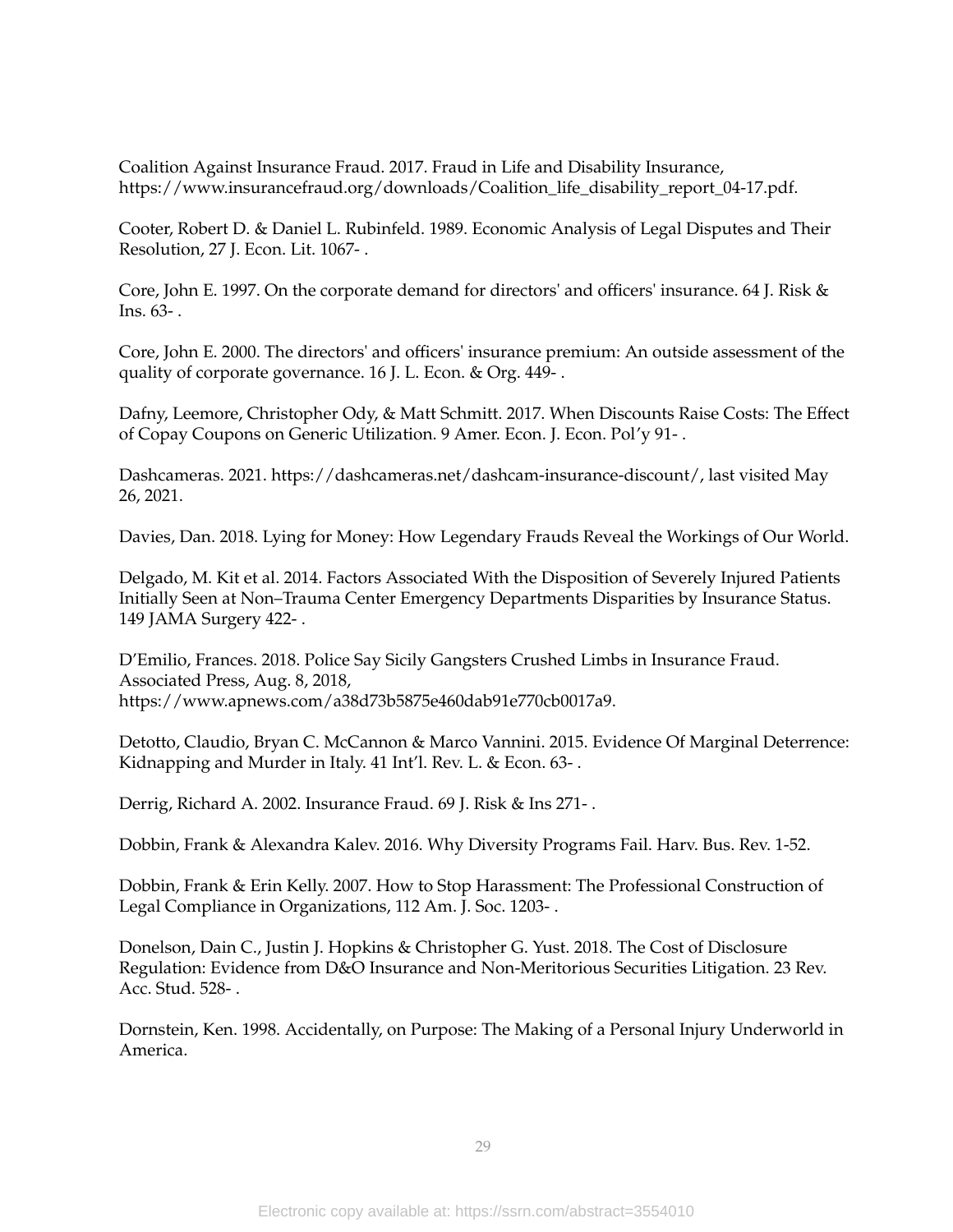Coalition Against Insurance Fraud. 2017. Fraud in Life and Disability Insurance, https://www.insurancefraud.org/downloads/Coalition\_life\_disability\_report\_04-17.pdf.

Cooter, Robert D. & Daniel L. Rubinfeld. 1989. Economic Analysis of Legal Disputes and Their Resolution, 27 J. Econ. Lit. 1067- .

Core, John E. 1997. On the corporate demand for directors' and officers' insurance. 64 J. Risk & Ins. 63- .

Core, John E. 2000. The directors' and officers' insurance premium: An outside assessment of the quality of corporate governance. 16 J. L. Econ. & Org. 449- .

Dafny, Leemore, Christopher Ody, & Matt Schmitt. 2017. When Discounts Raise Costs: The Effect of Copay Coupons on Generic Utilization. 9 Amer. Econ. J. Econ. Pol'y 91- .

Dashcameras. 2021. https://dashcameras.net/dashcam-insurance-discount/, last visited May 26, 2021.

Davies, Dan. 2018. Lying for Money: How Legendary Frauds Reveal the Workings of Our World.

Delgado, M. Kit et al. 2014. Factors Associated With the Disposition of Severely Injured Patients Initially Seen at Non–Trauma Center Emergency Departments Disparities by Insurance Status. 149 JAMA Surgery 422- .

D'Emilio, Frances. 2018. Police Say Sicily Gangsters Crushed Limbs in Insurance Fraud. Associated Press, Aug. 8, 2018, https://www.apnews.com/a38d73b5875e460dab91e770cb0017a9.

Detotto, Claudio, Bryan C. McCannon & Marco Vannini. 2015. Evidence Of Marginal Deterrence: Kidnapping and Murder in Italy. 41 Int'l. Rev. L. & Econ. 63- .

Derrig, Richard A. 2002. Insurance Fraud. 69 J. Risk & Ins 271- .

Dobbin, Frank & Alexandra Kalev. 2016. Why Diversity Programs Fail. Harv. Bus. Rev. 1-52.

Dobbin, Frank & Erin Kelly. 2007. How to Stop Harassment: The Professional Construction of Legal Compliance in Organizations, 112 Am. J. Soc. 1203- .

Donelson, Dain C., Justin J. Hopkins & Christopher G. Yust. 2018. The Cost of Disclosure Regulation: Evidence from D&O Insurance and Non-Meritorious Securities Litigation. 23 Rev. Acc. Stud. 528- .

Dornstein, Ken. 1998. Accidentally, on Purpose: The Making of a Personal Injury Underworld in America.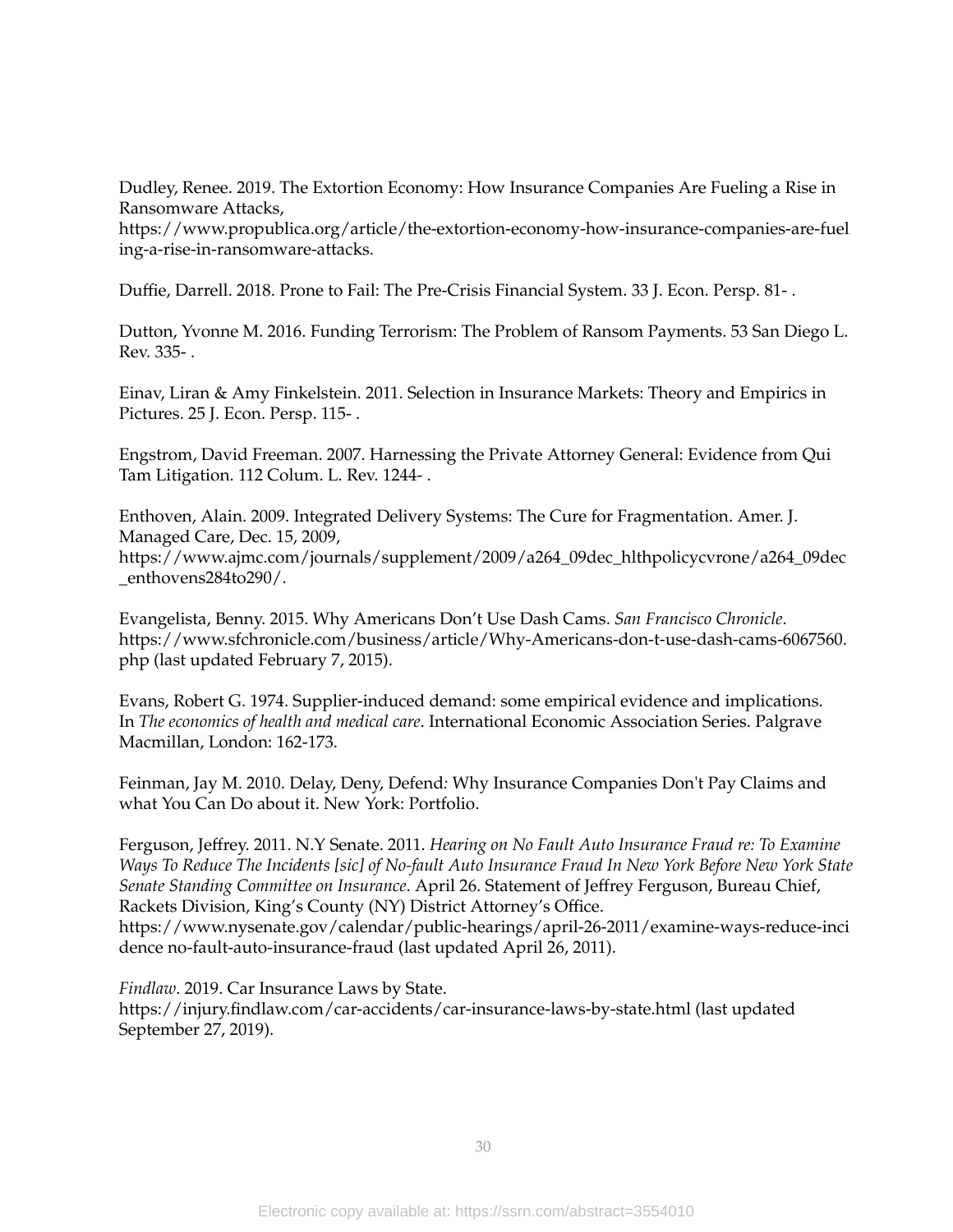Dudley, Renee. 2019. The Extortion Economy: How Insurance Companies Are Fueling a Rise in Ransomware Attacks,

https://www.propublica.org/article/the-extortion-economy-how-insurance-companies-are-fuel ing-a-rise-in-ransomware-attacks.

Duffie, Darrell. 2018. Prone to Fail: The Pre-Crisis Financial System. 33 J. Econ. Persp. 81- .

Dutton, Yvonne M. 2016. Funding Terrorism: The Problem of Ransom Payments. 53 San Diego L. Rev. 335- .

Einav, Liran & Amy Finkelstein. 2011. Selection in Insurance Markets: Theory and Empirics in Pictures. 25 J. Econ. Persp. 115- .

Engstrom, David Freeman. 2007. Harnessing the Private Attorney General: Evidence from Qui Tam Litigation. 112 Colum. L. Rev. 1244- .

Enthoven, Alain. 2009. Integrated Delivery Systems: The Cure for Fragmentation. Amer. J. Managed Care, Dec. 15, 2009, https://www.ajmc.com/journals/supplement/2009/a264\_09dec\_hlthpolicycvrone/a264\_09dec \_enthovens284to290/.

Evangelista, Benny. 2015. Why Americans Don't Use Dash Cams. *San Francisco Chronicle*. [https://www.sfchronicle.com/business/article/Why-Americans-don-t-use-dash-cams-6067560.](https://www.sfchronicle.com/business/article/Why-Americans-don-t-use-dash-cams-6067560.php) [php](https://www.sfchronicle.com/business/article/Why-Americans-don-t-use-dash-cams-6067560.php) (last updated February 7, 2015).

Evans, Robert G. 1974. Supplier-induced demand: some empirical evidence and implications. In *The economics of health and medical care*. International Economic Association Series. Palgrave Macmillan, London: 162-173.

Feinman, Jay M. 2010. Delay, Deny, Defend*:* Why Insurance Companies Don't Pay Claims and what You Can Do about it. New York: Portfolio.

Ferguson, Jeffrey. 2011. N.Y Senate. 2011. *Hearing on No Fault Auto Insurance Fraud re: To Examine* Ways To Reduce The Incidents [sic] of No-fault Auto Insurance Fraud In New York Before New York State *Senate Standing Committee on Insurance*. April 26. Statement of Jeffrey Ferguson, Bureau Chief, Rackets Division, King's County (NY) District Attorney's Office. https://www.nysenate.gov/calendar/public-hearings/april-26-2011/examine-ways-reduce-inci dence no-fault-auto-insurance-fraud (last updated April 26, 2011).

*Findlaw*. 2019. Car Insurance Laws by State.

<https://injury.findlaw.com/car-accidents/car-insurance-laws-by-state.html> (last updated September 27, 2019).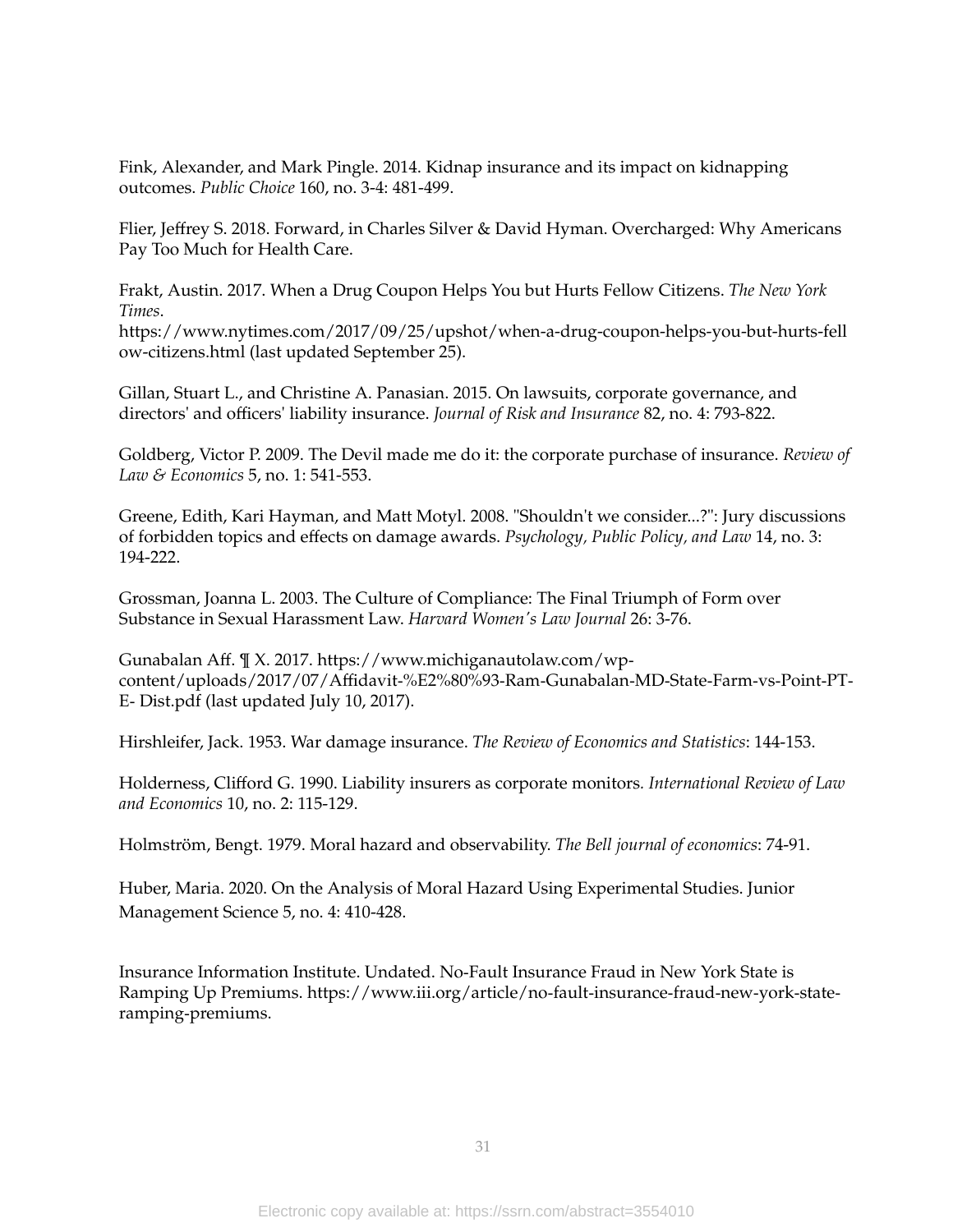Fink, Alexander, and Mark Pingle. 2014. Kidnap insurance and its impact on kidnapping outcomes. *Public Choice* 160, no. 3-4: 481-499.

Flier, Jeffrey S. 2018. Forward, in Charles Silver & David Hyman. Overcharged: Why Americans Pay Too Much for Health Care.

Frakt, Austin. 2017. When a Drug Coupon Helps You but Hurts Fellow Citizens. *The New York Times*.

[https://www.nytimes.com/2017/09/25/upshot/when-a-drug-coupon-helps-you-but-hurts-fell](https://www.nytimes.com/2017/09/25/upshot/when-a-drug-coupon-helps-you-but-hurts-fellow-citizens.html) [ow-citizens.html](https://www.nytimes.com/2017/09/25/upshot/when-a-drug-coupon-helps-you-but-hurts-fellow-citizens.html) (last updated September 25).

Gillan, Stuart L., and Christine A. Panasian. 2015. On lawsuits, corporate governance, and directors' and officers' liability insurance. *Journal of Risk and Insurance* 82, no. 4: 793-822.

Goldberg, Victor P. 2009. The Devil made me do it: the corporate purchase of insurance. *Review of Law & Economics* 5, no. 1: 541-553.

Greene, Edith, Kari Hayman, and Matt Motyl. 2008. "Shouldn't we consider...?": Jury discussions of forbidden topics and effects on damage awards. *Psychology, Public Policy, and Law* 14, no. 3: 194-222.

Grossman, Joanna L. 2003. The Culture of Compliance: The Final Triumph of Form over Substance in Sexual Harassment Law. *Harvard Women's Law Journal* 26: 3-76.

Gunabalan Aff. ¶ X. 2017. https://www.michiganautolaw.com/wp‐ content/uploads/2017/07/Affidavit‐%E2%80%93‐Ram‐Gunabalan‐MD‐State‐Farm‐vs‐Point‐PT‐ E‐ Dist.pdf (last updated July 10, 2017).

Hirshleifer, Jack. 1953. War damage insurance. *The Review of Economics and Statistics*: 144-153.

Holderness, Clifford G. 1990. Liability insurers as corporate monitors*. International Review of Law and Economics* 10, no. 2: 115-129.

Holmström, Bengt. 1979. Moral hazard and observability. *The Bell journal of economics*: 74-91.

Huber, Maria. 2020. On the Analysis of Moral Hazard Using Experimental Studies. Junior Management Science 5, no. 4: 410-428.

Insurance Information Institute. Undated. No‐Fault Insurance Fraud in New York State is Ramping Up Premiums. https://www.iii.org/article/no‐fault‐insurance‐fraud‐new‐york‐state‐ ramping‐premiums.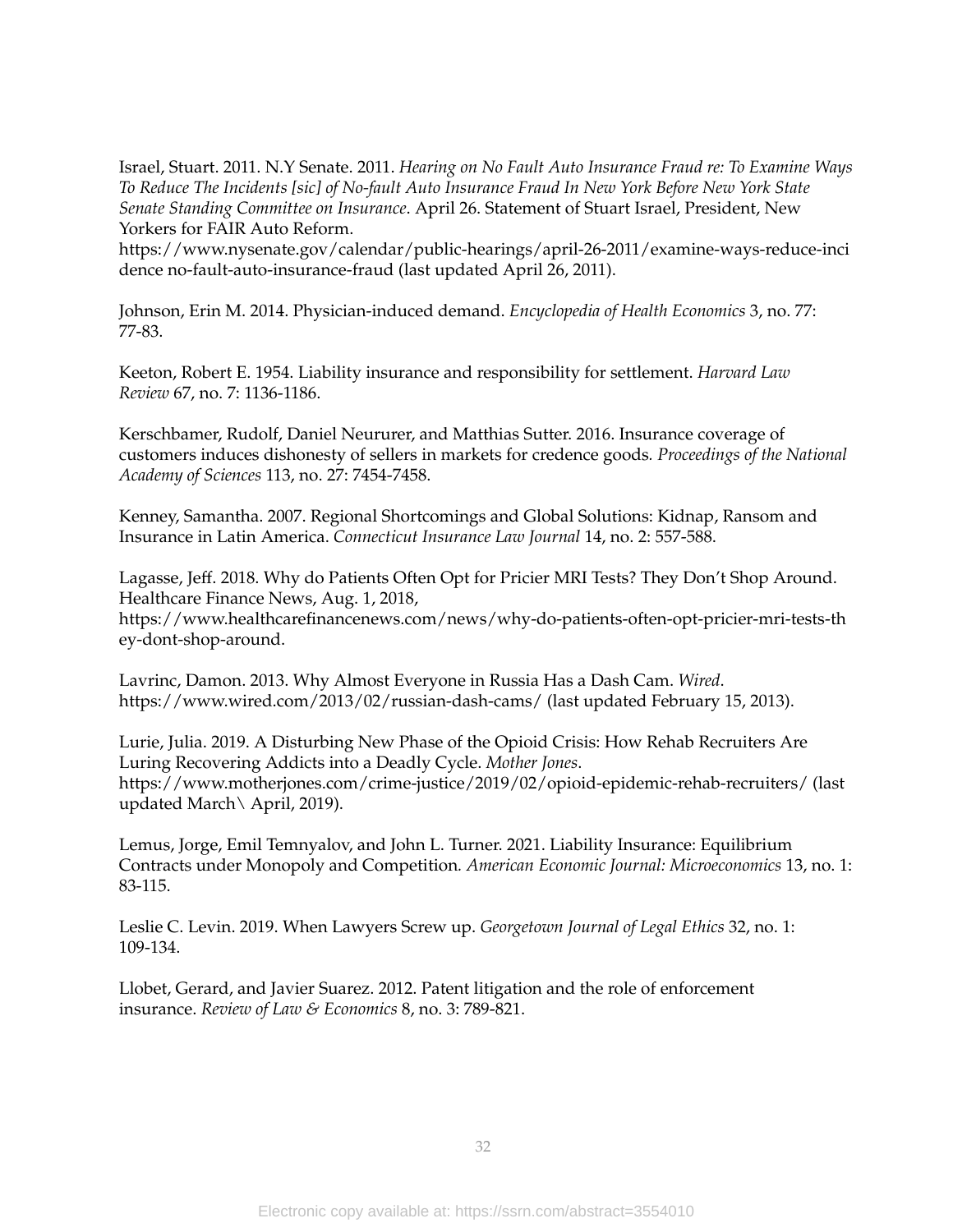Israel, Stuart. 2011. N.Y Senate. 2011. *Hearing on No Fault Auto Insurance Fraud re: To Examine Ways To Reduce The Incidents [sic] of No-fault Auto Insurance Fraud In New York Before New York State Senate Standing Committee on Insurance*. April 26. Statement of Stuart Israel, President, New Yorkers for FAIR Auto Reform.

https://www.nysenate.gov/calendar/public-hearings/april-26-2011/examine-ways-reduce-inci dence no-fault-auto-insurance-fraud (last updated April 26, 2011).

Johnson, Erin M. 2014. Physician-induced demand. *Encyclopedia of Health Economics* 3, no. 77: 77-83.

Keeton, Robert E. 1954. Liability insurance and responsibility for settlement. *Harvard Law Review* 67, no. 7: 1136-1186.

Kerschbamer, Rudolf, Daniel Neururer, and Matthias Sutter. 2016. Insurance coverage of customers induces dishonesty of sellers in markets for credence goods*. Proceedings of the National Academy of Sciences* 113, no. 27: 7454-7458.

Kenney, Samantha. 2007. Regional Shortcomings and Global Solutions: Kidnap, Ransom and Insurance in Latin America. *Connecticut Insurance Law Journal* 14, no. 2: 557-588.

Lagasse, Jeff. 2018. Why do Patients Often Opt for Pricier MRI Tests? They Don't Shop Around. Healthcare Finance News, Aug. 1, 2018, https://www.healthcarefinancenews.com/news/why-do-patients-often-opt-pricier-mri-tests-th ey-dont-shop-around.

Lavrinc, Damon. 2013. Why Almost Everyone in Russia Has a Dash Cam. *Wired*. <https://www.wired.com/2013/02/russian-dash-cams/> (last updated February 15, 2013).

Lurie, Julia. 2019. A Disturbing New Phase of the Opioid Crisis: How Rehab Recruiters Are Luring Recovering Addicts into a Deadly Cycle. *Mother Jones*. <https://www.motherjones.com/crime-justice/2019/02/opioid-epidemic-rehab-recruiters/> (last updated March\ April, 2019).

Lemus, Jorge, Emil Temnyalov, and John L. Turner. 2021. Liability Insurance: Equilibrium Contracts under Monopoly and Competition*. American Economic Journal: Microeconomics* 13, no. 1: 83-115.

Leslie C. Levin. 2019. When Lawyers Screw up. *Georgetown Journal of Legal Ethics* 32, no. 1: 109-134.

Llobet, Gerard, and Javier Suarez. 2012. Patent litigation and the role of enforcement insurance. *Review of Law & Economics* 8, no. 3: 789-821.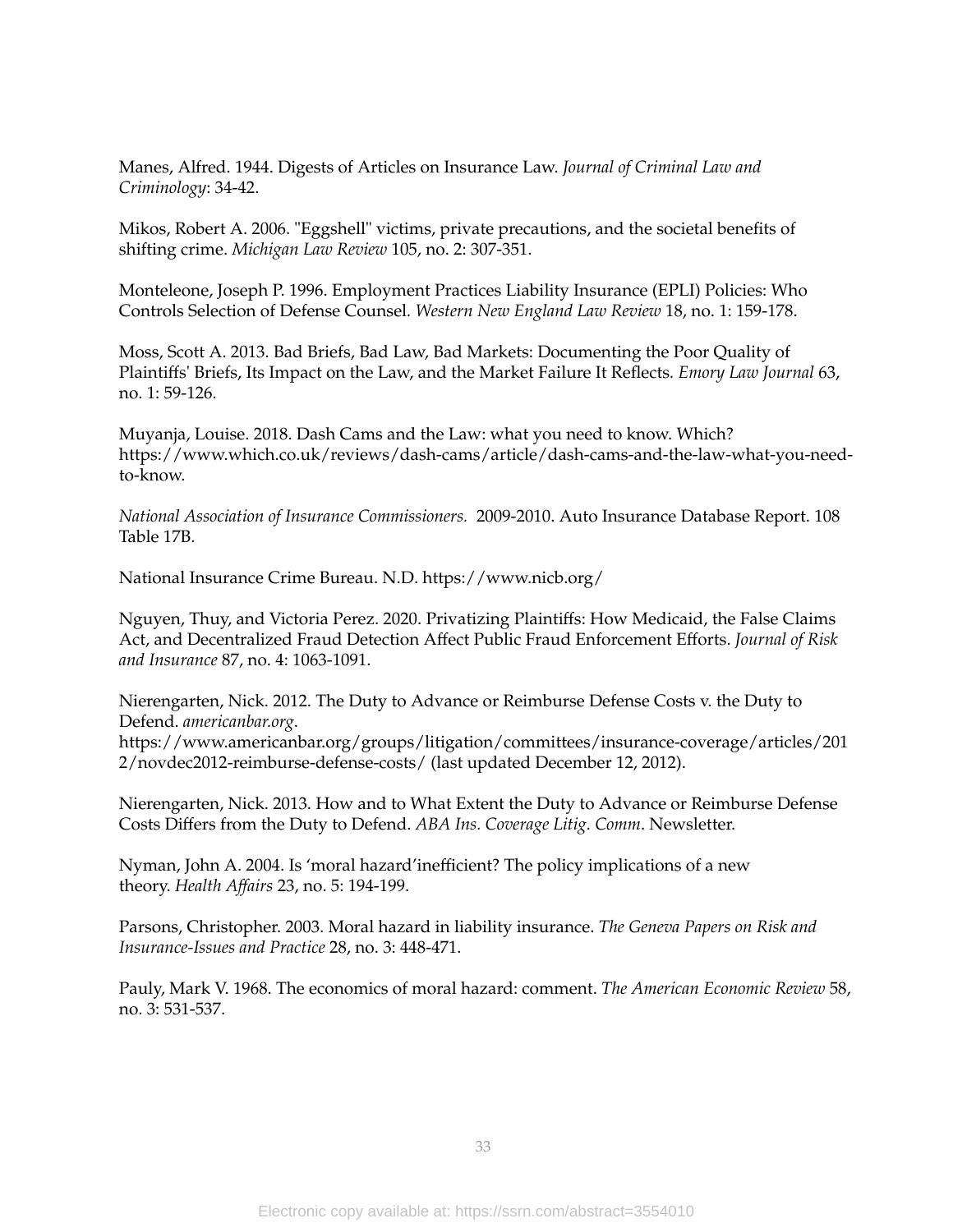Manes, Alfred. 1944. Digests of Articles on Insurance Law. *Journal of Criminal Law and Criminology*: 34-42.

Mikos, Robert A. 2006. "Eggshell" victims, private precautions, and the societal benefits of shifting crime. *Michigan Law Review* 105, no. 2: 307-351.

Monteleone, Joseph P. 1996. Employment Practices Liability Insurance (EPLI) Policies: Who Controls Selection of Defense Counsel*. Western New England Law Review* 18, no. 1: 159-178.

Moss, Scott A. 2013. Bad Briefs, Bad Law, Bad Markets: Documenting the Poor Quality of Plaintiffs' Briefs, Its Impact on the Law, and the Market Failure It Reflects*. Emory Law Journal* 63, no. 1: 59-126.

Muyanja, Louise. 2018. Dash Cams and the Law: what you need to know. Which? https://www.which.co.uk/reviews/dash-cams/article/dash-cams-and-the-law-what-you-needto-know.

*National Association of Insurance Commissioners.* 2009-2010. Auto Insurance Database Report. 108 Table 17B.

National Insurance Crime Bureau. N.D. https://www.nicb.org/

Nguyen, Thuy, and Victoria Perez. 2020. Privatizing Plaintiffs: How Medicaid, the False Claims Act, and Decentralized Fraud Detection Affect Public Fraud Enforcement Efforts. *Journal of Risk and Insurance* 87, no. 4: 1063-1091.

Nierengarten, Nick. 2012. The Duty to Advance or Reimburse Defense Costs v. the Duty to Defend. *americanbar.org*.

[https://www.americanbar.org/groups/litigation/committees/insurance-coverage/articles/201](https://www.americanbar.org/groups/litigation/committees/insurance-coverage/articles/2012/novdec2012-reimburse-defense-costs/) [2/novdec2012-reimburse-defense-costs/](https://www.americanbar.org/groups/litigation/committees/insurance-coverage/articles/2012/novdec2012-reimburse-defense-costs/) (last updated December 12, 2012).

Nierengarten, Nick. 2013. How and to What Extent the Duty to Advance or Reimburse Defense Costs Differs from the Duty to Defend. *ABA Ins. Coverage Litig. Comm*. Newsletter.

Nyman, John A. 2004. Is 'moral hazard'inefficient? The policy implications of a new theory. *Health Affairs* 23, no. 5: 194-199.

Parsons, Christopher. 2003. Moral hazard in liability insurance. *The Geneva Papers on Risk and Insurance-Issues and Practice* 28, no. 3: 448-471.

Pauly, Mark V. 1968. The economics of moral hazard: comment. *The American Economic Review* 58, no. 3: 531-537.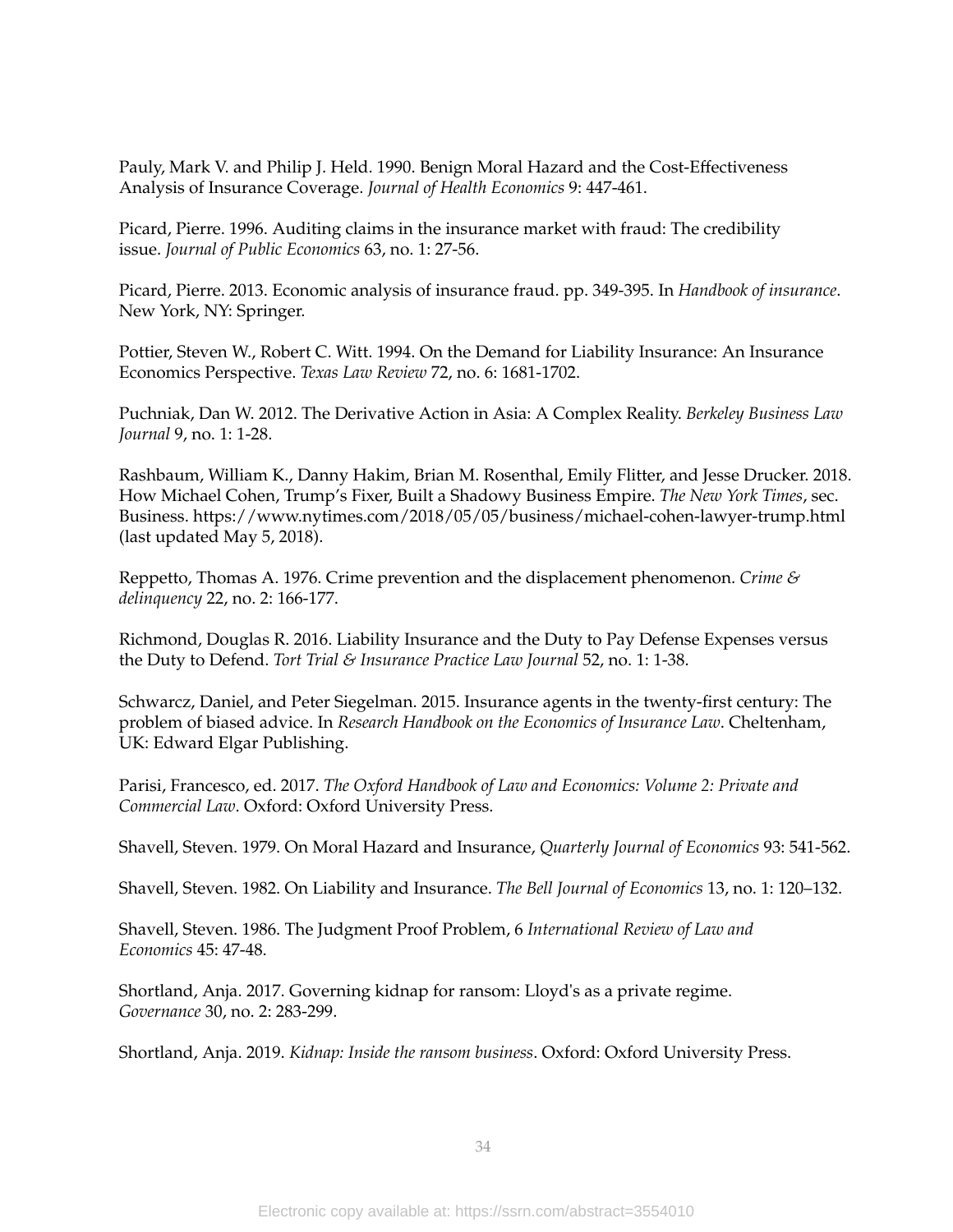Pauly, Mark V. and Philip J. Held. 1990. Benign Moral Hazard and the Cost-Effectiveness Analysis of Insurance Coverage. *Journal of Health Economics* 9: 447-461.

Picard, Pierre. 1996. Auditing claims in the insurance market with fraud: The credibility issue. *Journal of Public Economics* 63, no. 1: 27-56.

Picard, Pierre. 2013. Economic analysis of insurance fraud. pp. 349-395. In *Handbook of insurance*. New York, NY: Springer.

Pottier, Steven W., Robert C. Witt. 1994. On the Demand for Liability Insurance: An Insurance Economics Perspective. *Texas Law Review* 72, no. 6: 1681-1702.

Puchniak, Dan W. 2012. The Derivative Action in Asia: A Complex Reality. *Berkeley Business Law Journal* 9, no. 1: 1-28.

Rashbaum, William K., Danny Hakim, Brian M. Rosenthal, Emily Flitter, and Jesse Drucker. 2018. How Michael Cohen, Trump's Fixer, Built a Shadowy Business Empire. *The New York Times*, sec. Business. <https://www.nytimes.com/2018/05/05/business/michael-cohen-lawyer-trump.html> (last updated May 5, 2018).

Reppetto, Thomas A. 1976. Crime prevention and the displacement phenomenon. *Crime & delinquency* 22, no. 2: 166-177.

Richmond, Douglas R. 2016. Liability Insurance and the Duty to Pay Defense Expenses versus the Duty to Defend. *Tort Trial & Insurance Practice Law Journal* 52, no. 1: 1-38.

Schwarcz, Daniel, and Peter Siegelman. 2015. Insurance agents in the twenty-first century: The problem of biased advice. In *Research Handbook on the Economics of Insurance Law*. Cheltenham, UK: Edward Elgar Publishing.

Parisi, Francesco, ed. 2017. *The Oxford Handbook of Law and Economics: Volume 2: Private and Commercial Law*. Oxford: Oxford University Press.

Shavell, Steven. 1979. On Moral Hazard and Insurance, *Quarterly Journal of Economics* 93: 541-562.

Shavell, Steven. 1982. On Liability and Insurance. *The Bell Journal of Economics* 13, no. 1: 120–132.

Shavell, Steven. 1986. The Judgment Proof Problem, 6 *International Review of Law and Economics* 45: 47-48.

Shortland, Anja. 2017. Governing kidnap for ransom: Lloyd's as a private regime. *Governance* 30, no. 2: 283-299.

Shortland, Anja. 2019. *Kidnap: Inside the ransom business*. Oxford: Oxford University Press.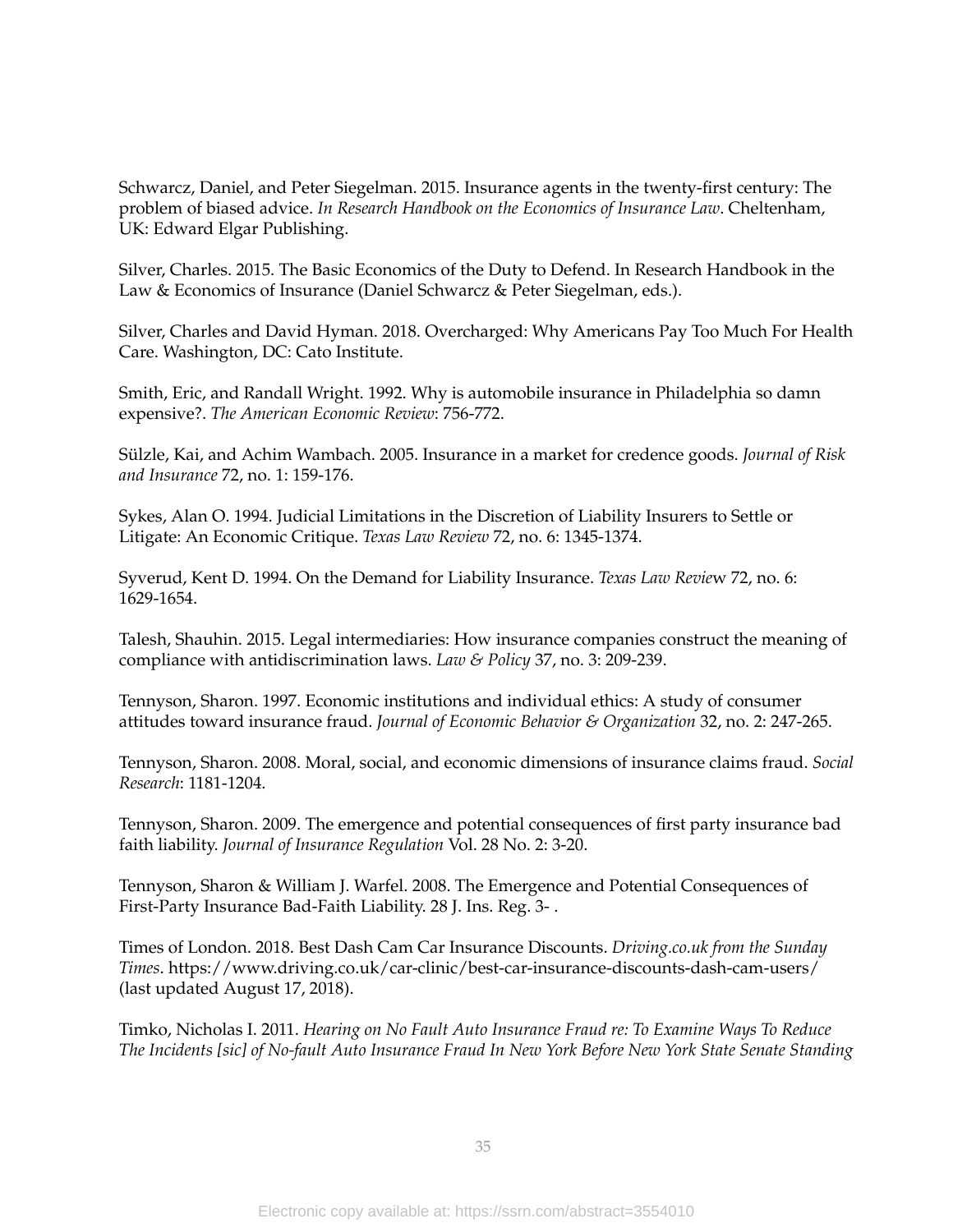Schwarcz, Daniel, and Peter Siegelman. 2015. Insurance agents in the twenty-first century: The problem of biased advice. *In Research Handbook on the Economics of Insurance Law*. Cheltenham, UK: Edward Elgar Publishing.

Silver, Charles. 2015. The Basic Economics of the Duty to Defend. In Research Handbook in the Law & Economics of Insurance (Daniel Schwarcz & Peter Siegelman, eds.).

Silver, Charles and David Hyman. 2018. Overcharged: Why Americans Pay Too Much For Health Care. Washington, DC: Cato Institute.

Smith, Eric, and Randall Wright. 1992. Why is automobile insurance in Philadelphia so damn expensive?. *The American Economic Review*: 756-772.

Sülzle, Kai, and Achim Wambach. 2005. Insurance in a market for credence goods. *Journal of Risk and Insurance* 72, no. 1: 159-176.

Sykes, Alan O. 1994. Judicial Limitations in the Discretion of Liability Insurers to Settle or Litigate: An Economic Critique. *Texas Law Review* 72, no. 6: 1345-1374.

Syverud, Kent D. 1994. On the Demand for Liability Insurance. *Texas Law Revie*w 72, no. 6: 1629-1654.

Talesh, Shauhin. 2015. Legal intermediaries: How insurance companies construct the meaning of compliance with antidiscrimination laws. *Law & Policy* 37, no. 3: 209-239.

Tennyson, Sharon. 1997. Economic institutions and individual ethics: A study of consumer attitudes toward insurance fraud. *Journal of Economic Behavior & Organization* 32, no. 2: 247-265.

Tennyson, Sharon. 2008. Moral, social, and economic dimensions of insurance claims fraud. *Social Research*: 1181-1204.

Tennyson, Sharon. 2009. The emergence and potential consequences of first party insurance bad faith liability. *Journal of Insurance Regulation* Vol. 28 No. 2: 3-20.

Tennyson, Sharon & William J. Warfel. 2008. The Emergence and Potential Consequences of First-Party Insurance Bad-Faith Liability. 28 J. Ins. Reg. 3- .

Times of London. 2018. Best Dash Cam Car Insurance Discounts. *Driving.co.uk from the Sunday Times*. <https://www.driving.co.uk/car-clinic/best-car-insurance-discounts-dash-cam-users/> (last updated August 17, 2018).

Timko, Nicholas I. 2011. *Hearing on No Fault Auto Insurance Fraud re: To Examine Ways To Reduce The Incidents [sic] of No-fault Auto Insurance Fraud In New York Before New York State Senate Standing*